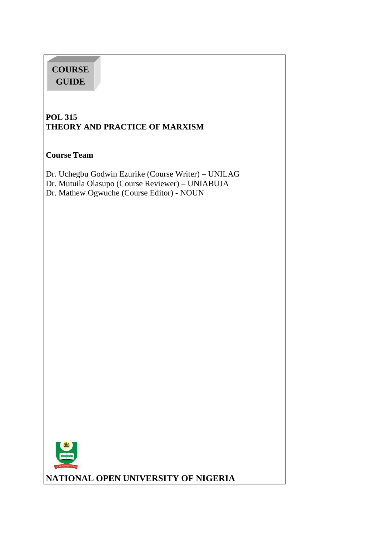# **COURSE GUIDE**

# **POL 315 THEORY AND PRACTICE OF MARXISM**

#### **Course Team**

Dr. Uchegbu Godwin Ezurike (Course Writer) – UNILAG Dr. Mutuila Olasupo (Course Reviewer) – UNIABUJA Dr. Mathew Ogwuche (Course Editor) - NOUN



**NATIONAL OPEN UNIVERSITY OF NIGERIA**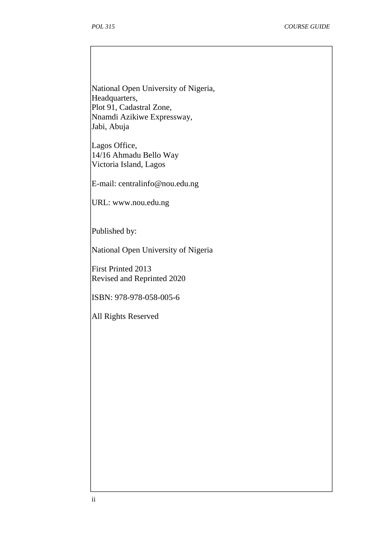National Open University of Nigeria, Headquarters, Plot 91, Cadastral Zone, Nnamdi Azikiwe Expressway, Jabi, Abuja

Lagos Office, 14/16 Ahmadu Bello Way Victoria Island, Lagos

E-mail: centralinfo@nou.edu.ng

URL: www.nou.edu.ng

Published by:

National Open University of Nigeria

First Printed 2013 Revised and Reprinted 2020

ISBN: 978-978-058-005-6

All Rights Reserved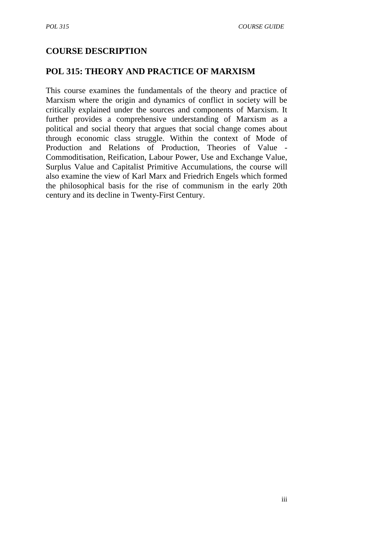# **COURSE DESCRIPTION**

## **POL 315: THEORY AND PRACTICE OF MARXISM**

This course examines the fundamentals of the theory and practice of Marxism where the origin and dynamics of conflict in society will be critically explained under the sources and components of Marxism. It further provides a comprehensive understanding of Marxism as a political and social theory that argues that social change comes about through economic class struggle. Within the context of Mode of Production and Relations of Production, Theories of Value - Commoditisation, Reification, Labour Power, Use and Exchange Value, Surplus Value and Capitalist Primitive Accumulations, the course will also examine the view of Karl Marx and Friedrich Engels which formed the philosophical basis for the rise of communism in the early 20th century and its decline in Twenty-First Century.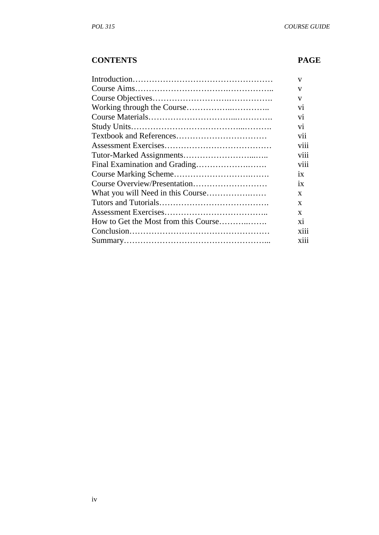#### **CONTENTS PAGE**

| $\mathbf{V}$     |
|------------------|
| V                |
| V                |
| V <sub>1</sub>   |
| V1               |
| V1               |
| V11              |
| $\cdots$<br>V111 |
| viii             |
| V <sub>111</sub> |
| 1X               |
| 1X               |
| X                |
| X                |
| X                |
| X1               |
| X111             |
| X111             |
|                  |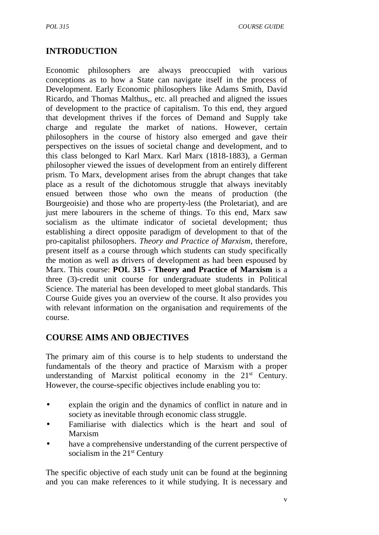# **INTRODUCTION**

Economic philosophers are always preoccupied with various conceptions as to how a State can navigate itself in the process of Development. Early Economic philosophers like Adams Smith, David Ricardo, and Thomas Malthus,, etc. all preached and aligned the issues of development to the practice of capitalism. To this end, they argued that development thrives if the forces of Demand and Supply take charge and regulate the market of nations. However, certain philosophers in the course of history also emerged and gave their perspectives on the issues of societal change and development, and to this class belonged to Karl Marx. Karl Marx (1818-1883), a German philosopher viewed the issues of development from an entirely different prism. To Marx, development arises from the abrupt changes that take place as a result of the dichotomous struggle that always inevitably ensued between those who own the means of production (the Bourgeoisie) and those who are property-less (the Proletariat), and are just mere labourers in the scheme of things. To this end, Marx saw socialism as the ultimate indicator of societal development; thus establishing a direct opposite paradigm of development to that of the pro-capitalist philosophers. *Theory and Practice of Marxism*, therefore, present itself as a course through which students can study specifically the motion as well as drivers of development as had been espoused by Marx. This course: **POL 315 - Theory and Practice of Marxism** is a three (3)-credit unit course for undergraduate students in Political Science. The material has been developed to meet global standards. This Course Guide gives you an overview of the course. It also provides you with relevant information on the organisation and requirements of the course.

# **COURSE AIMS AND OBJECTIVES**

The primary aim of this course is to help students to understand the fundamentals of the theory and practice of Marxism with a proper understanding of Marxist political economy in the  $21<sup>st</sup>$  Century. However, the course-specific objectives include enabling you to:

- explain the origin and the dynamics of conflict in nature and in society as inevitable through economic class struggle.
- Familiarise with dialectics which is the heart and soul of Marxism
- have a comprehensive understanding of the current perspective of socialism in the  $21<sup>st</sup>$  Century

The specific objective of each study unit can be found at the beginning and you can make references to it while studying. It is necessary and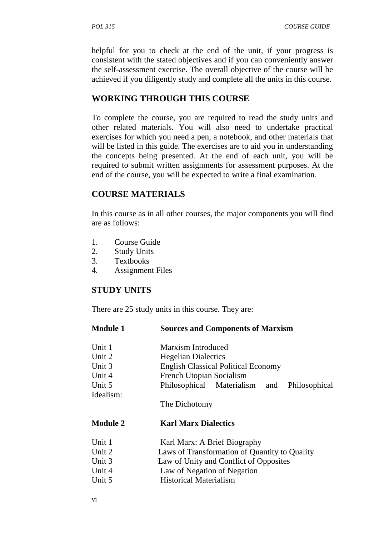helpful for you to check at the end of the unit, if your progress is consistent with the stated objectives and if you can conveniently answer the self-assessment exercise. The overall objective of the course will be achieved if you diligently study and complete all the units in this course.

# **WORKING THROUGH THIS COURSE**

To complete the course, you are required to read the study units and other related materials. You will also need to undertake practical exercises for which you need a pen, a notebook, and other materials that will be listed in this guide. The exercises are to aid you in understanding the concepts being presented. At the end of each unit, you will be required to submit written assignments for assessment purposes. At the end of the course, you will be expected to write a final examination.

# **COURSE MATERIALS**

In this course as in all other courses, the major components you will find are as follows:

- 1. Course Guide
- 2. Study Units
- 3. Textbooks
- 4. Assignment Files

## **STUDY UNITS**

There are 25 study units in this course. They are:

| <b>Module 1</b> | <b>Sources and Components of Marxism</b>       |
|-----------------|------------------------------------------------|
| Unit 1          | <b>Marxism Introduced</b>                      |
| Unit 2          | <b>Hegelian Dialectics</b>                     |
| Unit 3          | <b>English Classical Political Economy</b>     |
| Unit 4          | French Utopian Socialism                       |
| Unit 5          | Philosophical Materialism and<br>Philosophical |
| Idealism:       |                                                |
|                 | The Dichotomy                                  |
| <b>Module 2</b> | <b>Karl Marx Dialectics</b>                    |
| Unit 1          | Karl Marx: A Brief Biography                   |
| Unit 2          | Laws of Transformation of Quantity to Quality  |
| Unit 3          | Law of Unity and Conflict of Opposites         |
| Unit 4          | Law of Negation of Negation                    |
| Unit 5          | <b>Historical Materialism</b>                  |
|                 |                                                |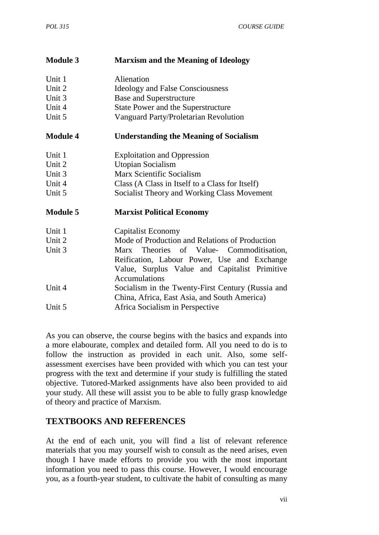| <b>Module 3</b> | <b>Marxism and the Meaning of Ideology</b> |  |
|-----------------|--------------------------------------------|--|
|-----------------|--------------------------------------------|--|

| Unit 1          | Alienation                                        |
|-----------------|---------------------------------------------------|
| Unit 2          | <b>Ideology and False Consciousness</b>           |
| Unit 3          | <b>Base and Superstructure</b>                    |
| Unit 4          | <b>State Power and the Superstructure</b>         |
| Unit 5          | Vanguard Party/Proletarian Revolution             |
| <b>Module 4</b> | <b>Understanding the Meaning of Socialism</b>     |
| Unit 1          | <b>Exploitation and Oppression</b>                |
| Unit 2          | <b>Utopian Socialism</b>                          |
| Unit 3          | Marx Scientific Socialism                         |
| Unit 4          | Class (A Class in Itself to a Class for Itself)   |
| Unit 5          | Socialist Theory and Working Class Movement       |
| <b>Module 5</b> | <b>Marxist Political Economy</b>                  |
| Unit 1          | <b>Capitalist Economy</b>                         |
| Unit 2          | Mode of Production and Relations of Production    |
| Unit 3          | Marx Theories of Value- Commoditisation,          |
|                 | Reification, Labour Power, Use and Exchange       |
|                 | Value, Surplus Value and Capitalist Primitive     |
|                 | <b>Accumulations</b>                              |
| Unit 4          | Socialism in the Twenty-First Century (Russia and |
|                 |                                                   |
|                 | China, Africa, East Asia, and South America)      |

As you can observe, the course begins with the basics and expands into a more elabourate, complex and detailed form. All you need to do is to follow the instruction as provided in each unit. Also, some self assessment exercises have been provided with which you can test your progress with the text and determine if your study is fulfilling the stated objective. Tutored-Marked assignments have also been provided to aid your study. All these will assist you to be able to fully grasp knowledge of theory and practice of Marxism.

#### **TEXTBOOKS AND REFERENCES**

At the end of each unit, you will find a list of relevant reference materials that you may yourself wish to consult as the need arises, even though I have made efforts to provide you with the most important information you need to pass this course. However, I would encourage you, as a fourth-year student, to cultivate the habit of consulting as many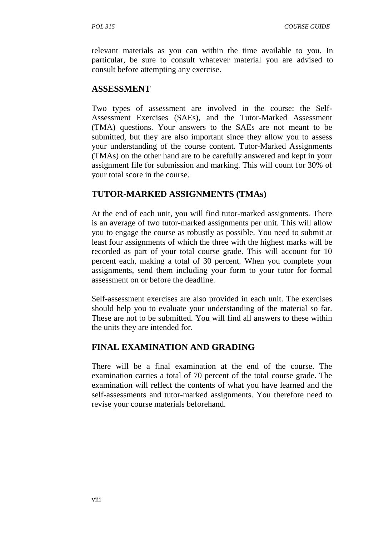relevant materials as you can within the time available to you. In particular, be sure to consult whatever material you are advised to consult before attempting any exercise.

## **ASSESSMENT**

Two types of assessment are involved in the course: the Self- Assessment Exercises (SAEs), and the Tutor-Marked Assessment (TMA) questions. Your answers to the SAEs are not meant to be submitted, but they are also important since they allow you to assess your understanding of the course content. Tutor-Marked Assignments (TMAs) on the other hand are to be carefully answered and kept in your assignment file for submission and marking. This will count for 30% of your total score in the course.

## **TUTOR-MARKED ASSIGNMENTS (TMAs)**

At the end of each unit, you will find tutor-marked assignments. There is an average of two tutor-marked assignments per unit. This will allow you to engage the course as robustly as possible. You need to submit at least four assignments of which the three with the highest marks will be recorded as part of your total course grade. This will account for 10 percent each, making a total of 30 percent. When you complete your assignments, send them including your form to your tutor for formal assessment on or before the deadline.

Self-assessment exercises are also provided in each unit. The exercises should help you to evaluate your understanding of the material so far. These are not to be submitted. You will find all answers to these within the units they are intended for.

## **FINAL EXAMINATION AND GRADING**

There will be a final examination at the end of the course. The examination carries a total of 70 percent of the total course grade. The examination will reflect the contents of what you have learned and the self-assessments and tutor-marked assignments. You therefore need to revise your course materials beforehand.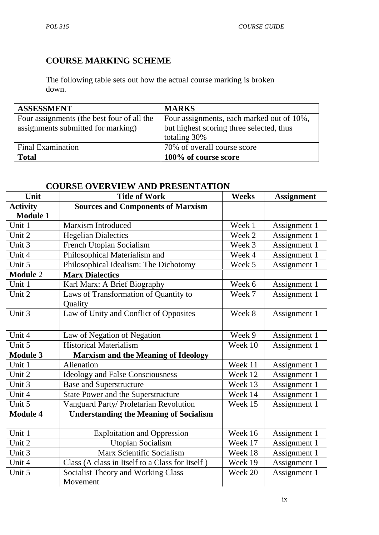# **COURSE MARKING SCHEME**

The following table sets out how the actual course marking is broken down.

| <b>ASSESSMENT</b>                          | <b>MARKS</b>                              |
|--------------------------------------------|-------------------------------------------|
| Four assignments (the best four of all the | Four assignments, each marked out of 10%, |
| assignments submitted for marking)         | but highest scoring three selected, thus  |
|                                            | totaling 30%                              |
| <b>Final Examination</b>                   | 70% of overall course score               |
| <b>Total</b>                               | 100% of course score                      |

# **COURSE OVERVIEW AND PRESENTATION**

| Unit            | <b>Title of Work</b>                            | <b>Weeks</b> | <b>Assignment</b> |
|-----------------|-------------------------------------------------|--------------|-------------------|
| <b>Activity</b> | <b>Sources and Components of Marxism</b>        |              |                   |
| Module 1        |                                                 |              |                   |
| Unit 1          | <b>Marxism Introduced</b>                       | Week 1       | Assignment 1      |
| Unit 2          | <b>Hegelian Dialectics</b>                      | Week 2       | Assignment 1      |
| Unit 3          | <b>French Utopian Socialism</b>                 | Week 3       | Assignment 1      |
| Unit 4          | Philosophical Materialism and                   | Week 4       | Assignment 1      |
| Unit 5          | Philosophical Idealism: The Dichotomy           | Week 5       | Assignment 1      |
| <b>Module 2</b> | <b>Marx Dialectics</b>                          |              |                   |
| Unit 1          | Karl Marx: A Brief Biography                    | Week 6       | Assignment 1      |
| Unit 2          | Laws of Transformation of Quantity to           | Week 7       | Assignment 1      |
|                 | Quality                                         |              |                   |
| Unit 3          | Law of Unity and Conflict of Opposites          | Week 8       | Assignment 1      |
|                 |                                                 |              |                   |
| Unit 4          | Law of Negation of Negation                     | Week 9       | Assignment 1      |
| Unit 5          | <b>Historical Materialism</b>                   | Week 10      | Assignment 1      |
| <b>Module 3</b> | <b>Marxism and the Meaning of Ideology</b>      |              |                   |
| Unit 1          | Alienation                                      | Week 11      | Assignment 1      |
| Unit 2          | <b>Ideology and False Consciousness</b>         | Week 12      | Assignment 1      |
| Unit 3          | <b>Base and Superstructure</b>                  | Week 13      | Assignment 1      |
| Unit 4          | <b>State Power and the Superstructure</b>       | Week 14      | Assignment 1      |
| Unit 5          | Vanguard Party/ Proletarian Revolution          | Week 15      | Assignment 1      |
| <b>Module 4</b> | <b>Understanding the Meaning of Socialism</b>   |              |                   |
|                 |                                                 |              |                   |
| Unit 1          | <b>Exploitation and Oppression</b>              | Week 16      | Assignment 1      |
| Unit 2          | <b>Utopian Socialism</b>                        | Week 17      | Assignment 1      |
| Unit 3          | Marx Scientific Socialism                       | Week 18      | Assignment 1      |
| Unit 4          | Class (A class in Itself to a Class for Itself) | Week 19      | Assignment 1      |
| Unit 5          | Socialist Theory and Working Class              | Week 20      | Assignment 1      |
|                 | Movement                                        |              |                   |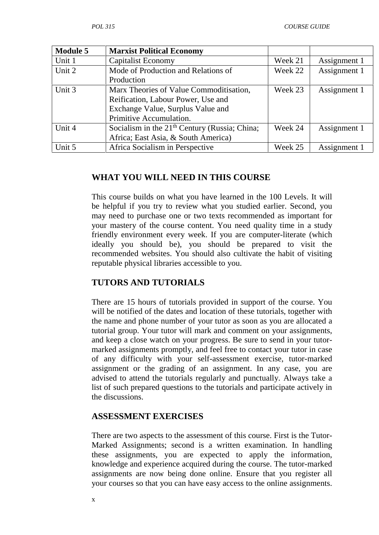| <b>Module 5</b> | <b>Marxist Political Economy</b>                          |         |              |
|-----------------|-----------------------------------------------------------|---------|--------------|
| Unit 1          | <b>Capitalist Economy</b>                                 | Week 21 | Assignment 1 |
| Unit 2          | Mode of Production and Relations of                       | Week 22 | Assignment 1 |
|                 | Production                                                |         |              |
| Unit 3          | Marx Theories of Value Commoditisation,                   | Week 23 | Assignment 1 |
|                 | Reification, Labour Power, Use and                        |         |              |
|                 | Exchange Value, Surplus Value and                         |         |              |
|                 | Primitive Accumulation.                                   |         |              |
| Unit 4          | Socialism in the 21 <sup>th</sup> Century (Russia; China; | Week 24 | Assignment 1 |
|                 | Africa; East Asia, & South America)                       |         |              |
| Unit 5          | Africa Socialism in Perspective                           | Week 25 | Assignment 1 |

#### **WHAT YOU WILL NEED IN THIS COURSE**

This course builds on what you have learned in the 100 Levels. It will be helpful if you try to review what you studied earlier. Second, you may need to purchase one or two texts recommended as important for your mastery of the course content. You need quality time in a study friendly environment every week. If you are computer-literate (which ideally you should be), you should be prepared to visit the recommended websites. You should also cultivate the habit of visiting reputable physical libraries accessible to you.

## **TUTORS AND TUTORIALS**

There are 15 hours of tutorials provided in support of the course. You will be notified of the dates and location of these tutorials, together with the name and phone number of your tutor as soon as you are allocated a tutorial group. Your tutor will mark and comment on your assignments, and keep a close watch on your progress. Be sure to send in your tutor marked assignments promptly, and feel free to contact your tutor in case of any difficulty with your self-assessment exercise, tutor-marked assignment or the grading of an assignment. In any case, you are advised to attend the tutorials regularly and punctually. Always take a list of such prepared questions to the tutorials and participate actively in the discussions.

#### **ASSESSMENT EXERCISES**

There are two aspects to the assessment of this course. First is the Tutor- Marked Assignments; second is a written examination. In handling these assignments, you are expected to apply the information, knowledge and experience acquired during the course. The tutor-marked assignments are now being done online. Ensure that you register all your courses so that you can have easy access to the online assignments.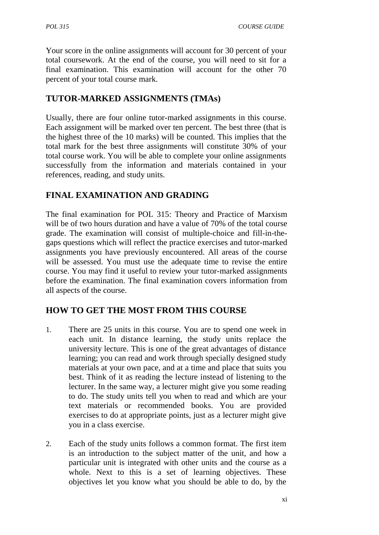Your score in the online assignments will account for 30 percent of your total coursework. At the end of the course, you will need to sit for a final examination. This examination will account for the other 70 percent of your total course mark.

# **TUTOR-MARKED ASSIGNMENTS (TMAs)**

Usually, there are four online tutor-marked assignments in this course. Each assignment will be marked over ten percent. The best three (that is the highest three of the 10 marks) will be counted. This implies that the total mark for the best three assignments will constitute 30% of your total course work. You will be able to complete your online assignments successfully from the information and materials contained in your references, reading, and study units.

# **FINAL EXAMINATION AND GRADING**

The final examination for POL 315: Theory and Practice of Marxism will be of two hours duration and have a value of 70% of the total course grade. The examination will consist of multiple-choice and fill-in-the gaps questions which will reflect the practice exercises and tutor-marked assignments you have previously encountered. All areas of the course will be assessed. You must use the adequate time to revise the entire course. You may find it useful to review your tutor-marked assignments before the examination. The final examination covers information from all aspects of the course.

# **HOW TO GET THE MOST FROM THIS COURSE**

- 1. There are 25 units in this course. You are to spend one week in each unit. In distance learning, the study units replace the university lecture. This is one of the great advantages of distance learning; you can read and work through specially designed study materials at your own pace, and at a time and place that suits you best. Think of it as reading the lecture instead of listening to the lecturer. In the same way, a lecturer might give you some reading to do. The study units tell you when to read and which are your text materials or recommended books. You are provided exercises to do at appropriate points, just as a lecturer might give you in a class exercise.
- 2. Each of the study units follows a common format. The first item is an introduction to the subject matter of the unit, and how a particular unit is integrated with other units and the course as a whole. Next to this is a set of learning objectives. These objectives let you know what you should be able to do, by the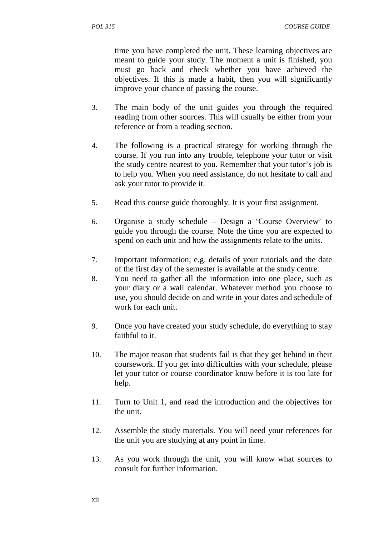time you have completed the unit. These learning objectives are meant to guide your study. The moment a unit is finished, you must go back and check whether you have achieved the objectives. If this is made a habit, then you will significantly improve your chance of passing the course.

- 3. The main body of the unit guides you through the required reading from other sources. This will usually be either from your reference or from a reading section.
- 4. The following is a practical strategy for working through the course. If you run into any trouble, telephone your tutor or visit the study centre nearest to you. Remember that your tutor's job is to help you. When you need assistance, do not hesitate to call and ask your tutor to provide it.
- 5. Read this course guide thoroughly. It is your first assignment.
- 6. Organise a study schedule Design a 'Course Overview' to guide you through the course. Note the time you are expected to spend on each unit and how the assignments relate to the units.
- 7. Important information; e.g. details of your tutorials and the date of the first day of the semester is available at the study centre.
- 8. You need to gather all the information into one place, such as your diary or a wall calendar. Whatever method you choose to use, you should decide on and write in your dates and schedule of work for each unit.
- 9. Once you have created your study schedule, do everything to stay faithful to it.
- 10. The major reason that students fail is that they get behind in their coursework. If you get into difficulties with your schedule, please let your tutor or course coordinator know before it is too late for help.
- 11. Turn to Unit 1, and read the introduction and the objectives for the unit.
- 12. Assemble the study materials. You will need your references for the unit you are studying at any point in time.
- 13. As you work through the unit, you will know what sources to consult for further information.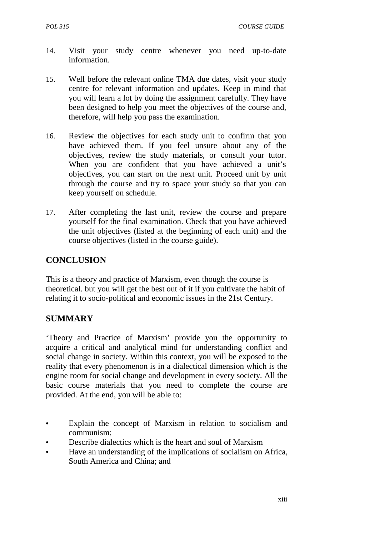- 14. Visit your study centre whenever you need up-to-date information.
- 15. Well before the relevant online TMA due dates, visit your study centre for relevant information and updates. Keep in mind that you will learn a lot by doing the assignment carefully. They have been designed to help you meet the objectives of the course and, therefore, will help you pass the examination.
- 16. Review the objectives for each study unit to confirm that you have achieved them. If you feel unsure about any of the objectives, review the study materials, or consult your tutor. When you are confident that you have achieved a unit's objectives, you can start on the next unit. Proceed unit by unit through the course and try to space your study so that you can keep yourself on schedule.
- 17. After completing the last unit, review the course and prepare yourself for the final examination. Check that you have achieved the unit objectives (listed at the beginning of each unit) and the course objectives (listed in the course guide).

# **CONCLUSION**

This is a theory and practice of Marxism, even though the course is theoretical. but you will get the best out of it if you cultivate the habit of relating it to socio-political and economic issues in the 21st Century.

## **SUMMARY**

'Theory and Practice of Marxism' provide you the opportunity to acquire a critical and analytical mind for understanding conflict and social change in society. Within this context, you will be exposed to the reality that every phenomenon is in a dialectical dimension which is the engine room for social change and development in every society. All the basic course materials that you need to complete the course are provided. At the end, you will be able to:

- Explain the concept of Marxism in relation to socialism and communism;
- Describe dialectics which is the heart and soul of Marxism
- Have an understanding of the implications of socialism on Africa, South America and China; and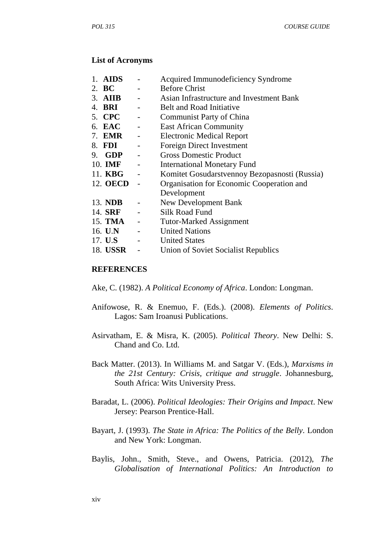#### **List of Acronyms**

|    | $1.$ AIDS       |                              | Acquired Immunodeficiency Syndrome            |
|----|-----------------|------------------------------|-----------------------------------------------|
|    | 2. <b>BC</b>    |                              | <b>Before Christ</b>                          |
|    | $3. \text{AIB}$ |                              | Asian Infrastructure and Investment Bank      |
|    | 4. <b>BRI</b>   |                              | <b>Belt and Road Initiative</b>               |
|    | 5. CPC          | $\overline{a}$               | <b>Communist Party of China</b>               |
|    | 6. EAC          | $\blacksquare$               | <b>East African Community</b>                 |
|    | 7. EMR          | $\blacksquare$               | <b>Electronic Medical Report</b>              |
| 8. | <b>FDI</b>      | $\blacksquare$               | <b>Foreign Direct Investment</b>              |
| 9. | <b>GDP</b>      | $\blacksquare$               | <b>Gross Domestic Product</b>                 |
|    | 10. IMF         | $\frac{1}{2}$                | <b>International Monetary Fund</b>            |
|    | 11. KBG         | $\blacksquare$               | Komitet Gosudarstvennoy Bezopasnosti (Russia) |
|    | 12. <b>OECD</b> |                              | Organisation for Economic Cooperation and     |
|    |                 |                              | Development                                   |
|    | 13. NDB         |                              | New Development Bank                          |
|    | 14. <b>SRF</b>  |                              | Silk Road Fund                                |
|    | 15. TMA         | $\overline{\phantom{a}}$     | <b>Tutor-Marked Assignment</b>                |
|    | 16. U.N         | $\blacksquare$               | <b>United Nations</b>                         |
|    | 17. U.S         | $\qquad \qquad \blacksquare$ | <b>United States</b>                          |
|    | 18. <b>USSR</b> | $\overline{\phantom{a}}$     | Union of Soviet Socialist Republics           |

#### **REFERENCES**

Ake, C. (1982). *A Political Economy of Africa*. London: Longman.

- Anifowose, R. & Enemuo, F. (Eds.). (2008). *Elements of Politics*. Lagos: Sam Iroanusi Publications.
- Asirvatham, E. & Misra, K. (2005). *Political Theory*. New Delhi: S. Chand and Co. Ltd.
- Back Matter. (2013). In Williams M. and Satgar V. (Eds.), *Marxisms in the 21st Century: Crisis, critique and struggle*. Johannesburg, South Africa: Wits University Press.
- Baradat, L. (2006). *Political Ideologies: Their Origins and Impact*. New Jersey: Pearson Prentice-Hall.
- Bayart, J. (1993). *The State in Africa: The Politics of the Belly*. London and New York: Longman.
- Baylis, John., Smith, Steve., and Owens, Patricia. (2012), *The Globalisation of International Politics: An Introduction to*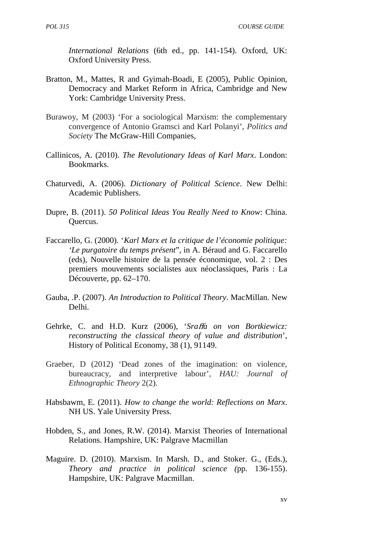*International Relations* (6th ed., pp. 141-154). Oxford, UK: Oxford University Press.

- Bratton, M., Mattes, R and Gyimah-Boadi, E (2005), Public Opinion, Democracy and Market Reform in Africa, Cambridge and New York: Cambridge University Press.
- Burawoy, M (2003) 'For a sociological Marxism: the complementary convergence of Antonio Gramsci and Karl Polanyi', *Politics and Society* The McGraw-Hill Companies,
- Callinicos, A. (2010). *The Revolutionary Ideas of Karl Marx*. London: Bookmarks.
- Chaturvedi, A. (2006). *Dictionary of Political Science*. New Delhi: Academic Publishers.
- Dupre, B. (2011). *50 Political Ideas You Really Need to Know*: China. Quercus.
- Faccarello, G. (2000). '*Karl Marx et la critique de l'économie politique: 'Le purgatoire du temps présent*", in A. Béraud and G. Faccarello (eds), Nouvelle histoire de la pensée économique, vol. 2 : Des premiers mouvements socialistes aux néoclassiques, Paris : La Découverte, pp. 62–170.
- Gauba, .P. (2007). *An Introduction to Political Theory*. MacMillan. New Delhi.
- Gehrke, C. and H.D. Kurz (2006), '*Sraffa on von Bortkiewicz: reconstructing the classical theory of value and distribution*', History of Political Economy, 38 (1), 91149.
- Graeber, D (2012) 'Dead zones of the imagination: on violence, bureaucracy, and interpretive labour', *HAU: Journal of Ethnographic Theory* 2(2).
- Habsbawm, E. (2011)*. How to change the world: Reflections on Marx*. NH US. Yale University Press.
- Hobden, S., and Jones, R.W. (2014). Marxist Theories of International Relations. Hampshire, UK: Palgrave Macmillan
- Maguire. D. (2010). Marxism. In Marsh. D., and Stoker. G., (Eds.), *Theory and practice in political science (*pp. 136-155). Hampshire, UK: Palgrave Macmillan.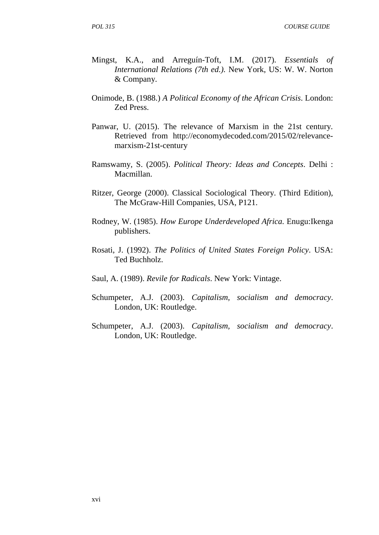- Mingst, K.A., and Arreguín-Toft, I.M. (2017). *Essentials of International Relations (7th ed.).* New York, US: W. W. Norton & Company.
- Onimode, B. (1988.) *A Political Economy of the African Crisis*. London: Zed Press.
- Panwar, U. (2015). The relevance of Marxism in the 21st century*.* Retrieved from http://economydecoded.com/2015/02/relevance marxism-21st-century
- Ramswamy, S. (2005). *Political Theory: Ideas and Concepts*. Delhi : Macmillan.
- Ritzer, George (2000). Classical Sociological Theory. (Third Edition), The McGraw-Hill Companies, USA, P121.
- Rodney, W. (1985). *How Europe Underdeveloped Africa.* Enugu:Ikenga publishers.
- Rosati, J. (1992). *The Politics of United States Foreign Policy*. USA: Ted Buchholz.
- Saul, A. (1989). *Revile for Radicals*. New York: Vintage.
- Schumpeter, A.J. (2003). *Capitalism, socialism and democracy*. London, UK: Routledge.
- Schumpeter, A.J. (2003). *Capitalism, socialism and democracy*. London, UK: Routledge.

xvi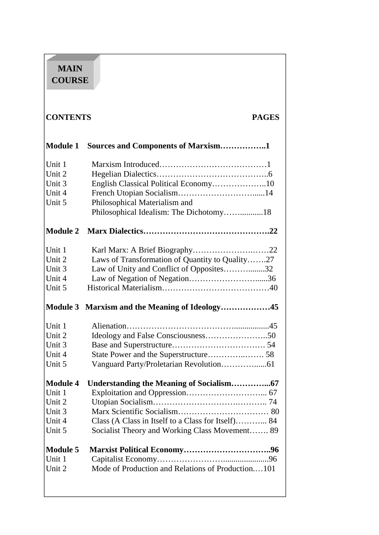| <b>MAIN</b><br><b>COURSE</b> |                                                    |
|------------------------------|----------------------------------------------------|
| <b>CONTENTS</b>              | <b>PAGES</b>                                       |
|                              |                                                    |
| Unit 1                       |                                                    |
| Unit 2                       |                                                    |
| Unit 3                       | English Classical Political Economy10              |
| Unit 4                       |                                                    |
| Unit 5                       | Philosophical Materialism and                      |
|                              | Philosophical Idealism: The Dichotomy18            |
| <b>Module 2</b>              |                                                    |
| Unit 1                       |                                                    |
| Unit 2                       | Laws of Transformation of Quantity to Quality27    |
| Unit 3                       | Law of Unity and Conflict of Opposites32           |
| Unit 4                       |                                                    |
| Unit 5                       |                                                    |
|                              | Module 3 Marxism and the Meaning of Ideology45     |
| Unit 1                       |                                                    |
| Unit 2                       |                                                    |
| Unit 3                       |                                                    |
| Unit 4                       |                                                    |
| Unit 5                       |                                                    |
| <b>Module 4</b>              |                                                    |
| Unit 1                       |                                                    |
| Unit 2                       |                                                    |
| Unit 3                       |                                                    |
| Unit 4                       | Class (A Class in Itself to a Class for Itself) 84 |
| Unit 5                       | Socialist Theory and Working Class Movement 89     |
| <b>Module 5</b>              |                                                    |
| Unit 1                       |                                                    |
| Unit 2                       | Mode of Production and Relations of Production101  |
|                              |                                                    |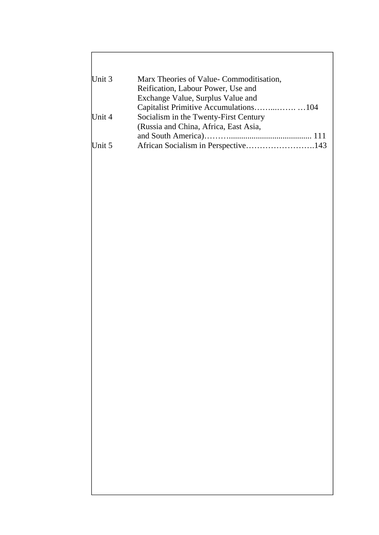| Unit 3   | Marx Theories of Value-Commoditisation,<br>Reification, Labour Power, Use and |
|----------|-------------------------------------------------------------------------------|
|          | Exchange Value, Surplus Value and                                             |
|          | Capitalist Primitive Accumulations104                                         |
| Unit 4   | Socialism in the Twenty-First Century                                         |
|          | (Russia and China, Africa, East Asia,                                         |
| Unit $5$ | African Socialism in Perspective143                                           |
|          |                                                                               |
|          |                                                                               |
|          |                                                                               |
|          |                                                                               |
|          |                                                                               |
|          |                                                                               |
|          |                                                                               |
|          |                                                                               |
|          |                                                                               |
|          |                                                                               |
|          |                                                                               |
|          |                                                                               |
|          |                                                                               |
|          |                                                                               |
|          |                                                                               |
|          |                                                                               |
|          |                                                                               |
|          |                                                                               |
|          |                                                                               |
|          |                                                                               |
|          |                                                                               |
|          |                                                                               |
|          |                                                                               |
|          |                                                                               |
|          |                                                                               |
|          |                                                                               |
|          |                                                                               |
|          |                                                                               |
|          |                                                                               |
|          |                                                                               |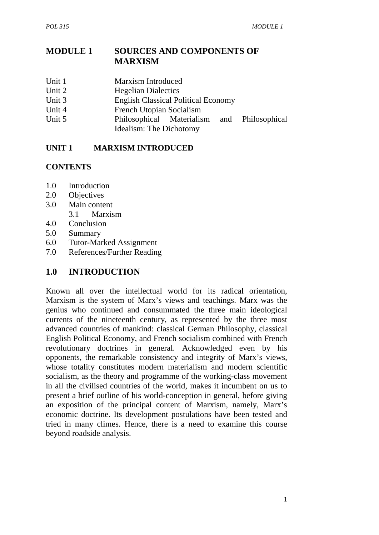# **MODULE 1 SOURCES AND COMPONENTS OF MARXISM**

- Unit 1 Marxism Introduced
- Unit 2 Hegelian Dialectics
- Unit 3 English Classical Political Economy
- Unit 4 French Utopian Socialism
- Unit 5 Philosophical Materialism and Philosophical Idealism: The Dichotomy

#### **UNIT 1 MARXISM INTRODUCED**

#### **CONTENTS**

- 1.0 Introduction
- 2.0 Objectives
- 3.0 Main content 3.1 Marxism
- 4.0 Conclusion
- 5.0 Summary
- 6.0 Tutor-Marked Assignment
- 7.0 References/Further Reading

## **1.0 INTRODUCTION**

Known all over the intellectual world for its radical orientation, Marxism is the system of Marx's views and teachings. Marx was the genius who continued and consummated the three main ideological currents of the nineteenth century, as represented by the three most advanced countries of mankind: classical German Philosophy, classical English Political Economy, and French socialism combined with French revolutionary doctrines in general. Acknowledged even by his opponents, the remarkable consistency and integrity of Marx's views, whose totality constitutes modern materialism and modern scientific socialism, as the theory and programme of the working-class movement in all the civilised countries of the world, makes it incumbent on us to present a brief outline of his world-conception in general, before giving an exposition of the principal content of Marxism, namely, Marx's economic doctrine. Its development postulations have been tested and tried in many climes. Hence, there is a need to examine this course beyond roadside analysis.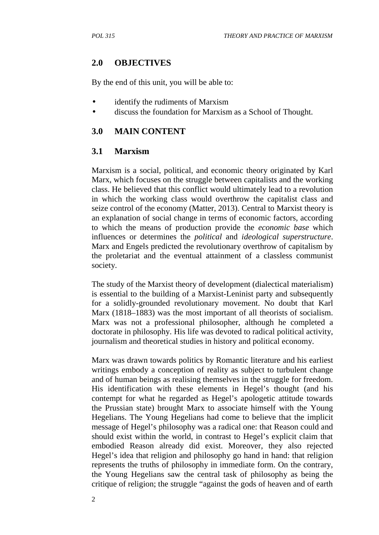#### **2.0 OBJECTIVES**

By the end of this unit, you will be able to:

- identify the rudiments of Marxism
- discuss the foundation for Marxism as a School of Thought.

#### **3.0 MAIN CONTENT**

#### **3.1 Marxism**

Marxism is a social, political, and economic theory originated by Karl Marx, which focuses on the struggle between capitalists and the working class. He believed that this conflict would ultimately lead to a revolution in which the working class would overthrow the capitalist class and seize control of the economy (Matter, 2013). Central to Marxist theory is an explanation of social change in terms of economic factors, according to which the means of production provide the *economic base* which influences or determines the *political* and *ideological superstructure*. Marx and Engels predicted the revolutionary overthrow of capitalism by the proletariat and the eventual attainment of a classless communist society.

The study of the Marxist theory of development (dialectical materialism) is essential to the building of a Marxist-Leninist party and subsequently for a solidly-grounded revolutionary movement. No doubt that Karl Marx (1818–1883) was the most important of all theorists of socialism. Marx was not a professional philosopher, although he completed a doctorate in philosophy. His life was devoted to radical political activity, journalism and theoretical studies in history and political economy.

Marx was drawn towards politics by Romantic literature and his earliest writings embody a conception of reality as subject to turbulent change and of human beings as realising themselves in the struggle for freedom. His identification with these elements in Hegel's thought (and his contempt for what he regarded as Hegel's apologetic attitude towards the Prussian state) brought Marx to associate himself with the Young Hegelians. The Young Hegelians had come to believe that the implicit message of Hegel's philosophy was a radical one: that Reason could and should exist within the world, in contrast to Hegel's explicit claim that embodied Reason already did exist. Moreover, they also rejected Hegel's idea that religion and philosophy go hand in hand: that religion represents the truths of philosophy in immediate form. On the contrary, the Young Hegelians saw the central task of philosophy as being the critique of religion; the struggle "against the gods of heaven and of earth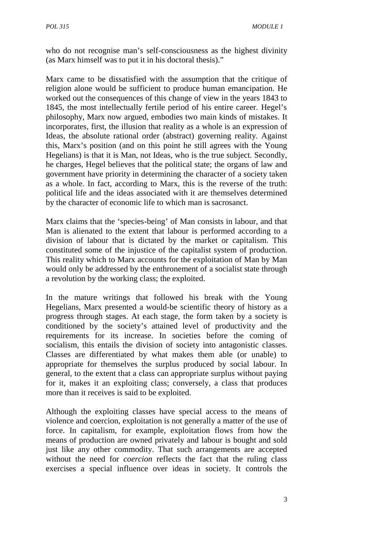who do not recognise man's self-consciousness as the highest divinity (as Marx himself was to put it in his doctoral thesis)."

Marx came to be dissatisfied with the assumption that the critique of religion alone would be sufficient to produce human emancipation. He worked out the consequences of this change of view in the years 1843 to 1845, the most intellectually fertile period of his entire career. Hegel's philosophy, Marx now argued, embodies two main kinds of mistakes. It incorporates, first, the illusion that reality as a whole is an expression of Ideas, the absolute rational order (abstract) governing reality. Against this, Marx's position (and on this point he still agrees with the Young Hegelians) is that it is Man, not Ideas, who is the true subject. Secondly, he charges, Hegel believes that the political state; the organs of law and government have priority in determining the character of a society taken as a whole. In fact, according to Marx, this is the reverse of the truth: political life and the ideas associated with it are themselves determined by the character of economic life to which man is sacrosanct.

Marx claims that the 'species-being' of Man consists in labour, and that Man is alienated to the extent that labour is performed according to a division of labour that is dictated by the market or capitalism. This constituted some of the injustice of the capitalist system of production. This reality which to Marx accounts for the exploitation of Man by Man would only be addressed by the enthronement of a socialist state through a revolution by the working class; the exploited.

In the mature writings that followed his break with the Young Hegelians, Marx presented a would-be scientific theory of history as a progress through stages. At each stage, the form taken by a society is conditioned by the society's attained level of productivity and the requirements for its increase. In societies before the coming of socialism, this entails the division of society into antagonistic classes. Classes are differentiated by what makes them able (or unable) to appropriate for themselves the surplus produced by social labour. In general, to the extent that a class can appropriate surplus without paying for it, makes it an exploiting class; conversely, a class that produces more than it receives is said to be exploited.

Although the exploiting classes have special access to the means of violence and coercion, exploitation is not generally a matter of the use of force. In capitalism, for example, exploitation flows from how the means of production are owned privately and labour is bought and sold just like any other commodity. That such arrangements are accepted without the need for *coercion* reflects the fact that the ruling class exercises a special influence over ideas in society. It controls the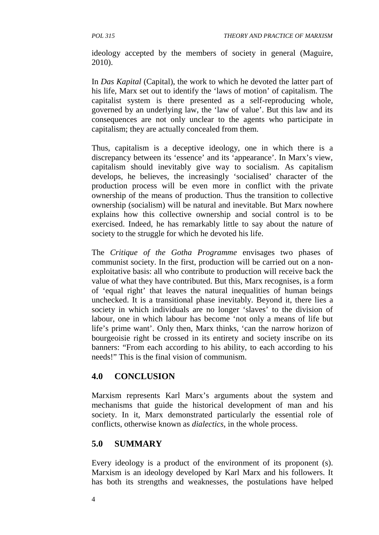ideology accepted by the members of society in general (Maguire, 2010).

In *Das Kapital* (Capital), the work to which he devoted the latter part of his life, Marx set out to identify the 'laws of motion' of capitalism. The capitalist system is there presented as a self-reproducing whole, governed by an underlying law, the 'law of value'. But this law and its consequences are not only unclear to the agents who participate in capitalism; they are actually concealed from them.

Thus, capitalism is a deceptive ideology, one in which there is a discrepancy between its 'essence' and its 'appearance'. In Marx's view, capitalism should inevitably give way to socialism. As capitalism develops, he believes, the increasingly 'socialised' character of the production process will be even more in conflict with the private ownership of the means of production. Thus the transition to collective ownership (socialism) will be natural and inevitable. But Marx nowhere explains how this collective ownership and social control is to be exercised. Indeed, he has remarkably little to say about the nature of society to the struggle for which he devoted his life.

The *Critique of the Gotha Programme* envisages two phases of communist society. In the first, production will be carried out on a non exploitative basis: all who contribute to production will receive back the value of what they have contributed. But this, Marx recognises, is a form of 'equal right' that leaves the natural inequalities of human beings unchecked. It is a transitional phase inevitably. Beyond it, there lies a society in which individuals are no longer 'slaves' to the division of labour, one in which labour has become 'not only a means of life but life's prime want'. Only then, Marx thinks, 'can the narrow horizon of bourgeoisie right be crossed in its entirety and society inscribe on its banners: "From each according to his ability, to each according to his needs!" This is the final vision of communism.

## **4.0 CONCLUSION**

Marxism represents Karl Marx's arguments about the system and mechanisms that guide the historical development of man and his society. In it, Marx demonstrated particularly the essential role of conflicts, otherwise known as *dialectics*, in the whole process.

## **5.0 SUMMARY**

Every ideology is a product of the environment of its proponent (s). Marxism is an ideology developed by Karl Marx and his followers. It has both its strengths and weaknesses, the postulations have helped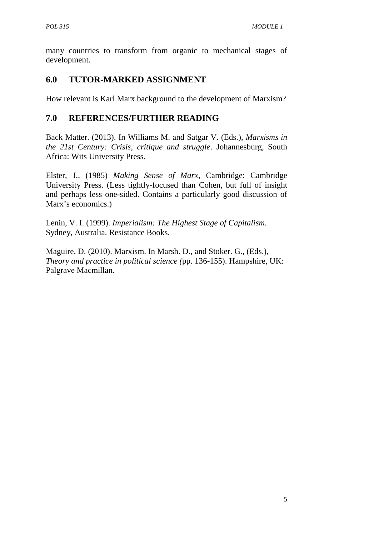many countries to transform from organic to mechanical stages of development.

# **6.0 TUTOR-MARKED ASSIGNMENT**

How relevant is Karl Marx background to the development of Marxism?

# **7.0 REFERENCES/FURTHER READING**

Back Matter. (2013). In Williams M. and Satgar V. (Eds.), *Marxisms in the 21st Century: Crisis, critique and struggle*. Johannesburg, South Africa: Wits University Press.

Elster, J., (1985) *Making Sense of Marx*, Cambridge: Cambridge University Press. (Less tightly-focused than Cohen, but full of insight and perhaps less one-sided. Contains a particularly good discussion of Marx's economics.)

Lenin, V. I. (1999). *Imperialism: The Highest Stage of Capitalism*. Sydney, Australia. Resistance Books.

Maguire. D. (2010). Marxism. In Marsh. D., and Stoker. G., (Eds.), *Theory and practice in political science (*pp. 136-155). Hampshire, UK: Palgrave Macmillan.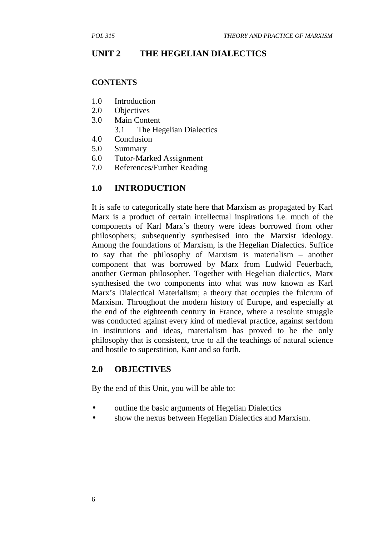#### **UNIT 2 THE HEGELIAN DIALECTICS**

#### **CONTENTS**

- 1.0 Introduction
- 2.0 Objectives
- 3.0 Main Content
	- 3.1 The Hegelian Dialectics
- 4.0 Conclusion
- 5.0 Summary
- 6.0 Tutor-Marked Assignment
- 7.0 References/Further Reading

#### **1.0 INTRODUCTION**

It is safe to categorically state here that Marxism as propagated by Karl Marx is a product of certain intellectual inspirations i.e. much of the components of Karl Marx's theory were ideas borrowed from other philosophers; subsequently synthesised into the Marxist ideology. Among the foundations of Marxism, is the Hegelian Dialectics. Suffice to say that the philosophy of Marxism is materialism – another component that was borrowed by Marx from Ludwid Feuerbach, another German philosopher. Together with Hegelian dialectics, Marx synthesised the two components into what was now known as Karl Marx's Dialectical Materialism; a theory that occupies the fulcrum of Marxism. Throughout the modern history of Europe, and especially at the end of the eighteenth century in France, where a resolute struggle was conducted against every kind of medieval practice, against serfdom in institutions and ideas, materialism has proved to be the only philosophy that is consistent, true to all the teachings of natural science and hostile to superstition, Kant and so forth.

## **2.0 OBJECTIVES**

By the end of this Unit, you will be able to:

- outline the basic arguments of Hegelian Dialectics
- show the nexus between Hegelian Dialectics and Marxism.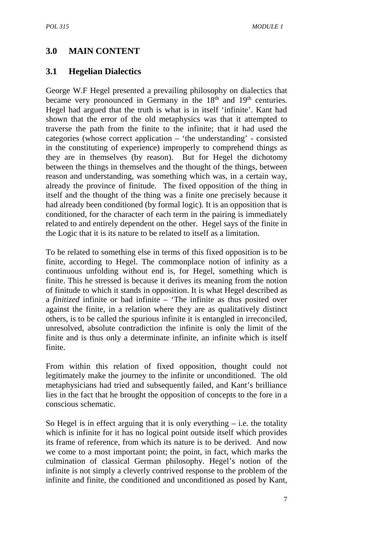# **3.0 MAIN CONTENT**

# **3.1 Hegelian Dialectics**

George W.F Hegel presented a prevailing philosophy on dialectics that became very pronounced in Germany in the  $18<sup>th</sup>$  and  $19<sup>th</sup>$  centuries. Hegel had argued that the truth is what is in itself 'infinite'. Kant had shown that the error of the old metaphysics was that it attempted to traverse the path from the finite to the infinite; that it had used the categories (whose correct application – 'the understanding' - consisted in the constituting of experience) improperly to comprehend things as they are in themselves (by reason). But for Hegel the dichotomy between the things in themselves and the thought of the things, between reason and understanding, was something which was, in a certain way, already the province of finitude. The fixed opposition of the thing in itself and the thought of the thing was a finite one precisely because it had already been conditioned (by formal logic). It is an opposition that is conditioned, for the character of each term in the pairing is immediately related to and entirely dependent on the other. Hegel says of the finite in the Logic that it is its nature to be related to itself as a limitation.

To be related to something else in terms of this fixed opposition is to be finite, according to Hegel. The commonplace notion of infinity as a continuous unfolding without end is, for Hegel, something which is finite. This he stressed is because it derives its meaning from the notion of finitude to which it stands in opposition. It is what Hegel described as a *finitized* infinite or bad infinite – 'The infinite as thus posited over against the finite, in a relation where they are as qualitatively distinct others, is to be called the spurious infinite it is entangled in irreconciled, unresolved, absolute contradiction the infinite is only the limit of the finite and is thus only a determinate infinite, an infinite which is itself finite.

From within this relation of fixed opposition, thought could not legitimately make the journey to the infinite or unconditioned. The old metaphysicians had tried and subsequently failed, and Kant's brilliance lies in the fact that he brought the opposition of concepts to the fore in a conscious schematic.

So Hegel is in effect arguing that it is only everything  $-$  i.e. the totality which is infinite for it has no logical point outside itself which provides its frame of reference, from which its nature is to be derived. And now we come to a most important point; the point, in fact, which marks the culmination of classical German philosophy. Hegel's notion of the infinite is not simply a cleverly contrived response to the problem of the infinite and finite, the conditioned and unconditioned as posed by Kant,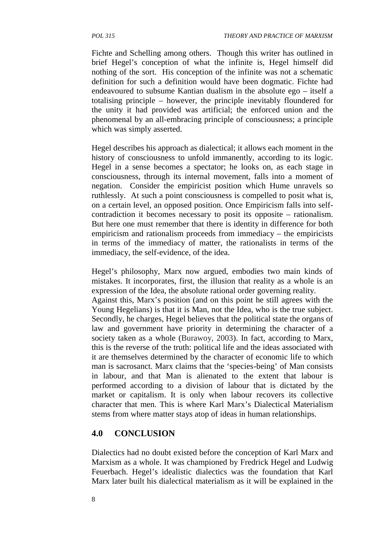Fichte and Schelling among others. Though this writer has outlined in brief Hegel's conception of what the infinite is, Hegel himself did nothing of the sort. His conception of the infinite was not a schematic definition for such a definition would have been dogmatic. Fichte had endeavoured to subsume Kantian dualism in the absolute ego – itself a totalising principle – however, the principle inevitably floundered for the unity it had provided was artificial; the enforced union and the phenomenal by an all-embracing principle of consciousness; a principle which was simply asserted.

Hegel describes his approach as dialectical; it allows each moment in the history of consciousness to unfold immanently, according to its logic. Hegel in a sense becomes a spectator; he looks on, as each stage in consciousness, through its internal movement, falls into a moment of negation. Consider the empiricist position which Hume unravels so ruthlessly. At such a point consciousness is compelled to posit what is, on a certain level, an opposed position. Once Empiricism falls into self contradiction it becomes necessary to posit its opposite – rationalism. But here one must remember that there is identity in difference for both empiricism and rationalism proceeds from immediacy – the empiricists in terms of the immediacy of matter, the rationalists in terms of the immediacy, the self-evidence, of the idea.

Hegel's philosophy, Marx now argued, embodies two main kinds of mistakes. It incorporates, first, the illusion that reality as a whole is an expression of the Idea, the absolute rational order governing reality. Against this, Marx's position (and on this point he still agrees with the Young Hegelians) is that it is Man, not the Idea, who is the true subject. Secondly, he charges, Hegel believes that the political state the organs of law and government have priority in determining the character of a society taken as a whole (Burawoy, 2003). In fact, according to Marx, this is the reverse of the truth: political life and the ideas associated with it are themselves determined by the character of economic life to which man is sacrosanct. Marx claims that the 'species-being' of Man consists in labour, and that Man is alienated to the extent that labour is performed according to a division of labour that is dictated by the market or capitalism. It is only when labour recovers its collective character that men. This is where Karl Marx's Dialectical Materialism stems from where matter stays atop of ideas in human relationships.

## **4.0 CONCLUSION**

Dialectics had no doubt existed before the conception of Karl Marx and Marxism as a whole. It was championed by Fredrick Hegel and Ludwig Feuerbach. Hegel's idealistic dialectics was the foundation that Karl Marx later built his dialectical materialism as it will be explained in the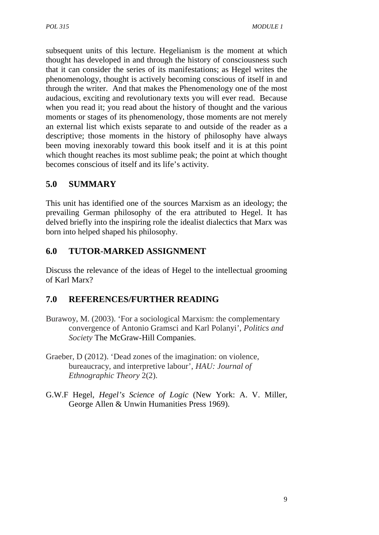subsequent units of this lecture. Hegelianism is the moment at which thought has developed in and through the history of consciousness such that it can consider the series of its manifestations; as Hegel writes the phenomenology, thought is actively becoming conscious of itself in and through the writer. And that makes the Phenomenology one of the most audacious, exciting and revolutionary texts you will ever read. Because when you read it; you read about the history of thought and the various moments or stages of its phenomenology, those moments are not merely an external list which exists separate to and outside of the reader as a descriptive; those moments in the history of philosophy have always been moving inexorably toward this book itself and it is at this point which thought reaches its most sublime peak; the point at which thought becomes conscious of itself and its life's activity.

# **5.0 SUMMARY**

This unit has identified one of the sources Marxism as an ideology; the prevailing German philosophy of the era attributed to Hegel. It has delved briefly into the inspiring role the idealist dialectics that Marx was born into helped shaped his philosophy.

# **6.0 TUTOR-MARKED ASSIGNMENT**

Discuss the relevance of the ideas of Hegel to the intellectual grooming of Karl Marx?

# **7.0 REFERENCES/FURTHER READING**

- Burawoy, M. (2003). 'For a sociological Marxism: the complementary convergence of Antonio Gramsci and Karl Polanyi', *Politics and Society* The McGraw-Hill Companies.
- Graeber, D (2012). 'Dead zones of the imagination: on violence, bureaucracy, and interpretive labour', *HAU: Journal of Ethnographic Theory* 2(2).
- G.W.F Hegel*, Hegel's Science of Logic* (New York: A. V. Miller, George Allen & Unwin Humanities Press 1969).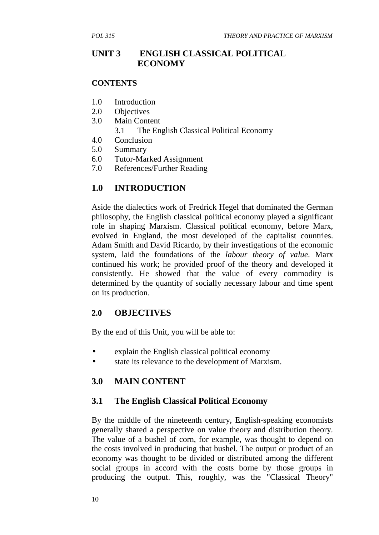#### **UNIT 3 ENGLISH CLASSICAL POLITICAL ECONOMY**

#### **CONTENTS**

- 1.0 Introduction
- 2.0 Objectives
- 3.0 Main Content
	- 3.1 The English Classical Political Economy
- 4.0 Conclusion
- 5.0 Summary
- 6.0 Tutor-Marked Assignment
- 7.0 References/Further Reading

## **1.0 INTRODUCTION**

Aside the dialectics work of Fredrick Hegel that dominated the German philosophy, the English classical political economy played a significant role in shaping Marxism. Classical political economy, before Marx, evolved in England, the most developed of the capitalist countries. Adam Smith and David Ricardo, by their investigations of the economic system, laid the foundations of the *labour theory of value*. Marx continued his work; he provided proof of the theory and developed it consistently. He showed that the value of every commodity is determined by the quantity of socially necessary labour and time spent on its production.

#### **2.0 OBJECTIVES**

By the end of this Unit, you will be able to:

- explain the English classical political economy
- state its relevance to the development of Marxism.

#### **3.0 MAIN CONTENT**

#### **3.1 The English Classical Political Economy**

By the middle of the nineteenth century, English-speaking economists generally shared a perspective on value theory and distribution theory. The value of a bushel of corn, for example, was thought to depend on the costs involved in producing that bushel. The output or product of an economy was thought to be divided or distributed among the different social groups in accord with the costs borne by those groups in producing the output. This, roughly, was the "Classical Theory"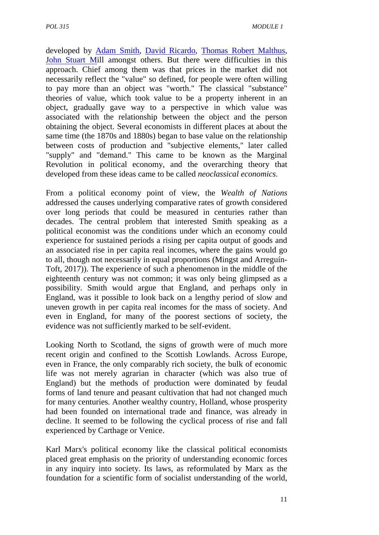developed by Adam Smith, David Ricardo, Thomas Robert Malthus, John Stuart Mill amongst others. But there were difficulties in this approach. Chief among them was that prices in the market did not necessarily reflect the "value" so defined, for people were often willing to pay more than an object was "worth." The classical "substance" theories of value, which took value to be a property inherent in an object, gradually gave way to a perspective in which value was associated with the relationship between the object and the person obtaining the object. Several economists in different places at about the same time (the 1870s and 1880s) began to base value on the relationship between costs of production and "subjective elements," later called "supply" and "demand." This came to be known as the Marginal Revolution in political economy, and the overarching theory that developed from these ideas came to be called *neoclassical economics*.

From a political economy point of view, the *Wealth of Nations* addressed the causes underlying comparative rates of growth considered over long periods that could be measured in centuries rather than decades. The central problem that interested Smith speaking as a political economist was the conditions under which an economy could experience for sustained periods a rising per capita output of goods and an associated rise in per capita real incomes, where the gains would go to all, though not necessarily in equal proportions (Mingst and Arreguín- Toft, 2017)). The experience of such a phenomenon in the middle of the eighteenth century was not common; it was only being glimpsed as a possibility. Smith would argue that England, and perhaps only in England, was it possible to look back on a lengthy period of slow and uneven growth in per capita real incomes for the mass of society. And even in England, for many of the poorest sections of society, the evidence was not sufficiently marked to be self-evident.

Looking North to Scotland, the signs of growth were of much more recent origin and confined to the Scottish Lowlands. Across Europe, even in France, the only comparably rich society, the bulk of economic life was not merely agrarian in character (which was also true of England) but the methods of production were dominated by feudal forms of land tenure and peasant cultivation that had not changed much for many centuries. Another wealthy country, Holland, whose prosperity had been founded on international trade and finance, was already in decline. It seemed to be following the cyclical process of rise and fall experienced by Carthage or Venice.

Karl Marx's political economy like the classical political economists placed great emphasis on the priority of understanding economic forces in any inquiry into society. Its laws, as reformulated by Marx as the foundation for a scientific form of socialist understanding of the world,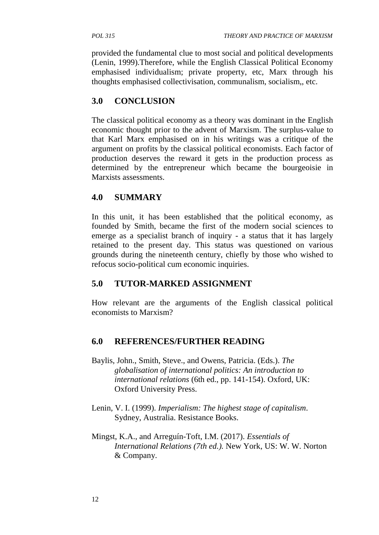provided the fundamental clue to most social and political developments (Lenin, 1999).Therefore, while the English Classical Political Economy emphasised individualism; private property, etc, Marx through his thoughts emphasised collectivisation, communalism, socialism,, etc.

# **3.0 CONCLUSION**

The classical political economy as a theory was dominant in the English economic thought prior to the advent of Marxism. The surplus-value to that Karl Marx emphasised on in his writings was a critique of the argument on profits by the classical political economists. Each factor of production deserves the reward it gets in the production process as determined by the entrepreneur which became the bourgeoisie in Marxists assessments.

# **4.0 SUMMARY**

In this unit, it has been established that the political economy, as founded by Smith, became the first of the modern social sciences to emerge as a specialist branch of inquiry - a status that it has largely retained to the present day. This status was questioned on various grounds during the nineteenth century, chiefly by those who wished to refocus socio-political cum economic inquiries.

# **5.0 TUTOR-MARKED ASSIGNMENT**

How relevant are the arguments of the English classical political economists to Marxism?

# **6.0 REFERENCES/FURTHER READING**

- Baylis, John., Smith, Steve., and Owens, Patricia. (Eds.). *The globalisation of international politics: An introduction to international relations* (6th ed., pp. 141-154). Oxford, UK: Oxford University Press.
- Lenin, V. I. (1999). *Imperialism: The highest stage of capitalism*. Sydney, Australia. Resistance Books.
- Mingst, K.A., and Arreguín-Toft, I.M. (2017). *Essentials of International Relations (7th ed.).* New York, US: W. W. Norton & Company.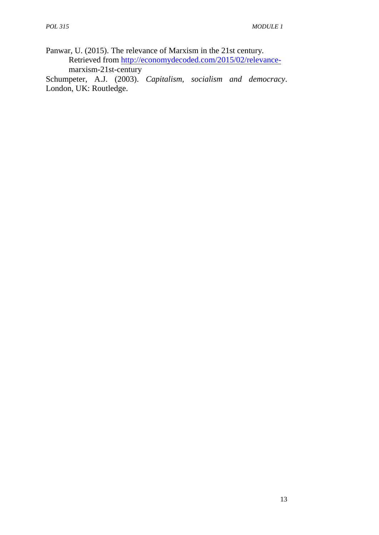Panwar, U. (2015). The relevance of Marxism in the 21st century*.* Retrieved from http://economydecoded.com/2015/02/relevance marxism-21st-century

Schumpeter, A.J. (2003). *Capitalism, socialism and democracy*. London, UK: Routledge.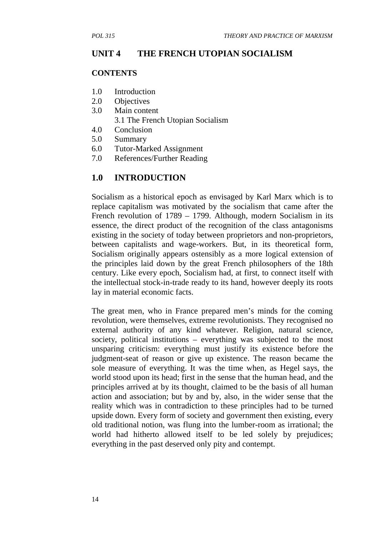#### **UNIT 4 THE FRENCH UTOPIAN SOCIALISM**

#### **CONTENTS**

- 1.0 Introduction
- 2.0 Objectives
- 3.0 Main content
	- 3.1 The French Utopian Socialism
- 4.0 Conclusion
- 5.0 Summary
- 6.0 Tutor-Marked Assignment
- 7.0 References/Further Reading

## **1.0 INTRODUCTION**

Socialism as a historical epoch as envisaged by Karl Marx which is to replace capitalism was motivated by the socialism that came after the French revolution of 1789 – 1799. Although, modern Socialism in its essence, the direct product of the recognition of the class antagonisms existing in the society of today between proprietors and non-proprietors, between capitalists and wage-workers. But, in its theoretical form, Socialism originally appears ostensibly as a more logical extension of the principles laid down by the great French philosophers of the 18th century. Like every epoch, Socialism had, at first, to connect itself with the intellectual stock-in-trade ready to its hand, however deeply its roots lay in material economic facts.

The great men, who in France prepared men's minds for the coming revolution, were themselves, extreme revolutionists. They recognised no external authority of any kind whatever. Religion, natural science, society, political institutions – everything was subjected to the most unsparing criticism: everything must justify its existence before the judgment-seat of reason or give up existence. The reason became the sole measure of everything. It was the time when, as Hegel says, the world stood upon its head; first in the sense that the human head, and the principles arrived at by its thought, claimed to be the basis of all human action and association; but by and by, also, in the wider sense that the reality which was in contradiction to these principles had to be turned upside down. Every form of society and government then existing, every old traditional notion, was flung into the lumber-room as irrational; the world had hitherto allowed itself to be led solely by prejudices; everything in the past deserved only pity and contempt.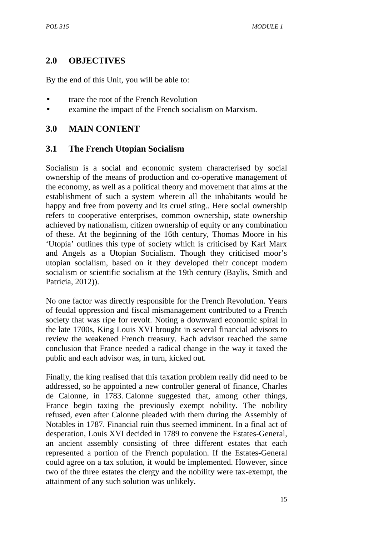# **2.0 OBJECTIVES**

By the end of this Unit, you will be able to:

- trace the root of the French Revolution
- examine the impact of the French socialism on Marxism.

## **3.0 MAIN CONTENT**

## **3.1 The French Utopian Socialism**

Socialism is a social and economic system characterised by social ownership of the means of production and co-operative management of the economy, as well as a political theory and movement that aims at the establishment of such a system wherein all the inhabitants would be happy and free from poverty and its cruel sting.. Here social ownership refers to cooperative enterprises, common ownership, state ownership achieved by nationalism, citizen ownership of equity or any combination of these. At the beginning of the 16th century, Thomas Moore in his 'Utopia' outlines this type of society which is criticised by Karl Marx and Angels as a Utopian Socialism. Though they criticised moor's utopian socialism, based on it they developed their concept modern socialism or scientific socialism at the 19th century (Baylis, Smith and Patricia, 2012)).

No one factor was directly responsible for the French Revolution. Years of feudal oppression and fiscal mismanagement contributed to a French society that was ripe for revolt. Noting a downward economic spiral in the late 1700s, King Louis XVI brought in several financial advisors to review the weakened French treasury. Each advisor reached the same conclusion that France needed a radical change in the way it taxed the public and each advisor was, in turn, kicked out.

Finally, the king realised that this taxation problem really did need to be addressed, so he appointed a new controller general of finance, Charles de Calonne, in 1783. Calonne suggested that, among other things, France begin taxing the previously exempt nobility. The nobility refused, even after Calonne pleaded with them during the Assembly of Notables in 1787. Financial ruin thus seemed imminent. In a final act of desperation, Louis XVI decided in 1789 to convene the Estates-General, an ancient assembly consisting of three different estates that each represented a portion of the French population. If the Estates-General could agree on a tax solution, it would be implemented. However, since two of the three estates the clergy and the nobility were tax-exempt, the attainment of any such solution was unlikely.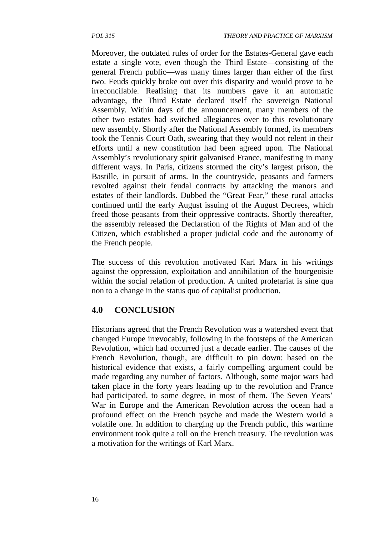Moreover, the outdated rules of order for the Estates-General gave each estate a single vote, even though the Third Estate—consisting of the general French public—was many times larger than either of the first two. Feuds quickly broke out over this disparity and would prove to be irreconcilable. Realising that its numbers gave it an automatic advantage, the Third Estate declared itself the sovereign National Assembly. Within days of the announcement, many members of the other two estates had switched allegiances over to this revolutionary new assembly. Shortly after the National Assembly formed, its members took the Tennis Court Oath, swearing that they would not relent in their efforts until a new constitution had been agreed upon. The National Assembly's revolutionary spirit galvanised France, manifesting in many different ways. In Paris, citizens stormed the city's largest prison, the Bastille, in pursuit of arms. In the countryside, peasants and farmers revolted against their feudal contracts by attacking the manors and estates of their landlords. Dubbed the "Great Fear," these rural attacks continued until the early August issuing of the August Decrees, which freed those peasants from their oppressive contracts. Shortly thereafter, the assembly released the Declaration of the Rights of Man and of the Citizen, which established a proper judicial code and the autonomy of the French people.

The success of this revolution motivated Karl Marx in his writings against the oppression, exploitation and annihilation of the bourgeoisie within the social relation of production. A united proletariat is sine qua non to a change in the status quo of capitalist production.

## **4.0 CONCLUSION**

Historians agreed that the French Revolution was a watershed event that changed Europe irrevocably, following in the footsteps of the American Revolution, which had occurred just a decade earlier. The causes of the French Revolution, though, are difficult to pin down: based on the historical evidence that exists, a fairly compelling argument could be made regarding any number of factors. Although, some major wars had taken place in the forty years leading up to the revolution and France had participated, to some degree, in most of them. The Seven Years' War in Europe and the American Revolution across the ocean had a profound effect on the French psyche and made the Western world a volatile one. In addition to charging up the French public, this wartime environment took quite a toll on the French treasury. The revolution was a motivation for the writings of Karl Marx.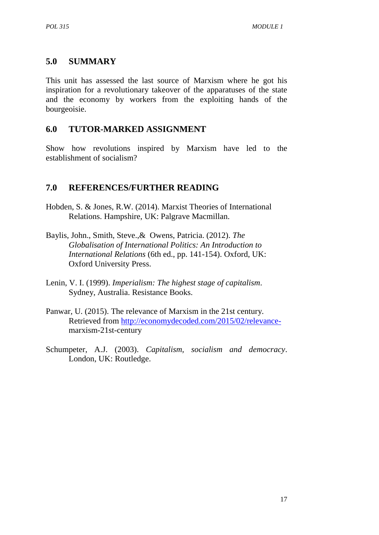# **5.0 SUMMARY**

This unit has assessed the last source of Marxism where he got his inspiration for a revolutionary takeover of the apparatuses of the state and the economy by workers from the exploiting hands of the bourgeoisie.

# **6.0 TUTOR-MARKED ASSIGNMENT**

Show how revolutions inspired by Marxism have led to the establishment of socialism?

# **7.0 REFERENCES/FURTHER READING**

- Hobden, S. & Jones, R.W. (2014). Marxist Theories of International Relations. Hampshire, UK: Palgrave Macmillan.
- Baylis, John., Smith, Steve.,& Owens, Patricia. (2012). *The Globalisation of International Politics: An Introduction to International Relations* (6th ed., pp. 141-154). Oxford, UK: Oxford University Press.
- Lenin, V. I. (1999). *Imperialism: The highest stage of capitalism*. Sydney, Australia. Resistance Books.
- Panwar, U. (2015). The relevance of Marxism in the 21st century*.* Retrieved from http://economydecoded.com/2015/02/relevance marxism-21st-century
- Schumpeter, A.J. (2003). *Capitalism, socialism and democracy*. London, UK: Routledge.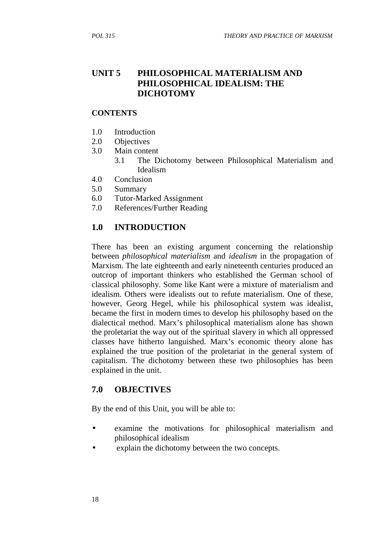# **UNIT 5 PHILOSOPHICAL MATERIALISM AND PHILOSOPHICAL IDEALISM: THE DICHOTOMY**

#### **CONTENTS**

- 1.0 Introduction
- 2.0 Objectives
- 3.0 Main content
	- 3.1 The Dichotomy between Philosophical Materialism and Idealism
- 4.0 Conclusion
- 5.0 Summary
- 6.0 Tutor-Marked Assignment
- 7.0 References/Further Reading

### **1.0 INTRODUCTION**

There has been an existing argument concerning the relationship between *philosophical materialism* and *idealism* in the propagation of Marxism. The late eighteenth and early nineteenth centuries produced an outcrop of important thinkers who established the German school of classical philosophy. Some like Kant were a mixture of materialism and idealism. Others were idealists out to refute materialism. One of these, however, Georg Hegel, while his philosophical system was idealist, became the first in modern times to develop his philosophy based on the dialectical method. Marx's philosophical materialism alone has shown the proletariat the way out of the spiritual slavery in which all oppressed classes have hitherto languished. Marx's economic theory alone has explained the true position of the proletariat in the general system of capitalism. The dichotomy between these two philosophies has been explained in the unit.

### **7.0 OBJECTIVES**

By the end of this Unit, you will be able to:

- examine the motivations for philosophical materialism and philosophical idealism
- explain the dichotomy between the two concepts.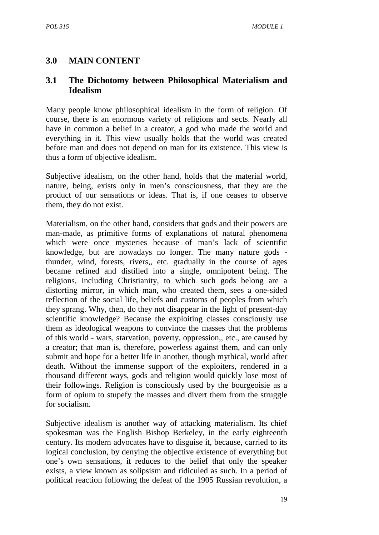# **3.0 MAIN CONTENT**

# **3.1 The Dichotomy between Philosophical Materialism and Idealism**

Many people know philosophical idealism in the form of religion. Of course, there is an enormous variety of religions and sects. Nearly all have in common a belief in a creator, a god who made the world and everything in it. This view usually holds that the world was created before man and does not depend on man for its existence. This view is thus a form of objective idealism.

Subjective idealism, on the other hand, holds that the material world, nature, being, exists only in men's consciousness, that they are the product of our sensations or ideas. That is, if one ceases to observe them, they do not exist.

Materialism, on the other hand, considers that gods and their powers are man-made, as primitive forms of explanations of natural phenomena which were once mysteries because of man's lack of scientific knowledge, but are nowadays no longer. The many nature gods thunder, wind, forests, rivers,, etc. gradually in the course of ages became refined and distilled into a single, omnipotent being. The religions, including Christianity, to which such gods belong are a distorting mirror, in which man, who created them, sees a one-sided reflection of the social life, beliefs and customs of peoples from which they sprang. Why, then, do they not disappear in the light of present-day scientific knowledge? Because the exploiting classes consciously use them as ideological weapons to convince the masses that the problems of this world - wars, starvation, poverty, oppression,, etc., are caused by a creator; that man is, therefore, powerless against them, and can only submit and hope for a better life in another, though mythical, world after death. Without the immense support of the exploiters, rendered in a thousand different ways, gods and religion would quickly lose most of their followings. Religion is consciously used by the bourgeoisie as a form of opium to stupefy the masses and divert them from the struggle for socialism.

Subjective idealism is another way of attacking materialism. Its chief spokesman was the English Bishop Berkeley, in the early eighteenth century. Its modern advocates have to disguise it, because, carried to its logical conclusion, by denying the objective existence of everything but one's own sensations, it reduces to the belief that only the speaker exists, a view known as solipsism and ridiculed as such. In a period of political reaction following the defeat of the 1905 Russian revolution, a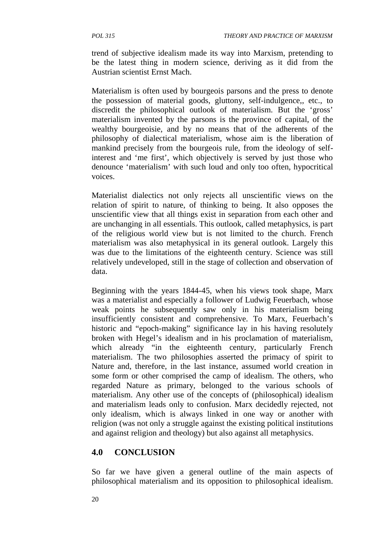trend of subjective idealism made its way into Marxism, pretending to be the latest thing in modern science, deriving as it did from the Austrian scientist Ernst Mach.

Materialism is often used by bourgeois parsons and the press to denote the possession of material goods, gluttony, self-indulgence,, etc., to discredit the philosophical outlook of materialism. But the 'gross' materialism invented by the parsons is the province of capital, of the wealthy bourgeoisie, and by no means that of the adherents of the philosophy of dialectical materialism, whose aim is the liberation of mankind precisely from the bourgeois rule, from the ideology of selfinterest and 'me first', which objectively is served by just those who denounce 'materialism' with such loud and only too often, hypocritical voices.

Materialist dialectics not only rejects all unscientific views on the relation of spirit to nature, of thinking to being. It also opposes the unscientific view that all things exist in separation from each other and are unchanging in all essentials. This outlook, called metaphysics, is part of the religious world view but is not limited to the church. French materialism was also metaphysical in its general outlook. Largely this was due to the limitations of the eighteenth century. Science was still relatively undeveloped, still in the stage of collection and observation of data.

Beginning with the years 1844-45, when his views took shape, Marx was a materialist and especially a follower of Ludwig Feuerbach, whose weak points he subsequently saw only in his materialism being insufficiently consistent and comprehensive. To Marx, Feuerbach's historic and "epoch-making" significance lay in his having resolutely broken with Hegel's idealism and in his proclamation of materialism, which already "in the eighteenth century, particularly French materialism. The two philosophies asserted the primacy of spirit to Nature and, therefore, in the last instance, assumed world creation in some form or other comprised the camp of idealism. The others, who regarded Nature as primary, belonged to the various schools of materialism. Any other use of the concepts of (philosophical) idealism and materialism leads only to confusion. Marx decidedly rejected, not only idealism, which is always linked in one way or another with religion (was not only a struggle against the existing political institutions and against religion and theology) but also against all metaphysics.

# **4.0 CONCLUSION**

So far we have given a general outline of the main aspects of philosophical materialism and its opposition to philosophical idealism.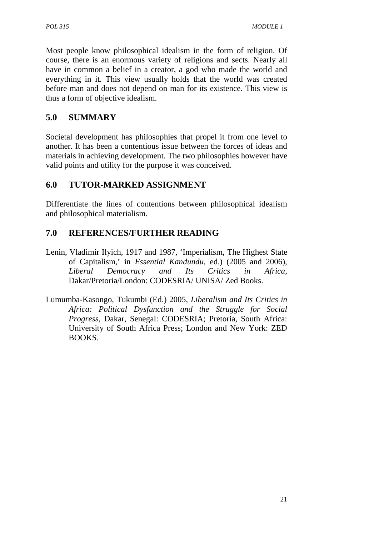Most people know philosophical idealism in the form of religion. Of course, there is an enormous variety of religions and sects. Nearly all have in common a belief in a creator, a god who made the world and everything in it. This view usually holds that the world was created before man and does not depend on man for its existence. This view is thus a form of objective idealism.

# **5.0 SUMMARY**

Societal development has philosophies that propel it from one level to another. It has been a contentious issue between the forces of ideas and materials in achieving development. The two philosophies however have valid points and utility for the purpose it was conceived.

# **6.0 TUTOR-MARKED ASSIGNMENT**

Differentiate the lines of contentions between philosophical idealism and philosophical materialism.

# **7.0 REFERENCES/FURTHER READING**

- Lenin, Vladimir Ilyich, 1917 and 1987, 'Imperialism, The Highest State of Capitalism,' in *Essential Kandundu,* ed.) (2005 and 2006), *Liberal Democracy and Its Critics in Africa*, Dakar/Pretoria/London: CODESRIA/ UNISA/ Zed Books.
- Lumumba-Kasongo, Tukumbi (Ed.) 2005, *Liberalism and Its Critics in Africa: Political Dysfunction and the Struggle for Social Progress,* Dakar, Senegal: CODESRIA; Pretoria, South Africa: University of South Africa Press; London and New York: ZED BOOKS.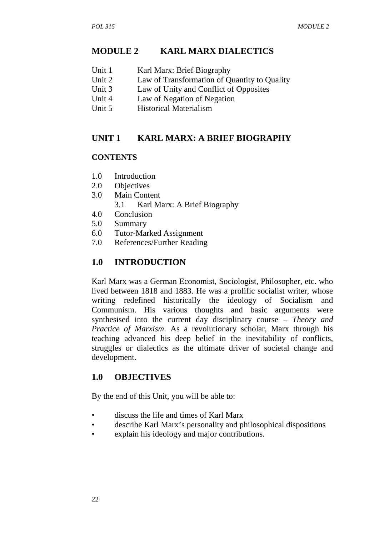### **MODULE 2 KARL MARX DIALECTICS**

- Unit 1 Karl Marx: Brief Biography
- Unit 2 Law of Transformation of Quantity to Quality
- Unit 3 Law of Unity and Conflict of Opposites
- Unit 4 Law of Negation of Negation
- Unit 5 Historical Materialism

# **UNIT 1 KARL MARX: A BRIEF BIOGRAPHY**

### **CONTENTS**

- 1.0 Introduction
- 2.0 Objectives
- 3.0 Main Content
	- 3.1 Karl Marx: A Brief Biography
- 4.0 Conclusion
- 5.0 Summary
- 6.0 Tutor-Marked Assignment
- 7.0 References/Further Reading

# **1.0 INTRODUCTION**

Karl Marx was a German Economist, Sociologist, Philosopher, etc. who lived between 1818 and 1883. He was a prolific socialist writer, whose writing redefined historically the ideology of Socialism and Communism. His various thoughts and basic arguments were synthesised into the current day disciplinary course – *Theory and Practice of Marxism*. As a revolutionary scholar, Marx through his teaching advanced his deep belief in the inevitability of conflicts, struggles or dialectics as the ultimate driver of societal change and development.

# **1.0 OBJECTIVES**

By the end of this Unit, you will be able to:

- discuss the life and times of Karl Marx
- describe Karl Marx's personality and philosophical dispositions
- explain his ideology and major contributions.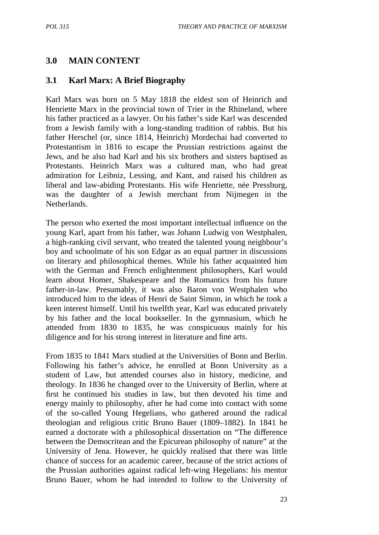### **3.0 MAIN CONTENT**

### **3.1 Karl Marx: A Brief Biography**

Karl Marx was born on 5 May 1818 the eldest son of Heinrich and Henriette Marx in the provincial town of Trier in the Rhineland, where his father practiced as a lawyer. On his father's side Karl was descended from a Jewish family with a long-standing tradition of rabbis. But his father Herschel (or, since 1814, Heinrich) Mordechai had converted to Protestantism in 1816 to escape the Prussian restrictions against the Jews, and he also had Karl and his six brothers and sisters baptised as Protestants. Heinrich Marx was a cultured man, who had great admiration for Leibniz, Lessing, and Kant, and raised his children as liberal and law-abiding Protestants. His wife Henriette, née Pressburg, was the daughter of a Jewish merchant from Nijmegen in the Netherlands.

The person who exerted the most important intellectual influence on the young Karl, apart from his father, was Johann Ludwig von Westphalen, a high-ranking civil servant, who treated the talented young neighbour's boy and schoolmate of his son Edgar as an equal partner in discussions on literary and philosophical themes. While his father acquainted him with the German and French enlightenment philosophers, Karl would learn about Homer, Shakespeare and the Romantics from his future father-in-law. Presumably, it was also Baron von Westphalen who introduced him to the ideas of Henri de Saint Simon, in which he took a keen interest himself. Until his twelfth year, Karl was educated privately by his father and the local bookseller. In the gymnasium, which he attended from 1830 to 1835, he was conspicuous mainly for his diligence and for his strong interest in literature and fine arts.

From 1835 to 1841 Marx studied at the Universities of Bonn and Berlin. Following his father's advice, he enrolled at Bonn University as a student of Law, but attended courses also in history, medicine, and theology. In 1836 he changed over to the University of Berlin, where at first he continued his studies in law, but then devoted his time and energy mainly to philosophy, after he had come into contact with some of the so-called Young Hegelians, who gathered around the radical theologian and religious critic Bruno Bauer (1809–1882). In 1841 he earned a doctorate with a philosophical dissertation on "The difference between the Democritean and the Epicurean philosophy of nature" at the University of Jena. However, he quickly realised that there was little chance of success for an academic career, because of the strict actions of the Prussian authorities against radical left-wing Hegelians: his mentor Bruno Bauer, whom he had intended to follow to the University of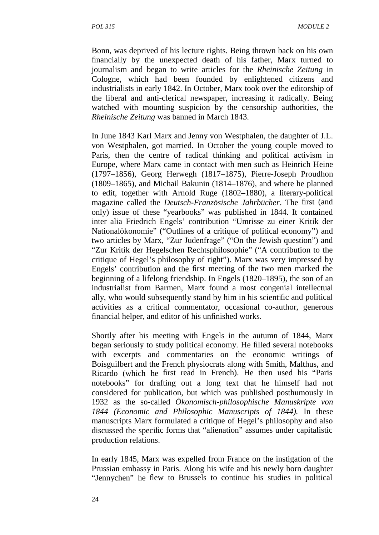Bonn, was deprived of his lecture rights. Being thrown back on his own financially by the unexpected death of his father, Marx turned to journalism and began to write articles for the *Rheinische Zeitung* in Cologne, which had been founded by enlightened citizens and industrialists in early 1842. In October, Marx took over the editorship of the liberal and anti-clerical newspaper, increasing it radically. Being watched with mounting suspicion by the censorship authorities, the *Rheinische Zeitung* was banned in March 1843.

In June 1843 Karl Marx and Jenny von Westphalen, the daughter of J.L. von Westphalen, got married. In October the young couple moved to Paris, then the centre of radical thinking and political activism in Europe, where Marx came in contact with men such as Heinrich Heine (1797–1856), Georg Herwegh (1817–1875), Pierre-Joseph Proudhon (1809–1865), and Michail Bakunin (1814–1876), and where he planned to edit, together with Arnold Ruge (1802–1880), a literary-political magazine called the *Deutsch-Französische Jahrbücher*. The first (and only) issue of these "yearbooks" was published in 1844. It contained inter alia Friedrich Engels' contribution "Umrisse zu einer Kritik der Nationalökonomie" ("Outlines of a critique of political economy") and two articles by Marx, "Zur Judenfrage" ("On the Jewish question") and "Zur Kritik der Hegelschen Rechtsphilosophie" ("A contribution to the critique of Hegel's philosophy of right"). Marx was very impressed by Engels' contribution and the first meeting of the two men marked the beginning of a lifelong friendship. In Engels (1820–1895), the son of an industrialist from Barmen, Marx found a most congenial intellectual ally, who would subsequently stand by him in his scientific and political activities as a critical commentator, occasional co-author, generous financial helper, and editor of his unfinished works.

Shortly after his meeting with Engels in the autumn of 1844, Marx began seriously to study political economy. He filled several notebooks with excerpts and commentaries on the economic writings of Boisguilbert and the French physiocrats along with Smith, Malthus, and Ricardo (which he first read in French). He then used his "Paris notebooks" for drafting out a long text that he himself had not considered for publication, but which was published posthumously in 1932 as the so-called *Ökonomisch-philosophische Manuskripte von 1844 (Economic and Philosophic Manuscripts of 1844).* In these manuscripts Marx formulated a critique of Hegel's philosophy and also discussed the specific forms that "alienation" assumes under capitalistic production relations.

In early 1845, Marx was expelled from France on the instigation of the Prussian embassy in Paris. Along his wife and his newly born daughter "Jennychen" he flew to Brussels to continue his studies in political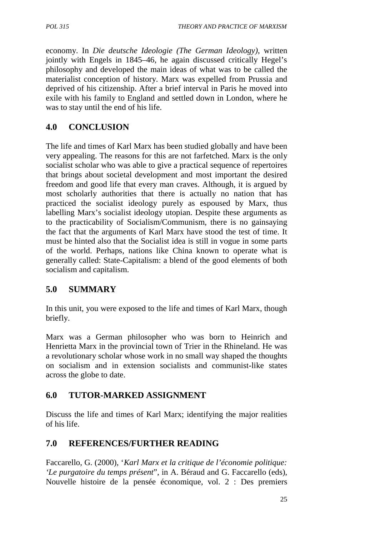economy. In *Die deutsche Ideologie (The German Ideology)*, written jointly with Engels in 1845–46, he again discussed critically Hegel's philosophy and developed the main ideas of what was to be called the materialist conception of history. Marx was expelled from Prussia and deprived of his citizenship. After a brief interval in Paris he moved into exile with his family to England and settled down in London, where he was to stay until the end of his life.

# **4.0 CONCLUSION**

The life and times of Karl Marx has been studied globally and have been very appealing. The reasons for this are not farfetched. Marx is the only socialist scholar who was able to give a practical sequence of repertoires that brings about societal development and most important the desired freedom and good life that every man craves. Although, it is argued by most scholarly authorities that there is actually no nation that has practiced the socialist ideology purely as espoused by Marx, thus labelling Marx's socialist ideology utopian. Despite these arguments as to the practicability of Socialism/Communism, there is no gainsaying the fact that the arguments of Karl Marx have stood the test of time. It must be hinted also that the Socialist idea is still in vogue in some parts of the world. Perhaps, nations like China known to operate what is generally called: State-Capitalism: a blend of the good elements of both socialism and capitalism.

# **5.0 SUMMARY**

In this unit, you were exposed to the life and times of Karl Marx, though briefly.

Marx was a German philosopher who was born to Heinrich and Henrietta Marx in the provincial town of Trier in the Rhineland. He was a revolutionary scholar whose work in no small way shaped the thoughts on socialism and in extension socialists and communist-like states across the globe to date.

# **6.0 TUTOR-MARKED ASSIGNMENT**

Discuss the life and times of Karl Marx; identifying the major realities of his life.

# **7.0 REFERENCES/FURTHER READING**

Faccarello, G. (2000), '*Karl Marx et la critique de l'économie politique: 'Le purgatoire du temps présent*", in A. Béraud and G. Faccarello (eds), Nouvelle histoire de la pensée économique, vol. 2 : Des premiers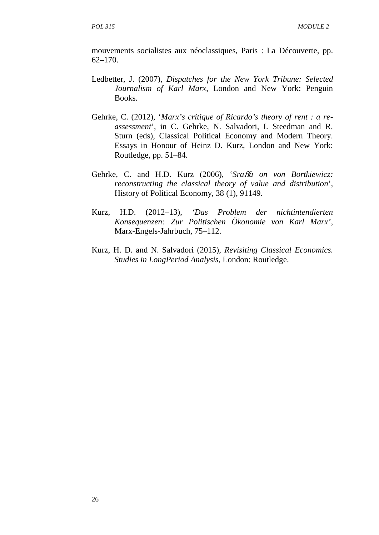mouvements socialistes aux néoclassiques, Paris : La Découverte, pp. 62–170.

- Ledbetter, J. (2007), *Dispatches for the New York Tribune: Selected Journalism of Karl Marx*, London and New York: Penguin Books.
- Gehrke, C. (2012), '*Marx's critique of Ricardo's theory of rent : a re assessment*', in C. Gehrke, N. Salvadori, I. Steedman and R. Sturn (eds), Classical Political Economy and Modern Theory. Essays in Honour of Heinz D. Kurz, London and New York: Routledge, pp. 51–84.
- Gehrke, C. and H.D. Kurz (2006), '*Sraffa on von Bortkiewicz*: *reconstructing the classical theory of value and distribution*', History of Political Economy, 38 (1), 91149.
- Kurz, H.D. (2012–13), *'Das Problem der nichtintendierten Konsequenzen: Zur Politischen Ökonomie von Karl Marx'*, Marx-Engels-Jahrbuch, 75–112.
- Kurz, H. D. and N. Salvadori (2015), *Revisiting Classical Economics. Studies in LongPeriod Analysis*, London: Routledge.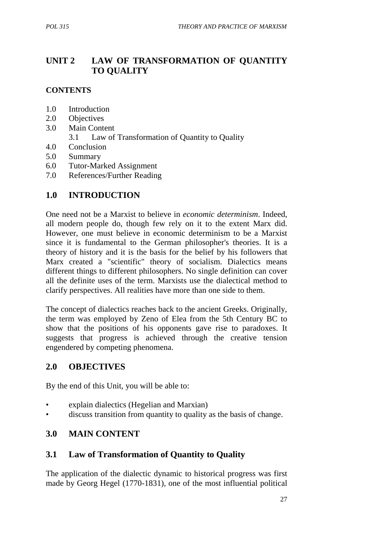# **UNIT 2 LAW OF TRANSFORMATION OF QUANTITY TO QUALITY**

# **CONTENTS**

- 1.0 Introduction
- 2.0 Objectives
- 3.0 Main Content
	- 3.1 Law of Transformation of Quantity to Quality
- 4.0 Conclusion
- 5.0 Summary
- 6.0 Tutor-Marked Assignment
- 7.0 References/Further Reading

# **1.0 INTRODUCTION**

One need not be a Marxist to believe in *economic determinism*. Indeed, all modern people do, though few rely on it to the extent Marx did. However, one must believe in economic determinism to be a Marxist since it is fundamental to the German philosopher's theories. It is a theory of history and it is the basis for the belief by his followers that Marx created a "scientific" theory of socialism. Dialectics means different things to different philosophers. No single definition can cover all the definite uses of the term. Marxists use the dialectical method to clarify perspectives. All realities have more than one side to them.

The concept of dialectics reaches back to the ancient Greeks. Originally, the term was employed by Zeno of Elea from the 5th Century BC to show that the positions of his opponents gave rise to paradoxes. It suggests that progress is achieved through the creative tension engendered by competing phenomena.

# **2.0 OBJECTIVES**

By the end of this Unit, you will be able to:

- explain dialectics (Hegelian and Marxian)
- discuss transition from quantity to quality as the basis of change.

# **3.0 MAIN CONTENT**

# **3.1 Law of Transformation of Quantity to Quality**

The application of the dialectic dynamic to historical progress was first made by Georg Hegel (1770-1831), one of the most influential political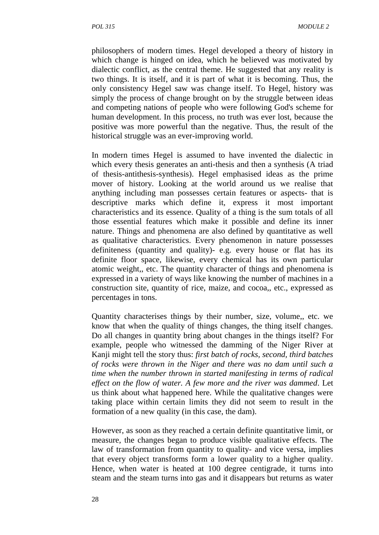philosophers of modern times. Hegel developed a theory of history in which change is hinged on idea, which he believed was motivated by dialectic conflict, as the central theme. He suggested that any reality is two things. It is itself, and it is part of what it is becoming. Thus, the only consistency Hegel saw was change itself. To Hegel, history was simply the process of change brought on by the struggle between ideas and competing nations of people who were following God's scheme for human development. In this process, no truth was ever lost, because the positive was more powerful than the negative. Thus, the result of the historical struggle was an ever-improving world.

In modern times Hegel is assumed to have invented the dialectic in which every thesis generates an anti-thesis and then a synthesis (A triad of thesis-antithesis-synthesis). Hegel emphasised ideas as the prime mover of history. Looking at the world around us we realise that anything including man possesses certain features or aspects- that is descriptive marks which define it, express it most important characteristics and its essence. Quality of a thing is the sum totals of all those essential features which make it possible and define its inner nature. Things and phenomena are also defined by quantitative as well as qualitative characteristics. Every phenomenon in nature possesses definiteness (quantity and quality)- e.g. every house or flat has its definite floor space, likewise, every chemical has its own particular atomic weight,, etc. The quantity character of things and phenomena is expressed in a variety of ways like knowing the number of machines in a construction site, quantity of rice, maize, and cocoa,, etc., expressed as percentages in tons.

Quantity characterises things by their number, size, volume,, etc. we know that when the quality of things changes, the thing itself changes. Do all changes in quantity bring about changes in the things itself? For example, people who witnessed the damming of the Niger River at Kanji might tell the story thus: *first batch of rocks, second, third batches of rocks were thrown in the Niger and there was no dam until such a time when the number thrown in started manifesting in terms of radical effect on the flow of water. A few more and the river was dammed*. Let us think about what happened here. While the qualitative changes were taking place within certain limits they did not seem to result in the formation of a new quality (in this case, the dam).

However, as soon as they reached a certain definite quantitative limit, or measure, the changes began to produce visible qualitative effects. The law of transformation from quantity to quality- and vice versa, implies that every object transforms form a lower quality to a higher quality. Hence, when water is heated at 100 degree centigrade, it turns into steam and the steam turns into gas and it disappears but returns as water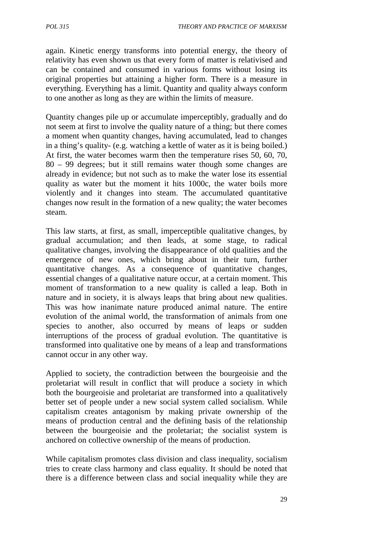again. Kinetic energy transforms into potential energy, the theory of relativity has even shown us that every form of matter is relativised and can be contained and consumed in various forms without losing its original properties but attaining a higher form. There is a measure in everything. Everything has a limit. Quantity and quality always conform to one another as long as they are within the limits of measure.

Quantity changes pile up or accumulate imperceptibly, gradually and do not seem at first to involve the quality nature of a thing; but there comes a moment when quantity changes, having accumulated, lead to changes in a thing's quality- (e.g. watching a kettle of water as it is being boiled.) At first, the water becomes warm then the temperature rises 50, 60, 70, 80 – 99 degrees; but it still remains water though some changes are already in evidence; but not such as to make the water lose its essential quality as water but the moment it hits 1000c, the water boils more violently and it changes into steam. The accumulated quantitative changes now result in the formation of a new quality; the water becomes steam.

This law starts, at first, as small, imperceptible qualitative changes, by gradual accumulation; and then leads, at some stage, to radical qualitative changes, involving the disappearance of old qualities and the emergence of new ones, which bring about in their turn, further quantitative changes. As a consequence of quantitative changes, essential changes of a qualitative nature occur, at a certain moment. This moment of transformation to a new quality is called a leap. Both in nature and in society, it is always leaps that bring about new qualities. This was how inanimate nature produced animal nature. The entire evolution of the animal world, the transformation of animals from one species to another, also occurred by means of leaps or sudden interruptions of the process of gradual evolution. The quantitative is transformed into qualitative one by means of a leap and transformations cannot occur in any other way.

Applied to society, the contradiction between the bourgeoisie and the proletariat will result in conflict that will produce a society in which both the bourgeoisie and proletariat are transformed into a qualitatively better set of people under a new social system called socialism. While capitalism creates antagonism by making private ownership of the means of production central and the defining basis of the relationship between the bourgeoisie and the proletariat; the socialist system is anchored on collective ownership of the means of production.

While capitalism promotes class division and class inequality, socialism tries to create class harmony and class equality. It should be noted that there is a difference between class and social inequality while they are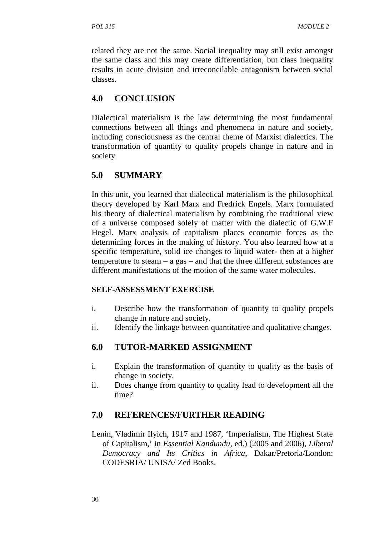related they are not the same. Social inequality may still exist amongst the same class and this may create differentiation, but class inequality results in acute division and irreconcilable antagonism between social classes.

# **4.0 CONCLUSION**

Dialectical materialism is the law determining the most fundamental connections between all things and phenomena in nature and society, including consciousness as the central theme of Marxist dialectics. The transformation of quantity to quality propels change in nature and in society.

# **5.0 SUMMARY**

In this unit, you learned that dialectical materialism is the philosophical theory developed by Karl Marx and Fredrick Engels. Marx formulated his theory of dialectical materialism by combining the traditional view of a universe composed solely of matter with the dialectic of G.W.F Hegel. Marx analysis of capitalism places economic forces as the determining forces in the making of history. You also learned how at a specific temperature, solid ice changes to liquid water- then at a higher temperature to steam – a gas – and that the three different substances are different manifestations of the motion of the same water molecules.

# **SELF-ASSESSMENT EXERCISE**

- i. Describe how the transformation of quantity to quality propels change in nature and society.
- ii. Identify the linkage between quantitative and qualitative changes.

# **6.0 TUTOR-MARKED ASSIGNMENT**

- i. Explain the transformation of quantity to quality as the basis of change in society.
- ii. Does change from quantity to quality lead to development all the time?

# **7.0 REFERENCES/FURTHER READING**

Lenin, Vladimir Ilyich, 1917 and 1987, 'Imperialism, The Highest State of Capitalism,' in *Essential Kandundu,* ed.) (2005 and 2006), *Liberal Democracy and Its Critics in Africa*, Dakar/Pretoria/London: CODESRIA/ UNISA/ Zed Books.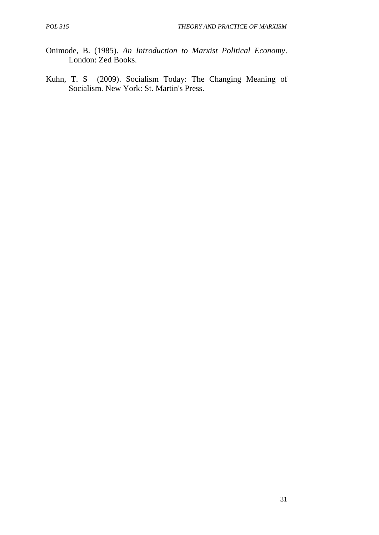- Onimode, B. (1985). *An Introduction to Marxist Political Economy*. London: Zed Books.
- Kuhn, T. S (2009). Socialism Today: The Changing Meaning of Socialism. New York: St. Martin's Press.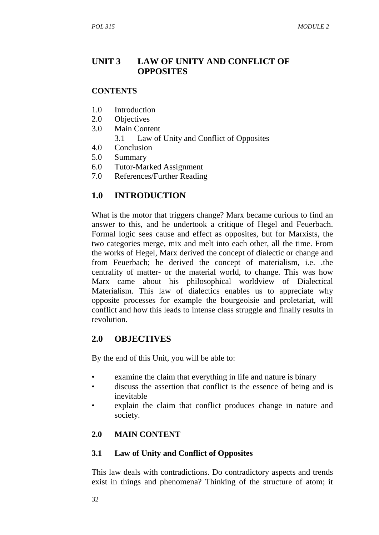# **UNIT 3 LAW OF UNITY AND CONFLICT OF OPPOSITES**

#### **CONTENTS**

- 1.0 Introduction
- 2.0 Objectives
- 3.0 Main Content
	- 3.1 Law of Unity and Conflict of Opposites
- 4.0 Conclusion
- 5.0 Summary
- 6.0 Tutor-Marked Assignment
- 7.0 References/Further Reading

# **1.0 INTRODUCTION**

What is the motor that triggers change? Marx became curious to find an answer to this, and he undertook a critique of Hegel and Feuerbach. Formal logic sees cause and effect as opposites, but for Marxists, the two categories merge, mix and melt into each other, all the time. From the works of Hegel, Marx derived the concept of dialectic or change and from Feuerbach; he derived the concept of materialism, i.e. .the centrality of matter- or the material world, to change. This was how Marx came about his philosophical worldview of Dialectical Materialism. This law of dialectics enables us to appreciate why opposite processes for example the bourgeoisie and proletariat, will conflict and how this leads to intense class struggle and finally results in revolution.

### **2.0 OBJECTIVES**

By the end of this Unit, you will be able to:

- examine the claim that everything in life and nature is binary
- discuss the assertion that conflict is the essence of being and is inevitable
- explain the claim that conflict produces change in nature and society.

### **2.0 MAIN CONTENT**

### **3.1 Law of Unity and Conflict of Opposites**

This law deals with contradictions. Do contradictory aspects and trends exist in things and phenomena? Thinking of the structure of atom; it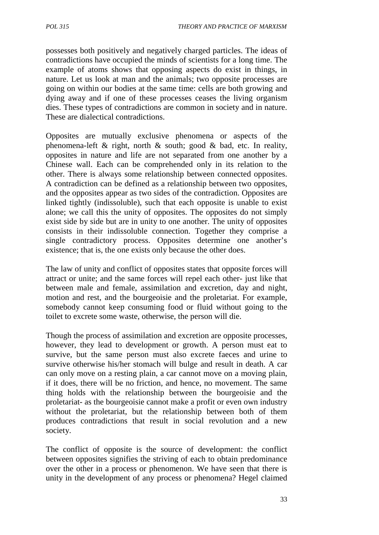possesses both positively and negatively charged particles. The ideas of contradictions have occupied the minds of scientists for a long time. The example of atoms shows that opposing aspects do exist in things, in nature. Let us look at man and the animals; two opposite processes are going on within our bodies at the same time: cells are both growing and dying away and if one of these processes ceases the living organism dies. These types of contradictions are common in society and in nature. These are dialectical contradictions.

Opposites are mutually exclusive phenomena or aspects of the phenomena-left & right, north & south; good & bad, etc. In reality, opposites in nature and life are not separated from one another by a Chinese wall. Each can be comprehended only in its relation to the other. There is always some relationship between connected opposites. A contradiction can be defined as a relationship between two opposites, and the opposites appear as two sides of the contradiction. Opposites are linked tightly (indissoluble), such that each opposite is unable to exist alone; we call this the unity of opposites. The opposites do not simply exist side by side but are in unity to one another. The unity of opposites consists in their indissoluble connection. Together they comprise a single contradictory process. Opposites determine one another's existence; that is, the one exists only because the other does.

The law of unity and conflict of opposites states that opposite forces will attract or unite; and the same forces will repel each other- just like that between male and female, assimilation and excretion, day and night, motion and rest, and the bourgeoisie and the proletariat. For example, somebody cannot keep consuming food or fluid without going to the toilet to excrete some waste, otherwise, the person will die.

Though the process of assimilation and excretion are opposite processes, however, they lead to development or growth. A person must eat to survive, but the same person must also excrete faeces and urine to survive otherwise his/her stomach will bulge and result in death. A car can only move on a resting plain, a car cannot move on a moving plain, if it does, there will be no friction, and hence, no movement. The same thing holds with the relationship between the bourgeoisie and the proletariat- as the bourgeoisie cannot make a profit or even own industry without the proletariat, but the relationship between both of them produces contradictions that result in social revolution and a new society.

The conflict of opposite is the source of development: the conflict between opposites signifies the striving of each to obtain predominance over the other in a process or phenomenon. We have seen that there is unity in the development of any process or phenomena? Hegel claimed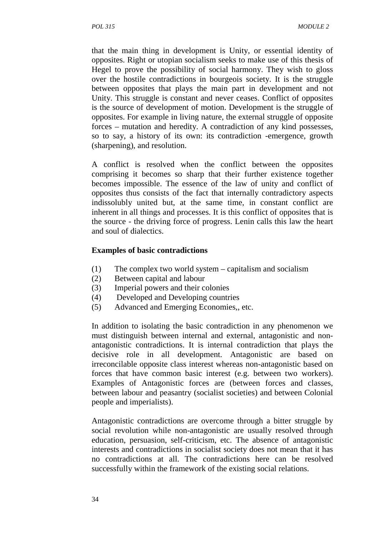that the main thing in development is Unity, or essential identity of opposites. Right or utopian socialism seeks to make use of this thesis of Hegel to prove the possibility of social harmony. They wish to gloss over the hostile contradictions in bourgeois society. It is the struggle between opposites that plays the main part in development and not Unity. This struggle is constant and never ceases. Conflict of opposites is the source of development of motion. Development is the struggle of opposites. For example in living nature, the external struggle of opposite forces – mutation and heredity. A contradiction of any kind possesses, so to say, a history of its own: its contradiction -emergence, growth (sharpening), and resolution.

A conflict is resolved when the conflict between the opposites comprising it becomes so sharp that their further existence together becomes impossible. The essence of the law of unity and conflict of opposites thus consists of the fact that internally contradictory aspects indissolubly united but, at the same time, in constant conflict are inherent in all things and processes. It is this conflict of opposites that is the source - the driving force of progress. Lenin calls this law the heart and soul of dialectics.

#### **Examples of basic contradictions**

- (1) The complex two world system capitalism and socialism
- (2) Between capital and labour
- (3) Imperial powers and their colonies
- (4) Developed and Developing countries
- (5) Advanced and Emerging Economies,, etc.

In addition to isolating the basic contradiction in any phenomenon we must distinguish between internal and external, antagonistic and non antagonistic contradictions. It is internal contradiction that plays the decisive role in all development. Antagonistic are based on irreconcilable opposite class interest whereas non-antagonistic based on forces that have common basic interest (e.g. between two workers). Examples of Antagonistic forces are (between forces and classes, between labour and peasantry (socialist societies) and between Colonial people and imperialists).

Antagonistic contradictions are overcome through a bitter struggle by social revolution while non-antagonistic are usually resolved through education, persuasion, self-criticism, etc. The absence of antagonistic interests and contradictions in socialist society does not mean that it has no contradictions at all. The contradictions here can be resolved successfully within the framework of the existing social relations.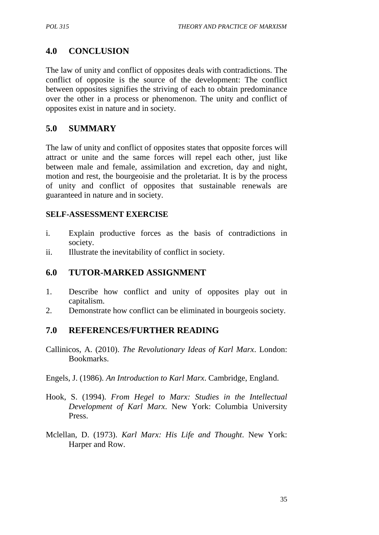# **4.0 CONCLUSION**

The law of unity and conflict of opposites deals with contradictions. The conflict of opposite is the source of the development: The conflict between opposites signifies the striving of each to obtain predominance over the other in a process or phenomenon. The unity and conflict of opposites exist in nature and in society.

### **5.0 SUMMARY**

The law of unity and conflict of opposites states that opposite forces will attract or unite and the same forces will repel each other, just like between male and female, assimilation and excretion, day and night, motion and rest, the bourgeoisie and the proletariat. It is by the process of unity and conflict of opposites that sustainable renewals are guaranteed in nature and in society.

#### **SELF-ASSESSMENT EXERCISE**

- i. Explain productive forces as the basis of contradictions in society.
- ii. Illustrate the inevitability of conflict in society.

### **6.0 TUTOR-MARKED ASSIGNMENT**

- 1. Describe how conflict and unity of opposites play out in capitalism.
- 2. Demonstrate how conflict can be eliminated in bourgeois society.

### **7.0 REFERENCES/FURTHER READING**

Callinicos, A. (2010). *The Revolutionary Ideas of Karl Marx*. London: Bookmarks.

Engels, J. (1986). *An Introduction to Karl Marx*. Cambridge, England.

- Hook, S. (1994). *From Hegel to Marx: Studies in the Intellectual Development of Karl Marx*. New York: Columbia University Press.
- Mclellan, D. (1973). *Karl Marx: His Life and Thought*. New York: Harper and Row.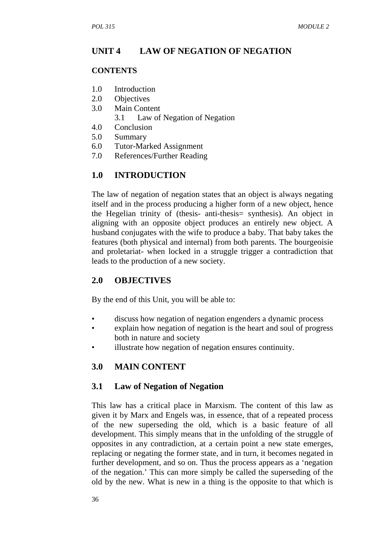# **UNIT 4 LAW OF NEGATION OF NEGATION**

#### **CONTENTS**

- 1.0 Introduction
- 2.0 Objectives
- 3.0 Main Content
	- 3.1 Law of Negation of Negation
- 4.0 Conclusion
- 5.0 Summary
- 6.0 Tutor-Marked Assignment
- 7.0 References/Further Reading

# **1.0 INTRODUCTION**

The law of negation of negation states that an object is always negating itself and in the process producing a higher form of a new object, hence the Hegelian trinity of (thesis- anti-thesis= synthesis). An object in aligning with an opposite object produces an entirely new object. A husband conjugates with the wife to produce a baby. That baby takes the features (both physical and internal) from both parents. The bourgeoisie and proletariat- when locked in a struggle trigger a contradiction that leads to the production of a new society.

# **2.0 OBJECTIVES**

By the end of this Unit, you will be able to:

- discuss how negation of negation engenders a dynamic process
- explain how negation of negation is the heart and soul of progress both in nature and society
- illustrate how negation of negation ensures continuity.

# **3.0 MAIN CONTENT**

### **3.1 Law of Negation of Negation**

This law has a critical place in Marxism. The content of this law as given it by Marx and Engels was, in essence, that of a repeated process of the new superseding the old, which is a basic feature of all development. This simply means that in the unfolding of the struggle of opposites in any contradiction, at a certain point a new state emerges, replacing or negating the former state, and in turn, it becomes negated in further development, and so on. Thus the process appears as a 'negation of the negation.' This can more simply be called the superseding of the old by the new. What is new in a thing is the opposite to that which is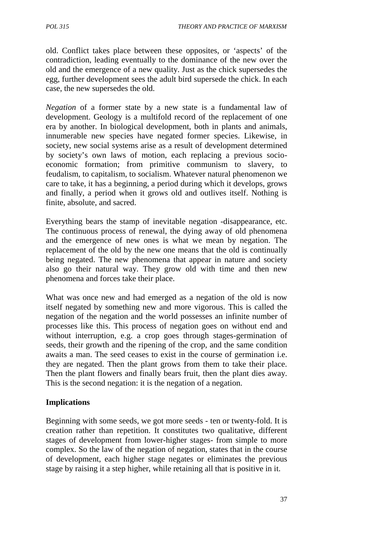old. Conflict takes place between these opposites, or 'aspects' of the contradiction, leading eventually to the dominance of the new over the old and the emergence of a new quality. Just as the chick supersedes the egg, further development sees the adult bird supersede the chick. In each case, the new supersedes the old.

*Negation* of a former state by a new state is a fundamental law of development. Geology is a multifold record of the replacement of one era by another. In biological development, both in plants and animals, innumerable new species have negated former species. Likewise, in society, new social systems arise as a result of development determined by society's own laws of motion, each replacing a previous socio economic formation; from primitive communism to slavery, to feudalism, to capitalism, to socialism. Whatever natural phenomenon we care to take, it has a beginning, a period during which it develops, grows and finally, a period when it grows old and outlives itself. Nothing is finite, absolute, and sacred.

Everything bears the stamp of inevitable negation -disappearance, etc. The continuous process of renewal, the dying away of old phenomena and the emergence of new ones is what we mean by negation. The replacement of the old by the new one means that the old is continually being negated. The new phenomena that appear in nature and society also go their natural way. They grow old with time and then new phenomena and forces take their place.

What was once new and had emerged as a negation of the old is now itself negated by something new and more vigorous. This is called the negation of the negation and the world possesses an infinite number of processes like this. This process of negation goes on without end and without interruption, e.g. a crop goes through stages-germination of seeds, their growth and the ripening of the crop, and the same condition awaits a man. The seed ceases to exist in the course of germination i.e. they are negated. Then the plant grows from them to take their place. Then the plant flowers and finally bears fruit, then the plant dies away. This is the second negation: it is the negation of a negation.

#### **Implications**

Beginning with some seeds, we got more seeds - ten or twenty-fold. It is creation rather than repetition. It constitutes two qualitative, different stages of development from lower-higher stages- from simple to more complex. So the law of the negation of negation, states that in the course of development, each higher stage negates or eliminates the previous stage by raising it a step higher, while retaining all that is positive in it.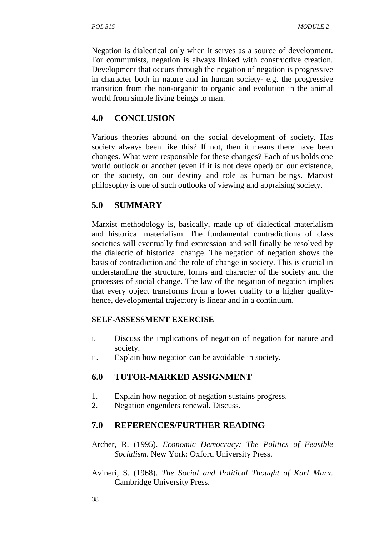Negation is dialectical only when it serves as a source of development. For communists, negation is always linked with constructive creation. Development that occurs through the negation of negation is progressive in character both in nature and in human society- e.g. the progressive transition from the non-organic to organic and evolution in the animal world from simple living beings to man.

# **4.0 CONCLUSION**

Various theories abound on the social development of society. Has society always been like this? If not, then it means there have been changes. What were responsible for these changes? Each of us holds one world outlook or another (even if it is not developed) on our existence, on the society, on our destiny and role as human beings. Marxist philosophy is one of such outlooks of viewing and appraising society.

# **5.0 SUMMARY**

Marxist methodology is, basically, made up of dialectical materialism and historical materialism. The fundamental contradictions of class societies will eventually find expression and will finally be resolved by the dialectic of historical change. The negation of negation shows the basis of contradiction and the role of change in society. This is crucial in understanding the structure, forms and character of the society and the processes of social change. The law of the negation of negation implies that every object transforms from a lower quality to a higher quality hence, developmental trajectory is linear and in a continuum.

# **SELF-ASSESSMENT EXERCISE**

- i. Discuss the implications of negation of negation for nature and society.
- ii. Explain how negation can be avoidable in society.

# **6.0 TUTOR-MARKED ASSIGNMENT**

- 1. Explain how negation of negation sustains progress.
- 2. Negation engenders renewal. Discuss.

# **7.0 REFERENCES/FURTHER READING**

- Archer, R. (1995). *Economic Democracy: The Politics of Feasible Socialism*. New York: Oxford University Press.
- Avineri, S. (1968). *The Social and Political Thought of Karl Marx*. Cambridge University Press.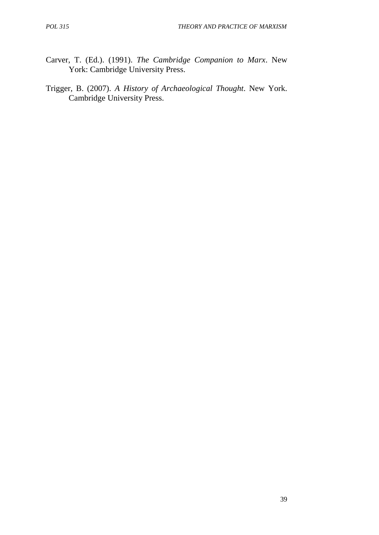- Carver, T. (Ed.). (1991). *The Cambridge Companion to Marx*. New York: Cambridge University Press.
- Trigger, B. (2007). *A History of Archaeological Thought*. New York. Cambridge University Press.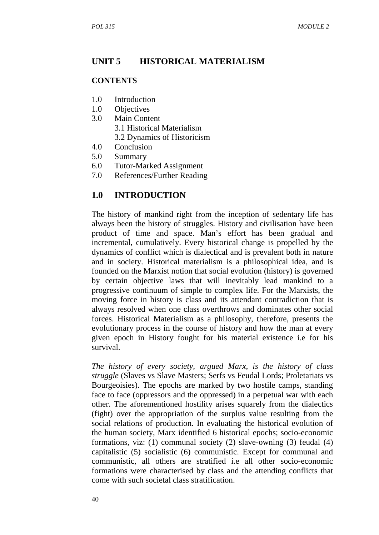# **UNIT 5 HISTORICAL MATERIALISM**

#### **CONTENTS**

- 1.0 Introduction
- 1.0 Objectives
- 3.0 Main Content 3.1 Historical Materialism 3.2 Dynamics of Historicism
- 4.0 Conclusion
- 5.0 Summary
- 6.0 Tutor-Marked Assignment
- 7.0 References/Further Reading

### **1.0 INTRODUCTION**

The history of mankind right from the inception of sedentary life has always been the history of struggles. History and civilisation have been product of time and space. Man's effort has been gradual and incremental, cumulatively. Every historical change is propelled by the dynamics of conflict which is dialectical and is prevalent both in nature and in society. Historical materialism is a philosophical idea, and is founded on the Marxist notion that social evolution (history) is governed by certain objective laws that will inevitably lead mankind to a progressive continuum of simple to complex life. For the Marxists, the moving force in history is class and its attendant contradiction that is always resolved when one class overthrows and dominates other social forces. Historical Materialism as a philosophy, therefore, presents the evolutionary process in the course of history and how the man at every given epoch in History fought for his material existence i.e for his survival.

*The history of every society, argued Marx, is the history of class struggle* (Slaves vs Slave Masters; Serfs vs Feudal Lords; Proletariats vs Bourgeoisies). The epochs are marked by two hostile camps, standing face to face (oppressors and the oppressed) in a perpetual war with each other. The aforementioned hostility arises squarely from the dialectics (fight) over the appropriation of the surplus value resulting from the social relations of production. In evaluating the historical evolution of the human society, Marx identified 6 historical epochs; socio-economic formations, viz: (1) communal society (2) slave-owning (3) feudal (4) capitalistic (5) socialistic (6) communistic. Except for communal and communistic, all others are stratified i.e all other socio-economic formations were characterised by class and the attending conflicts that come with such societal class stratification.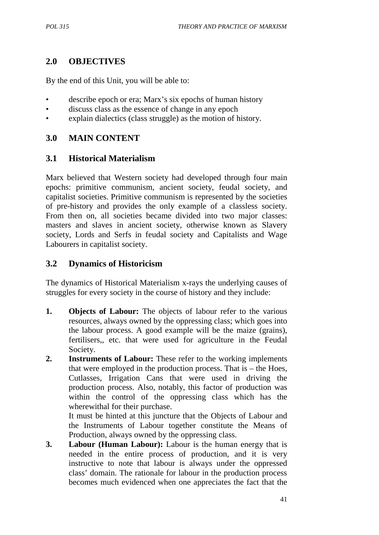# **2.0 OBJECTIVES**

By the end of this Unit, you will be able to:

- describe epoch or era; Marx's six epochs of human history
- discuss class as the essence of change in any epoch
- explain dialectics (class struggle) as the motion of history.

# **3.0 MAIN CONTENT**

# **3.1 Historical Materialism**

Marx believed that Western society had developed through four main epochs: primitive communism, ancient society, feudal society, and capitalist societies. Primitive communism is represented by the societies of pre-history and provides the only example of a classless society. From then on, all societies became divided into two major classes: masters and slaves in ancient society, otherwise known as Slavery society, Lords and Serfs in feudal society and Capitalists and Wage Labourers in capitalist society.

# **3.2 Dynamics of Historicism**

The dynamics of Historical Materialism x-rays the underlying causes of struggles for every society in the course of history and they include:

- **1. Objects of Labour:** The objects of labour refer to the various resources, always owned by the oppressing class; which goes into the labour process. A good example will be the maize (grains), fertilisers,, etc. that were used for agriculture in the Feudal Society.
- **2. Instruments of Labour:** These refer to the working implements that were employed in the production process. That is – the Hoes, Cutlasses, Irrigation Cans that were used in driving the production process. Also, notably, this factor of production was within the control of the oppressing class which has the wherewithal for their purchase.

It must be hinted at this juncture that the Objects of Labour and the Instruments of Labour together constitute the Means of Production, always owned by the oppressing class.

**3. Labour (Human Labour):** Labour is the human energy that is needed in the entire process of production, and it is very instructive to note that labour is always under the oppressed class' domain. The rationale for labour in the production process becomes much evidenced when one appreciates the fact that the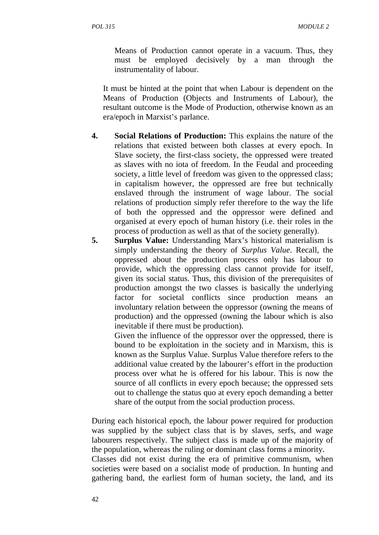Means of Production cannot operate in a vacuum. Thus, they must be employed decisively by a man through the instrumentality of labour.

It must be hinted at the point that when Labour is dependent on the Means of Production (Objects and Instruments of Labour), the resultant outcome is the Mode of Production, otherwise known as an era/epoch in Marxist's parlance.

- **4. Social Relations of Production:** This explains the nature of the relations that existed between both classes at every epoch. In Slave society, the first-class society, the oppressed were treated as slaves with no iota of freedom. In the Feudal and proceeding society, a little level of freedom was given to the oppressed class; in capitalism however, the oppressed are free but technically enslaved through the instrument of wage labour. The social relations of production simply refer therefore to the way the life of both the oppressed and the oppressor were defined and organised at every epoch of human history (i.e. their roles in the process of production as well as that of the society generally).
- **5. Surplus Value:** Understanding Marx's historical materialism is simply understanding the theory of *Surplus Value*. Recall, the oppressed about the production process only has labour to provide, which the oppressing class cannot provide for itself, given its social status. Thus, this division of the prerequisites of production amongst the two classes is basically the underlying factor for societal conflicts since production means an involuntary relation between the oppressor (owning the means of production) and the oppressed (owning the labour which is also inevitable if there must be production).

Given the influence of the oppressor over the oppressed, there is bound to be exploitation in the society and in Marxism, this is known as the Surplus Value. Surplus Value therefore refers to the additional value created by the labourer's effort in the production process over what he is offered for his labour. This is now the source of all conflicts in every epoch because; the oppressed sets out to challenge the status quo at every epoch demanding a better share of the output from the social production process.

During each historical epoch, the labour power required for production was supplied by the subject class that is by slaves, serfs, and wage labourers respectively. The subject class is made up of the majority of the population, whereas the ruling or dominant class forms a minority.

Classes did not exist during the era of primitive communism, when societies were based on a socialist mode of production. In hunting and gathering band, the earliest form of human society, the land, and its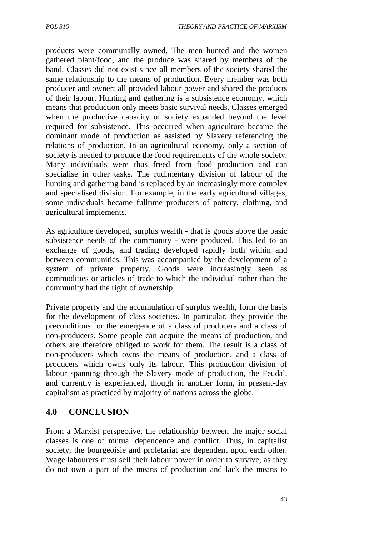products were communally owned. The men hunted and the women gathered plant/food, and the produce was shared by members of the band. Classes did not exist since all members of the society shared the same relationship to the means of production. Every member was both producer and owner; all provided labour power and shared the products of their labour. Hunting and gathering is a subsistence economy, which means that production only meets basic survival needs. Classes emerged when the productive capacity of society expanded beyond the level required for subsistence. This occurred when agriculture became the dominant mode of production as assisted by Slavery referencing the relations of production. In an agricultural economy, only a section of society is needed to produce the food requirements of the whole society. Many individuals were thus freed from food production and can specialise in other tasks. The rudimentary division of labour of the hunting and gathering band is replaced by an increasingly more complex and specialised division. For example, in the early agricultural villages, some individuals became fulltime producers of pottery, clothing, and agricultural implements.

As agriculture developed, surplus wealth - that is goods above the basic subsistence needs of the community - were produced. This led to an exchange of goods, and trading developed rapidly both within and between communities. This was accompanied by the development of a system of private property. Goods were increasingly seen as commodities or articles of trade to which the individual rather than the community had the right of ownership.

Private property and the accumulation of surplus wealth, form the basis for the development of class societies. In particular, they provide the preconditions for the emergence of a class of producers and a class of non-producers. Some people can acquire the means of production, and others are therefore obliged to work for them. The result is a class of non-producers which owns the means of production, and a class of producers which owns only its labour. This production division of labour spanning through the Slavery mode of production, the Feudal, and currently is experienced, though in another form, in present-day capitalism as practiced by majority of nations across the globe.

### **4.0 CONCLUSION**

From a Marxist perspective, the relationship between the major social classes is one of mutual dependence and conflict. Thus, in capitalist society, the bourgeoisie and proletariat are dependent upon each other. Wage labourers must sell their labour power in order to survive, as they do not own a part of the means of production and lack the means to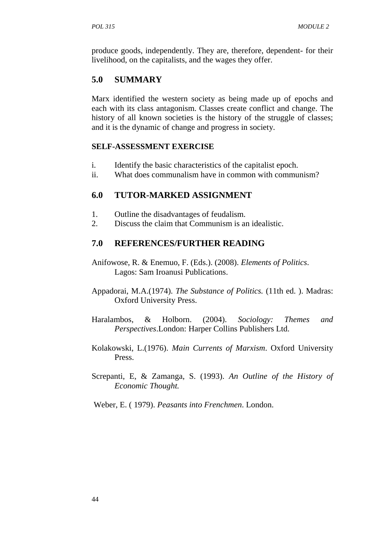produce goods, independently. They are, therefore, dependent- for their livelihood, on the capitalists, and the wages they offer.

# **5.0 SUMMARY**

Marx identified the western society as being made up of epochs and each with its class antagonism. Classes create conflict and change. The history of all known societies is the history of the struggle of classes; and it is the dynamic of change and progress in society.

### **SELF-ASSESSMENT EXERCISE**

- i. Identify the basic characteristics of the capitalist epoch.
- ii. What does communalism have in common with communism?

# **6.0 TUTOR-MARKED ASSIGNMENT**

- 1. Outline the disadvantages of feudalism.
- 2. Discuss the claim that Communism is an idealistic.

# **7.0 REFERENCES/FURTHER READING**

- Anifowose, R. & Enemuo, F. (Eds.). (2008). *Elements of Politics*. Lagos: Sam Iroanusi Publications.
- Appadorai, M.A.(1974). *The Substance of Politics.* (11th ed. ). Madras: Oxford University Press.
- Haralambos, & Holborn. (2004). *Sociology: Themes and Perspectives*.London: Harper Collins Publishers Ltd.
- Kolakowski, L.(1976). *Main Currents of Marxism*. Oxford University Press.
- Screpanti, E, & Zamanga, S. (1993). *An Outline of the History of Economic Thought.*
- Weber, E. ( 1979). *Peasants into Frenchmen*. London.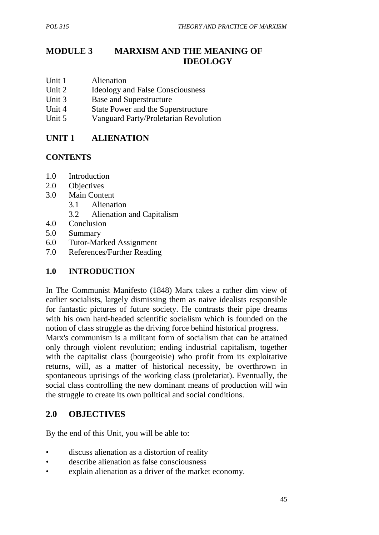# **MODULE 3 MARXISM AND THE MEANING OF IDEOLOGY**

- Unit 1 Alienation
- Unit 2 Ideology and False Consciousness
- Unit 3 Base and Superstructure
- Unit 4 State Power and the Superstructure
- Unit 5 Vanguard Party/Proletarian Revolution

# **UNIT 1 ALIENATION**

### **CONTENTS**

- 1.0 Introduction
- 2.0 Objectives
- 3.0 Main Content
	- 3.1 Alienation
	- 3.2 Alienation and Capitalism
- 4.0 Conclusion
- 5.0 Summary
- 6.0 Tutor-Marked Assignment
- 7.0 References/Further Reading

### **1.0 INTRODUCTION**

In The Communist Manifesto (1848) Marx takes a rather dim view of earlier socialists, largely dismissing them as naive idealists responsible for fantastic pictures of future society. He contrasts their pipe dreams with his own hard-headed scientific socialism which is founded on the notion of class struggle as the driving force behind historical progress.

Marx's communism is a militant form of socialism that can be attained only through violent revolution; ending industrial capitalism, together with the capitalist class (bourgeoisie) who profit from its exploitative returns, will, as a matter of historical necessity, be overthrown in spontaneous uprisings of the working class (proletariat). Eventually, the social class controlling the new dominant means of production will win the struggle to create its own political and social conditions.

# **2.0 OBJECTIVES**

By the end of this Unit, you will be able to:

- discuss alienation as a distortion of reality
- describe alienation as false consciousness
- explain alienation as a driver of the market economy.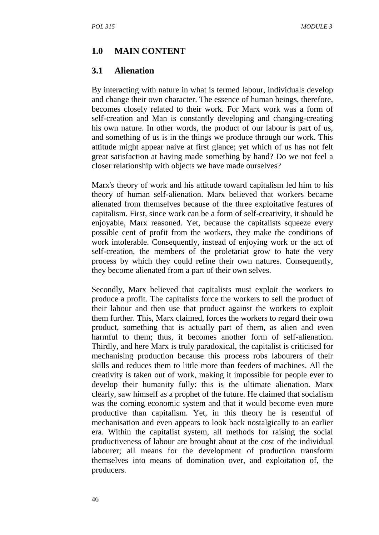### **1.0 MAIN CONTENT**

#### **3.1 Alienation**

By interacting with nature in what is termed labour, individuals develop and change their own character. The essence of human beings, therefore, becomes closely related to their work. For Marx work was a form of self-creation and Man is constantly developing and changing-creating his own nature. In other words, the product of our labour is part of us, and something of us is in the things we produce through our work. This attitude might appear naive at first glance; yet which of us has not felt great satisfaction at having made something by hand? Do we not feel a closer relationship with objects we have made ourselves?

Marx's theory of work and his attitude toward capitalism led him to his theory of human self-alienation. Marx believed that workers became alienated from themselves because of the three exploitative features of capitalism. First, since work can be a form of self-creativity, it should be enjoyable, Marx reasoned. Yet, because the capitalists squeeze every possible cent of profit from the workers, they make the conditions of work intolerable. Consequently, instead of enjoying work or the act of self-creation, the members of the proletariat grow to hate the very process by which they could refine their own natures. Consequently, they become alienated from a part of their own selves.

Secondly, Marx believed that capitalists must exploit the workers to produce a profit. The capitalists force the workers to sell the product of their labour and then use that product against the workers to exploit them further. This, Marx claimed, forces the workers to regard their own product, something that is actually part of them, as alien and even harmful to them; thus, it becomes another form of self-alienation. Thirdly, and here Marx is truly paradoxical, the capitalist is criticised for mechanising production because this process robs labourers of their skills and reduces them to little more than feeders of machines. All the creativity is taken out of work, making it impossible for people ever to develop their humanity fully: this is the ultimate alienation. Marx clearly, saw himself as a prophet of the future. He claimed that socialism was the coming economic system and that it would become even more productive than capitalism. Yet, in this theory he is resentful of mechanisation and even appears to look back nostalgically to an earlier era. Within the capitalist system, all methods for raising the social productiveness of labour are brought about at the cost of the individual labourer; all means for the development of production transform themselves into means of domination over, and exploitation of, the producers.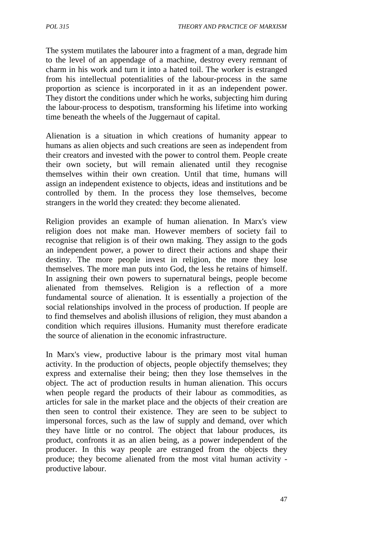The system mutilates the labourer into a fragment of a man, degrade him to the level of an appendage of a machine, destroy every remnant of charm in his work and turn it into a hated toil. The worker is estranged from his intellectual potentialities of the labour-process in the same proportion as science is incorporated in it as an independent power. They distort the conditions under which he works, subjecting him during the labour-process to despotism, transforming his lifetime into working time beneath the wheels of the Juggernaut of capital.

Alienation is a situation in which creations of humanity appear to humans as alien objects and such creations are seen as independent from their creators and invested with the power to control them. People create their own society, but will remain alienated until they recognise themselves within their own creation. Until that time, humans will assign an independent existence to objects, ideas and institutions and be controlled by them. In the process they lose themselves, become strangers in the world they created: they become alienated.

Religion provides an example of human alienation. In Marx's view religion does not make man. However members of society fail to recognise that religion is of their own making. They assign to the gods an independent power, a power to direct their actions and shape their destiny. The more people invest in religion, the more they lose themselves. The more man puts into God, the less he retains of himself. In assigning their own powers to supernatural beings, people become alienated from themselves. Religion is a reflection of a more fundamental source of alienation. It is essentially a projection of the social relationships involved in the process of production. If people are to find themselves and abolish illusions of religion, they must abandon a condition which requires illusions. Humanity must therefore eradicate the source of alienation in the economic infrastructure.

In Marx's view, productive labour is the primary most vital human activity. In the production of objects, people objectify themselves; they express and externalise their being; then they lose themselves in the object. The act of production results in human alienation. This occurs when people regard the products of their labour as commodities, as articles for sale in the market place and the objects of their creation are then seen to control their existence. They are seen to be subject to impersonal forces, such as the law of supply and demand, over which they have little or no control. The object that labour produces, its product, confronts it as an alien being, as a power independent of the producer. In this way people are estranged from the objects they produce; they become alienated from the most vital human activity productive labour.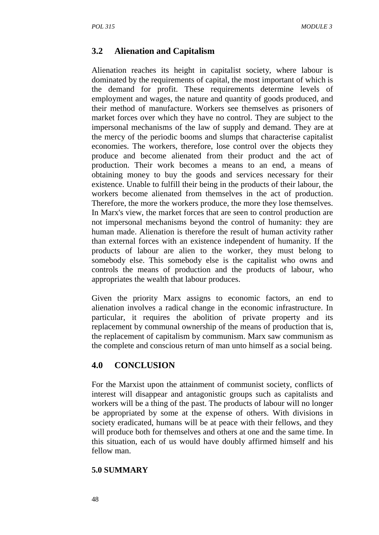# **3.2 Alienation and Capitalism**

Alienation reaches its height in capitalist society, where labour is dominated by the requirements of capital, the most important of which is the demand for profit. These requirements determine levels of employment and wages, the nature and quantity of goods produced, and their method of manufacture. Workers see themselves as prisoners of market forces over which they have no control. They are subject to the impersonal mechanisms of the law of supply and demand. They are at the mercy of the periodic booms and slumps that characterise capitalist economies. The workers, therefore, lose control over the objects they produce and become alienated from their product and the act of production. Their work becomes a means to an end, a means of obtaining money to buy the goods and services necessary for their existence. Unable to fulfill their being in the products of their labour, the workers become alienated from themselves in the act of production. Therefore, the more the workers produce, the more they lose themselves. In Marx's view, the market forces that are seen to control production are not impersonal mechanisms beyond the control of humanity: they are human made. Alienation is therefore the result of human activity rather than external forces with an existence independent of humanity. If the products of labour are alien to the worker, they must belong to somebody else. This somebody else is the capitalist who owns and controls the means of production and the products of labour, who appropriates the wealth that labour produces.

Given the priority Marx assigns to economic factors, an end to alienation involves a radical change in the economic infrastructure. In particular, it requires the abolition of private property and its replacement by communal ownership of the means of production that is, the replacement of capitalism by communism. Marx saw communism as the complete and conscious return of man unto himself as a social being.

# **4.0 CONCLUSION**

For the Marxist upon the attainment of communist society, conflicts of interest will disappear and antagonistic groups such as capitalists and workers will be a thing of the past. The products of labour will no longer be appropriated by some at the expense of others. With divisions in society eradicated, humans will be at peace with their fellows, and they will produce both for themselves and others at one and the same time. In this situation, each of us would have doubly affirmed himself and his fellow man.

### **5.0 SUMMARY**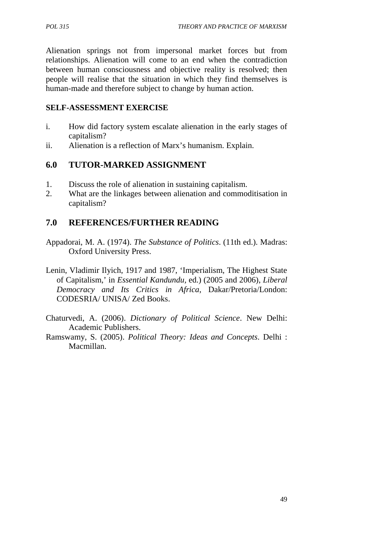Alienation springs not from impersonal market forces but from relationships. Alienation will come to an end when the contradiction between human consciousness and objective reality is resolved; then people will realise that the situation in which they find themselves is human-made and therefore subject to change by human action.

### **SELF-ASSESSMENT EXERCISE**

- i. How did factory system escalate alienation in the early stages of capitalism?
- ii. Alienation is a reflection of Marx's humanism. Explain.

# **6.0 TUTOR-MARKED ASSIGNMENT**

- 1. Discuss the role of alienation in sustaining capitalism.
- 2. What are the linkages between alienation and commoditisation in capitalism?

# **7.0 REFERENCES/FURTHER READING**

- Appadorai, M. A. (1974). *The Substance of Politics*. (11th ed.). Madras: Oxford University Press.
- Lenin, Vladimir Ilyich, 1917 and 1987, 'Imperialism, The Highest State of Capitalism,' in *Essential Kandundu,* ed.) (2005 and 2006), *Liberal Democracy and Its Critics in Africa*, Dakar/Pretoria/London: CODESRIA/ UNISA/ Zed Books.
- Chaturvedi, A. (2006). *Dictionary of Political Science*. New Delhi: Academic Publishers.
- Ramswamy, S. (2005). *Political Theory: Ideas and Concepts*. Delhi : Macmillan.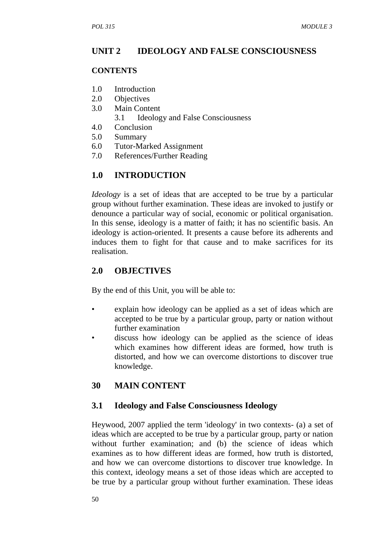### **UNIT 2 IDEOLOGY AND FALSE CONSCIOUSNESS**

#### **CONTENTS**

- 1.0 Introduction
- 2.0 Objectives
- 3.0 Main Content
	- 3.1 Ideology and False Consciousness
- 4.0 Conclusion
- 5.0 Summary
- 6.0 Tutor-Marked Assignment
- 7.0 References/Further Reading

# **1.0 INTRODUCTION**

*Ideology* is a set of ideas that are accepted to be true by a particular group without further examination. These ideas are invoked to justify or denounce a particular way of social, economic or political organisation. In this sense, ideology is a matter of faith; it has no scientific basis. An ideology is action-oriented. It presents a cause before its adherents and induces them to fight for that cause and to make sacrifices for its realisation.

# **2.0 OBJECTIVES**

By the end of this Unit, you will be able to:

- explain how ideology can be applied as a set of ideas which are accepted to be true by a particular group, party or nation without further examination
- discuss how ideology can be applied as the science of ideas which examines how different ideas are formed, how truth is distorted, and how we can overcome distortions to discover true knowledge.

# **30 MAIN CONTENT**

### **3.1 Ideology and False Consciousness Ideology**

Heywood, 2007 applied the term 'ideology' in two contexts- (a) a set of ideas which are accepted to be true by a particular group, party or nation without further examination; and (b) the science of ideas which examines as to how different ideas are formed, how truth is distorted, and how we can overcome distortions to discover true knowledge. In this context, ideology means a set of those ideas which are accepted to be true by a particular group without further examination. These ideas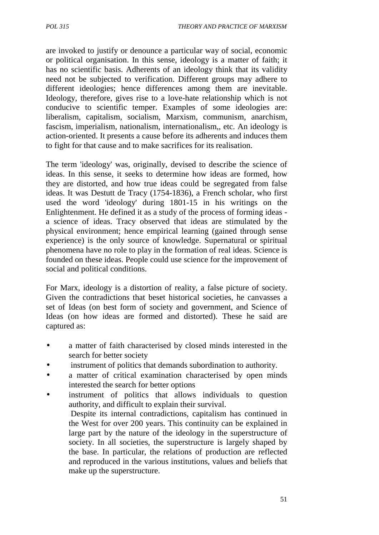are invoked to justify or denounce a particular way of social, economic or political organisation. In this sense, ideology is a matter of faith; it has no scientific basis. Adherents of an ideology think that its validity need not be subjected to verification. Different groups may adhere to different ideologies; hence differences among them are inevitable. Ideology, therefore, gives rise to a love-hate relationship which is not conducive to scientific temper. Examples of some ideologies are: liberalism, capitalism, socialism, Marxism, communism, anarchism, fascism, imperialism, nationalism, internationalism,, etc. An ideology is action-oriented. It presents a cause before its adherents and induces them to fight for that cause and to make sacrifices for its realisation.

The term 'ideology' was, originally, devised to describe the science of ideas. In this sense, it seeks to determine how ideas are formed, how they are distorted, and how true ideas could be segregated from false ideas. It was Destutt de Tracy (1754-1836), a French scholar, who first used the word 'ideology' during 1801-15 in his writings on the Enlightenment. He defined it as a study of the process of forming ideas a science of ideas. Tracy observed that ideas are stimulated by the physical environment; hence empirical learning (gained through sense experience) is the only source of knowledge. Supernatural or spiritual phenomena have no role to play in the formation of real ideas. Science is founded on these ideas. People could use science for the improvement of social and political conditions.

For Marx, ideology is a distortion of reality, a false picture of society. Given the contradictions that beset historical societies, he canvasses a set of Ideas (on best form of society and government, and Science of Ideas (on how ideas are formed and distorted). These he said are captured as:

- a matter of faith characterised by closed minds interested in the search for better society
- instrument of politics that demands subordination to authority.
- a matter of critical examination characterised by open minds interested the search for better options
- instrument of politics that allows individuals to question authority, and difficult to explain their survival. Despite its internal contradictions, capitalism has continued in the West for over 200 years. This continuity can be explained in large part by the nature of the ideology in the superstructure of society. In all societies, the superstructure is largely shaped by the base. In particular, the relations of production are reflected and reproduced in the various institutions, values and beliefs that make up the superstructure.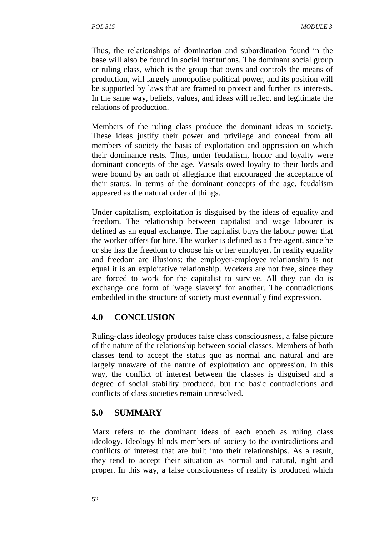Thus, the relationships of domination and subordination found in the base will also be found in social institutions. The dominant social group or ruling class, which is the group that owns and controls the means of production, will largely monopolise political power, and its position will be supported by laws that are framed to protect and further its interests. In the same way, beliefs, values, and ideas will reflect and legitimate the relations of production.

Members of the ruling class produce the dominant ideas in society. These ideas justify their power and privilege and conceal from all members of society the basis of exploitation and oppression on which their dominance rests. Thus, under feudalism, honor and loyalty were dominant concepts of the age. Vassals owed loyalty to their lords and were bound by an oath of allegiance that encouraged the acceptance of their status. In terms of the dominant concepts of the age, feudalism appeared as the natural order of things.

Under capitalism, exploitation is disguised by the ideas of equality and freedom. The relationship between capitalist and wage labourer is defined as an equal exchange. The capitalist buys the labour power that the worker offers for hire. The worker is defined as a free agent, since he or she has the freedom to choose his or her employer. In reality equality and freedom are illusions: the employer-employee relationship is not equal it is an exploitative relationship. Workers are not free, since they are forced to work for the capitalist to survive. All they can do is exchange one form of 'wage slavery' for another. The contradictions embedded in the structure of society must eventually find expression.

# **4.0 CONCLUSION**

Ruling-class ideology produces false class consciousness**,** a false picture of the nature of the relationship between social classes. Members of both classes tend to accept the status quo as normal and natural and are largely unaware of the nature of exploitation and oppression. In this way, the conflict of interest between the classes is disguised and a degree of social stability produced, but the basic contradictions and conflicts of class societies remain unresolved.

# **5.0 SUMMARY**

Marx refers to the dominant ideas of each epoch as ruling class ideology. Ideology blinds members of society to the contradictions and conflicts of interest that are built into their relationships. As a result, they tend to accept their situation as normal and natural, right and proper. In this way, a false consciousness of reality is produced which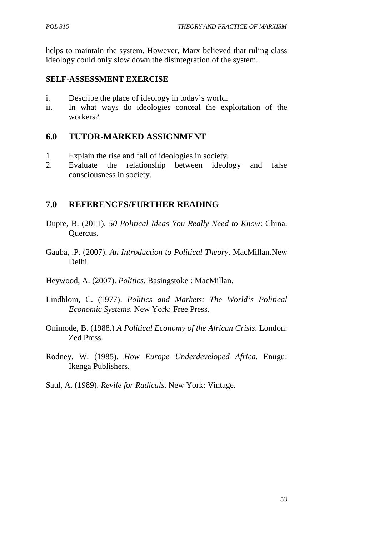helps to maintain the system. However, Marx believed that ruling class ideology could only slow down the disintegration of the system.

#### **SELF-ASSESSMENT EXERCISE**

- i. Describe the place of ideology in today's world.
- ii. In what ways do ideologies conceal the exploitation of the workers?

### **6.0 TUTOR-MARKED ASSIGNMENT**

- 1. Explain the rise and fall of ideologies in society.
- 2. Evaluate the relationship between ideology and false consciousness in society.

### **7.0 REFERENCES/FURTHER READING**

- Dupre, B. (2011). *50 Political Ideas You Really Need to Know*: China. Quercus.
- Gauba, .P. (2007). *An Introduction to Political Theory*. MacMillan.New Delhi.

Heywood, A. (2007). *Politics*. Basingstoke : MacMillan.

- Lindblom, C. (1977). *Politics and Markets: The World's Political Economic Systems*. New York: Free Press.
- Onimode, B. (1988.) *A Political Economy of the African Crisis*. London: Zed Press.
- Rodney, W. (1985). *How Europe Underdeveloped Africa.* Enugu: Ikenga Publishers.
- Saul, A. (1989). *Revile for Radicals*. New York: Vintage.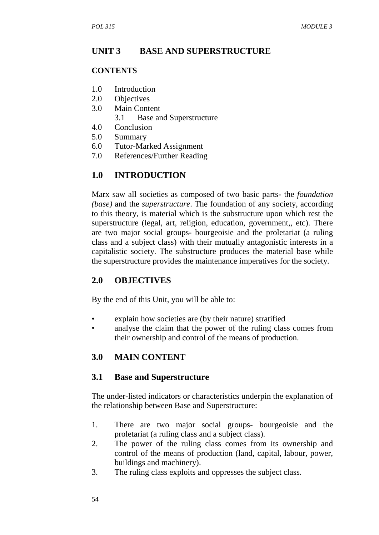## **UNIT 3 BASE AND SUPERSTRUCTURE**

### **CONTENTS**

- 1.0 Introduction
- 2.0 Objectives
- 3.0 Main Content
	- 3.1 Base and Superstructure
- 4.0 Conclusion
- 5.0 Summary
- 6.0 Tutor-Marked Assignment
- 7.0 References/Further Reading

# **1.0 INTRODUCTION**

Marx saw all societies as composed of two basic parts- the *foundation (base)* and the *superstructure*. The foundation of any society, according to this theory, is material which is the substructure upon which rest the superstructure (legal, art, religion, education, government,, etc). There are two major social groups- bourgeoisie and the proletariat (a ruling class and a subject class) with their mutually antagonistic interests in a capitalistic society. The substructure produces the material base while the superstructure provides the maintenance imperatives for the society.

## **2.0 OBJECTIVES**

By the end of this Unit, you will be able to:

- explain how societies are (by their nature) stratified
- analyse the claim that the power of the ruling class comes from their ownership and control of the means of production.

## **3.0 MAIN CONTENT**

### **3.1 Base and Superstructure**

The under-listed indicators or characteristics underpin the explanation of the relationship between Base and Superstructure:

- 1. There are two major social groups- bourgeoisie and the proletariat (a ruling class and a subject class).
- 2. The power of the ruling class comes from its ownership and control of the means of production (land, capital, labour, power, buildings and machinery).
- 3. The ruling class exploits and oppresses the subject class.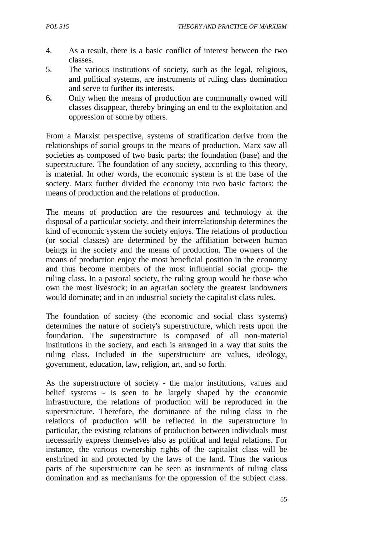- 4. As a result, there is a basic conflict of interest between the two classes.
- 5. The various institutions of society, such as the legal, religious, and political systems, are instruments of ruling class domination and serve to further its interests.
- 6**.** Only when the means of production are communally owned will classes disappear, thereby bringing an end to the exploitation and oppression of some by others.

From a Marxist perspective, systems of stratification derive from the relationships of social groups to the means of production. Marx saw all societies as composed of two basic parts: the foundation (base) and the superstructure. The foundation of any society, according to this theory, is material. In other words, the economic system is at the base of the society. Marx further divided the economy into two basic factors: the means of production and the relations of production.

The means of production are the resources and technology at the disposal of a particular society, and their interrelationship determines the kind of economic system the society enjoys. The relations of production (or social classes) are determined by the affiliation between human beings in the society and the means of production. The owners of the means of production enjoy the most beneficial position in the economy and thus become members of the most influential social group- the ruling class. In a pastoral society, the ruling group would be those who own the most livestock; in an agrarian society the greatest landowners would dominate; and in an industrial society the capitalist class rules.

The foundation of society (the economic and social class systems) determines the nature of society's superstructure, which rests upon the foundation. The superstructure is composed of all non-material institutions in the society, and each is arranged in a way that suits the ruling class. Included in the superstructure are values, ideology, government, education, law, religion, art, and so forth.

As the superstructure of society - the major institutions, values and belief systems - is seen to be largely shaped by the economic infrastructure, the relations of production will be reproduced in the superstructure. Therefore, the dominance of the ruling class in the relations of production will be reflected in the superstructure in particular, the existing relations of production between individuals must necessarily express themselves also as political and legal relations. For instance, the various ownership rights of the capitalist class will be enshrined in and protected by the laws of the land. Thus the various parts of the superstructure can be seen as instruments of ruling class domination and as mechanisms for the oppression of the subject class.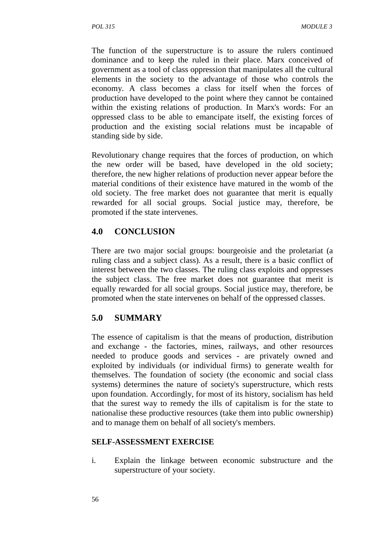The function of the superstructure is to assure the rulers continued dominance and to keep the ruled in their place. Marx conceived of government as a tool of class oppression that manipulates all the cultural elements in the society to the advantage of those who controls the economy. A class becomes a class for itself when the forces of production have developed to the point where they cannot be contained within the existing relations of production. In Marx's words: For an oppressed class to be able to emancipate itself, the existing forces of production and the existing social relations must be incapable of standing side by side.

Revolutionary change requires that the forces of production, on which the new order will be based, have developed in the old society; therefore, the new higher relations of production never appear before the material conditions of their existence have matured in the womb of the old society. The free market does not guarantee that merit is equally rewarded for all social groups. Social justice may, therefore, be promoted if the state intervenes.

## **4.0 CONCLUSION**

There are two major social groups: bourgeoisie and the proletariat (a ruling class and a subject class). As a result, there is a basic conflict of interest between the two classes. The ruling class exploits and oppresses the subject class. The free market does not guarantee that merit is equally rewarded for all social groups. Social justice may, therefore, be promoted when the state intervenes on behalf of the oppressed classes.

## **5.0 SUMMARY**

The essence of capitalism is that the means of production, distribution and exchange - the factories, mines, railways, and other resources needed to produce goods and services - are privately owned and exploited by individuals (or individual firms) to generate wealth for themselves. The foundation of society (the economic and social class systems) determines the nature of society's superstructure, which rests upon foundation. Accordingly, for most of its history, socialism has held that the surest way to remedy the ills of capitalism is for the state to nationalise these productive resources (take them into public ownership) and to manage them on behalf of all society's members.

### **SELF-ASSESSMENT EXERCISE**

i. Explain the linkage between economic substructure and the superstructure of your society.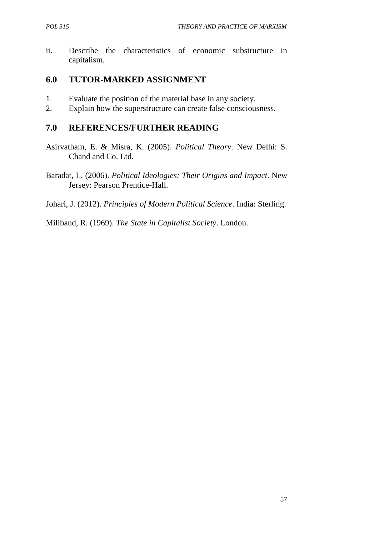ii. Describe the characteristics of economic substructure in capitalism.

# **6.0 TUTOR-MARKED ASSIGNMENT**

- 1. Evaluate the position of the material base in any society.
- 2. Explain how the superstructure can create false consciousness.

## **7.0 REFERENCES/FURTHER READING**

- Asirvatham, E. & Misra, K. (2005). *Political Theory*. New Delhi: S. Chand and Co. Ltd.
- Baradat, L. (2006). *Political Ideologies: Their Origins and Impact*. New Jersey: Pearson Prentice-Hall.
- Johari, J. (2012). *Principles of Modern Political Science*. India: Sterling.
- Miliband, R. (1969). *The State in Capitalist Society*. London.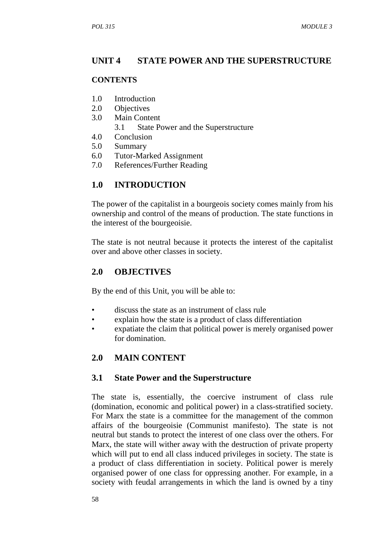## **UNIT 4 STATE POWER AND THE SUPERSTRUCTURE**

### **CONTENTS**

- 1.0 Introduction
- 2.0 Objectives
- 3.0 Main Content
	- 3.1 State Power and the Superstructure
- 4.0 Conclusion
- 5.0 Summary
- 6.0 Tutor-Marked Assignment
- 7.0 References/Further Reading

## **1.0 INTRODUCTION**

The power of the capitalist in a bourgeois society comes mainly from his ownership and control of the means of production. The state functions in the interest of the bourgeoisie.

The state is not neutral because it protects the interest of the capitalist over and above other classes in society.

## **2.0 OBJECTIVES**

By the end of this Unit, you will be able to:

- discuss the state as an instrument of class rule
- explain how the state is a product of class differentiation
- expatiate the claim that political power is merely organised power for domination.

## **2.0 MAIN CONTENT**

### **3.1 State Power and the Superstructure**

The state is, essentially, the coercive instrument of class rule (domination, economic and political power) in a class-stratified society. For Marx the state is a committee for the management of the common affairs of the bourgeoisie (Communist manifesto). The state is not neutral but stands to protect the interest of one class over the others. For Marx, the state will wither away with the destruction of private property which will put to end all class induced privileges in society. The state is a product of class differentiation in society. Political power is merely organised power of one class for oppressing another. For example, in a society with feudal arrangements in which the land is owned by a tiny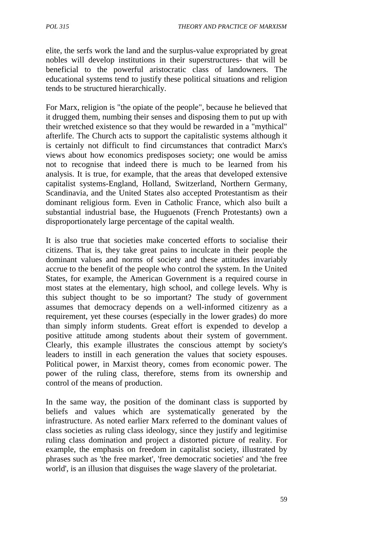elite, the serfs work the land and the surplus-value expropriated by great nobles will develop institutions in their superstructures- that will be beneficial to the powerful aristocratic class of landowners. The educational systems tend to justify these political situations and religion tends to be structured hierarchically.

For Marx, religion is "the opiate of the people", because he believed that it drugged them, numbing their senses and disposing them to put up with their wretched existence so that they would be rewarded in a "mythical" afterlife. The Church acts to support the capitalistic systems although it is certainly not difficult to find circumstances that contradict Marx's views about how economics predisposes society; one would be amiss not to recognise that indeed there is much to be learned from his analysis. It is true, for example, that the areas that developed extensive capitalist systems-England, Holland, Switzerland, Northern Germany, Scandinavia, and the United States also accepted Protestantism as their dominant religious form. Even in Catholic France, which also built a substantial industrial base, the Huguenots (French Protestants) own a disproportionately large percentage of the capital wealth.

It is also true that societies make concerted efforts to socialise their citizens. That is, they take great pains to inculcate in their people the dominant values and norms of society and these attitudes invariably accrue to the benefit of the people who control the system. In the United States, for example, the American Government is a required course in most states at the elementary, high school, and college levels. Why is this subject thought to be so important? The study of government assumes that democracy depends on a well-informed citizenry as a requirement, yet these courses (especially in the lower grades) do more than simply inform students. Great effort is expended to develop a positive attitude among students about their system of government. Clearly, this example illustrates the conscious attempt by society's leaders to instill in each generation the values that society espouses. Political power, in Marxist theory, comes from economic power. The power of the ruling class, therefore, stems from its ownership and control of the means of production.

In the same way, the position of the dominant class is supported by beliefs and values which are systematically generated by the infrastructure. As noted earlier Marx referred to the dominant values of class societies as ruling class ideology, since they justify and legitimise ruling class domination and project a distorted picture of reality. For example, the emphasis on freedom in capitalist society, illustrated by phrases such as 'the free market', 'free democratic societies' and 'the free world', is an illusion that disguises the wage slavery of the proletariat.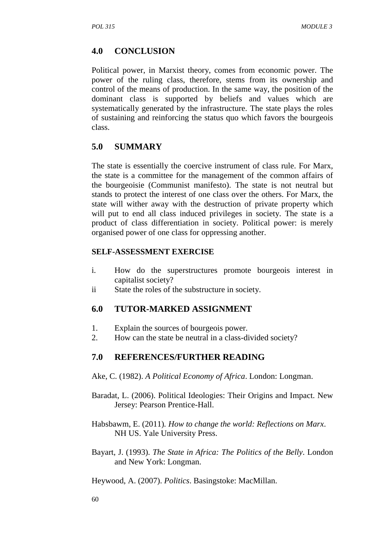## **4.0 CONCLUSION**

Political power, in Marxist theory, comes from economic power. The power of the ruling class, therefore, stems from its ownership and control of the means of production. In the same way, the position of the dominant class is supported by beliefs and values which are systematically generated by the infrastructure. The state plays the roles of sustaining and reinforcing the status quo which favors the bourgeois class.

### **5.0 SUMMARY**

The state is essentially the coercive instrument of class rule. For Marx, the state is a committee for the management of the common affairs of the bourgeoisie (Communist manifesto). The state is not neutral but stands to protect the interest of one class over the others. For Marx, the state will wither away with the destruction of private property which will put to end all class induced privileges in society. The state is a product of class differentiation in society. Political power: is merely organised power of one class for oppressing another.

### **SELF-ASSESSMENT EXERCISE**

- i. How do the superstructures promote bourgeois interest in capitalist society?
- ii State the roles of the substructure in society.

## **6.0 TUTOR-MARKED ASSIGNMENT**

- 1. Explain the sources of bourgeois power.
- 2. How can the state be neutral in a class-divided society?

## **7.0 REFERENCES/FURTHER READING**

- Ake, C. (1982). *A Political Economy of Africa*. London: Longman.
- Baradat, L. (2006). Political Ideologies: Their Origins and Impact. New Jersey: Pearson Prentice-Hall.

Habsbawm, E. (2011)*. How to change the world: Reflections on Marx*. NH US. Yale University Press.

- Bayart, J. (1993). *The State in Africa: The Politics of the Belly*. London and New York: Longman.
- Heywood, A. (2007). *Politics*. Basingstoke: MacMillan.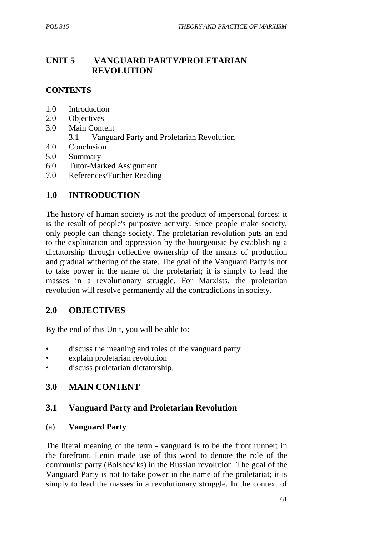# **UNIT 5 VANGUARD PARTY/PROLETARIAN REVOLUTION**

## **CONTENTS**

- 1.0 Introduction
- 2.0 Objectives
- 3.0 Main Content
	- 3.1 Vanguard Party and Proletarian Revolution
- 4.0 Conclusion
- 5.0 Summary
- 6.0 Tutor-Marked Assignment
- 7.0 References/Further Reading

# **1.0 INTRODUCTION**

The history of human society is not the product of impersonal forces; it is the result of people's purposive activity. Since people make society, only people can change society. The proletarian revolution puts an end to the exploitation and oppression by the bourgeoisie by establishing a dictatorship through collective ownership of the means of production and gradual withering of the state. The goal of the Vanguard Party is not to take power in the name of the proletariat; it is simply to lead the masses in a revolutionary struggle. For Marxists, the proletarian revolution will resolve permanently all the contradictions in society.

## **2.0 OBJECTIVES**

By the end of this Unit, you will be able to:

- discuss the meaning and roles of the vanguard party
- explain proletarian revolution
- discuss proletarian dictatorship.

## **3.0 MAIN CONTENT**

## **3.1 Vanguard Party and Proletarian Revolution**

### (a) **Vanguard Party**

The literal meaning of the term - vanguard is to be the front runner; in the forefront. Lenin made use of this word to denote the role of the communist party (Bolsheviks) in the Russian revolution. The goal of the Vanguard Party is not to take power in the name of the proletariat; it is simply to lead the masses in a revolutionary struggle. In the context of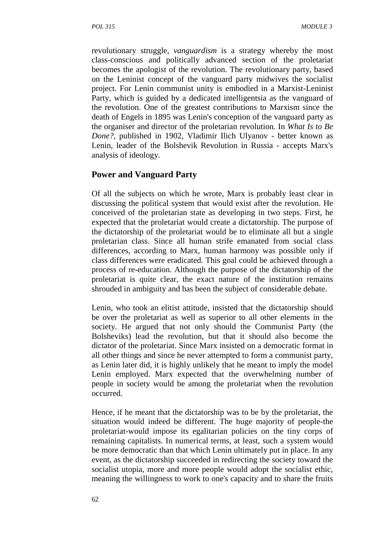revolutionary struggle*, vanguardism* is a strategy whereby the most class-conscious and politically advanced section of the proletariat becomes the apologist of the revolution. The revolutionary party, based on the Leninist concept of the vanguard party midwives the socialist project. For Lenin communist unity is embodied in a Marxist-Leninist Party*,* which is guided by a dedicated intelligentsia as the vanguard of the revolution. One of the greatest contributions to Marxism since the death of Engels in 1895 was Lenin's conception of the vanguard party as the organiser and director of the proletarian revolution*.* In *What Is to Be Done?*, published in 1902, Vladimir Ilich Ulyanov - better known as Lenin, leader of the Bolshevik Revolution in Russia - accepts Marx's analysis of ideology*.*

### **Power and Vanguard Party**

Of all the subjects on which he wrote, Marx is probably least clear in discussing the political system that would exist after the revolution. He conceived of the proletarian state as developing in two steps. First, he expected that the proletariat would create a dictatorship. The purpose of the dictatorship of the proletariat would be to eliminate all but a single proletarian class. Since all human strife emanated from social class differences, according to Marx, human harmony was possible only if class differences were eradicated. This goal could be achieved through a process of re-education. Although the purpose of the dictatorship of the proletariat is quite clear, the exact nature of the institution remains shrouded in ambiguity and has been the subject of considerable debate.

Lenin, who took an elitist attitude, insisted that the dictatorship should be over the proletariat as well as superior to all other elements in the society. He argued that not only should the Communist Party (the Bolsheviks) lead the revolution, but that it should also become the dictator of the proletariat. Since Marx insisted on a democratic format in all other things and since he never attempted to form a communist party, as Lenin later did, it is highly unlikely that he meant to imply the model Lenin employed. Marx expected that the overwhelming number of people in society would be among the proletariat when the revolution occurred.

Hence, if he meant that the dictatorship was to be by the proletariat, the situation would indeed be different. The huge majority of people-the proletariat-would impose its egalitarian policies on the tiny corps of remaining capitalists. In numerical terms, at least, such a system would be more democratic than that which Lenin ultimately put in place. In any event, as the dictatorship succeeded in redirecting the society toward the socialist utopia, more and more people would adopt the socialist ethic, meaning the willingness to work to one's capacity and to share the fruits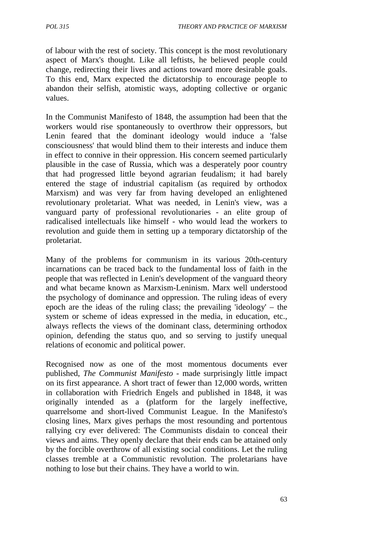of labour with the rest of society. This concept is the most revolutionary aspect of Marx's thought. Like all leftists, he believed people could change, redirecting their lives and actions toward more desirable goals. To this end, Marx expected the dictatorship to encourage people to abandon their selfish, atomistic ways, adopting collective or organic values.

In the Communist Manifesto of 1848, the assumption had been that the workers would rise spontaneously to overthrow their oppressors, but Lenin feared that the dominant ideology would induce a 'false consciousness' that would blind them to their interests and induce them in effect to connive in their oppression. His concern seemed particularly plausible in the case of Russia, which was a desperately poor country that had progressed little beyond agrarian feudalism; it had barely entered the stage of industrial capitalism (as required by orthodox Marxism) and was very far from having developed an enlightened revolutionary proletariat. What was needed, in Lenin's view, was a vanguard party of professional revolutionaries - an elite group of radicalised intellectuals like himself - who would lead the workers to revolution and guide them in setting up a temporary dictatorship of the proletariat.

Many of the problems for communism in its various 20th-century incarnations can be traced back to the fundamental loss of faith in the people that was reflected in Lenin's development of the vanguard theory and what became known as Marxism-Leninism. Marx well understood the psychology of dominance and oppression. The ruling ideas of every epoch are the ideas of the ruling class; the prevailing 'ideology' – the system or scheme of ideas expressed in the media, in education, etc., always reflects the views of the dominant class, determining orthodox opinion, defending the status quo, and so serving to justify unequal relations of economic and political power.

Recognised now as one of the most momentous documents ever published, *The Communist Manifesto -* made surprisingly little impact on its first appearance. A short tract of fewer than 12,000 words, written in collaboration with Friedrich Engels and published in 1848, it was originally intended as a (platform for the largely ineffective, quarrelsome and short-lived Communist League. In the Manifesto's closing lines, Marx gives perhaps the most resounding and portentous rallying cry ever delivered: The Communists disdain to conceal their views and aims. They openly declare that their ends can be attained only by the forcible overthrow of all existing social conditions. Let the ruling classes tremble at a Communistic revolution. The proletarians have nothing to lose but their chains. They have a world to win.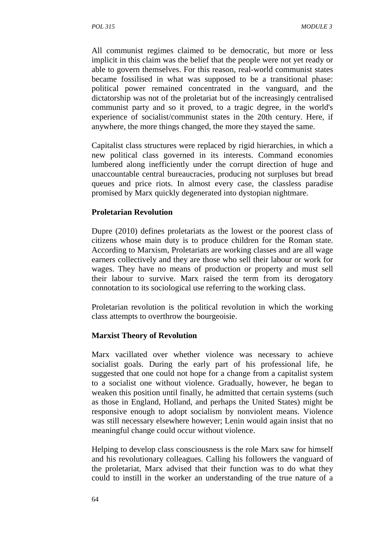All communist regimes claimed to be democratic, but more or less implicit in this claim was the belief that the people were not yet ready or able to govern themselves. For this reason, real-world communist states became fossilised in what was supposed to be a transitional phase: political power remained concentrated in the vanguard, and the dictatorship was not of the proletariat but of the increasingly centralised communist party and so it proved, to a tragic degree, in the world's experience of socialist/communist states in the 20th century. Here, if anywhere, the more things changed, the more they stayed the same.

Capitalist class structures were replaced by rigid hierarchies, in which a new political class governed in its interests. Command economies lumbered along inefficiently under the corrupt direction of huge and unaccountable central bureaucracies, producing not surpluses but bread queues and price riots. In almost every case, the classless paradise promised by Marx quickly degenerated into dystopian nightmare.

### **Proletarian Revolution**

Dupre (2010) defines proletariats as the lowest or the poorest class of citizens whose main duty is to produce children for the Roman state. According to Marxism, Proletariats are working classes and are all wage earners collectively and they are those who sell their labour or work for wages. They have no means of production or property and must sell their labour to survive. Marx raised the term from its derogatory connotation to its sociological use referring to the working class.

Proletarian revolution is the political revolution in which the working class attempts to overthrow the bourgeoisie.

### **Marxist Theory of Revolution**

Marx vacillated over whether violence was necessary to achieve socialist goals. During the early part of his professional life, he suggested that one could not hope for a change from a capitalist system to a socialist one without violence. Gradually, however, he began to weaken this position until finally, he admitted that certain systems (such as those in England, Holland, and perhaps the United States) might be responsive enough to adopt socialism by nonviolent means. Violence was still necessary elsewhere however; Lenin would again insist that no meaningful change could occur without violence.

Helping to develop class consciousness is the role Marx saw for himself and his revolutionary colleagues. Calling his followers the vanguard of the proletariat, Marx advised that their function was to do what they could to instill in the worker an understanding of the true nature of a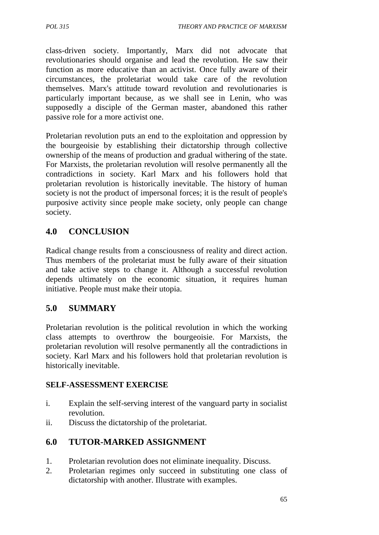class-driven society. Importantly, Marx did not advocate that revolutionaries should organise and lead the revolution. He saw their function as more educative than an activist. Once fully aware of their circumstances, the proletariat would take care of the revolution themselves. Marx's attitude toward revolution and revolutionaries is particularly important because, as we shall see in Lenin, who was supposedly a disciple of the German master, abandoned this rather passive role for a more activist one.

Proletarian revolution puts an end to the exploitation and oppression by the bourgeoisie by establishing their dictatorship through collective ownership of the means of production and gradual withering of the state. For Marxists, the proletarian revolution will resolve permanently all the contradictions in society. Karl Marx and his followers hold that proletarian revolution is historically inevitable. The history of human society is not the product of impersonal forces; it is the result of people's purposive activity since people make society, only people can change society.

## **4.0 CONCLUSION**

Radical change results from a consciousness of reality and direct action. Thus members of the proletariat must be fully aware of their situation and take active steps to change it. Although a successful revolution depends ultimately on the economic situation, it requires human initiative. People must make their utopia.

### **5.0 SUMMARY**

Proletarian revolution is the political revolution in which the working class attempts to overthrow the bourgeoisie. For Marxists, the proletarian revolution will resolve permanently all the contradictions in society. Karl Marx and his followers hold that proletarian revolution is historically inevitable.

#### **SELF-ASSESSMENT EXERCISE**

- i. Explain the self-serving interest of the vanguard party in socialist revolution.
- ii. Discuss the dictatorship of the proletariat.

## **6.0 TUTOR-MARKED ASSIGNMENT**

- 1. Proletarian revolution does not eliminate inequality. Discuss.
- 2. Proletarian regimes only succeed in substituting one class of dictatorship with another. Illustrate with examples.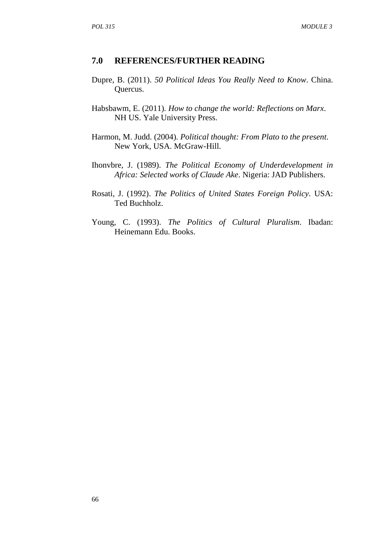### **7.0 REFERENCES/FURTHER READING**

- Dupre, B. (2011). *50 Political Ideas You Really Need to Know*. China. Quercus.
- Habsbawm, E. (2011)*. How to change the world: Reflections on Marx*. NH US. Yale University Press.
- Harmon, M. Judd. (2004). *Political thought: From Plato to the present*. New York, USA. McGraw-Hill.
- Ihonvbre, J. (1989). *The Political Economy of Underdevelopment in Africa: Selected works of Claude Ake*. Nigeria: JAD Publishers.
- Rosati, J. (1992). *The Politics of United States Foreign Policy*. USA: Ted Buchholz.
- Young, C. (1993). *The Politics of Cultural Pluralism*. Ibadan: Heinemann Edu. Books.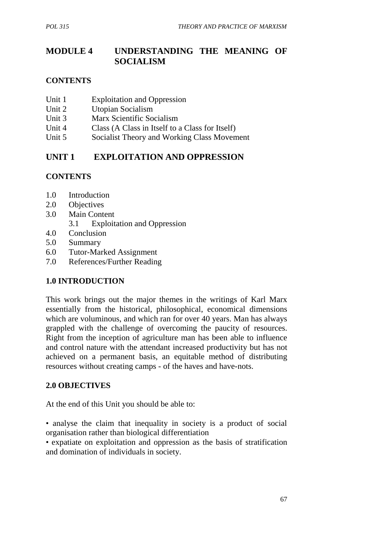# **MODULE 4 UNDERSTANDING THE MEANING OF SOCIALISM**

## **CONTENTS**

- Unit 1 Exploitation and Oppression
- Unit 2 Utopian Socialism
- Unit 3 Marx Scientific Socialism
- Unit 4 Class (A Class in Itself to a Class for Itself)
- Unit 5 Socialist Theory and Working Class Movement

## **UNIT 1 EXPLOITATION AND OPPRESSION**

### **CONTENTS**

- 1.0 Introduction
- 2.0 Objectives
- 3.0 Main Content
	- 3.1 Exploitation and Oppression
- 4.0 Conclusion
- 5.0 Summary
- 6.0 Tutor-Marked Assignment
- 7.0 References/Further Reading

### **1.0 INTRODUCTION**

This work brings out the major themes in the writings of Karl Marx essentially from the historical, philosophical, economical dimensions which are voluminous, and which ran for over 40 years. Man has always grappled with the challenge of overcoming the paucity of resources. Right from the inception of agriculture man has been able to influence and control nature with the attendant increased productivity but has not achieved on a permanent basis, an equitable method of distributing resources without creating camps - of the haves and have-nots.

### **2.0 OBJECTIVES**

At the end of this Unit you should be able to:

• analyse the claim that inequality in society is a product of social organisation rather than biological differentiation

• expatiate on exploitation and oppression as the basis of stratification and domination of individuals in society.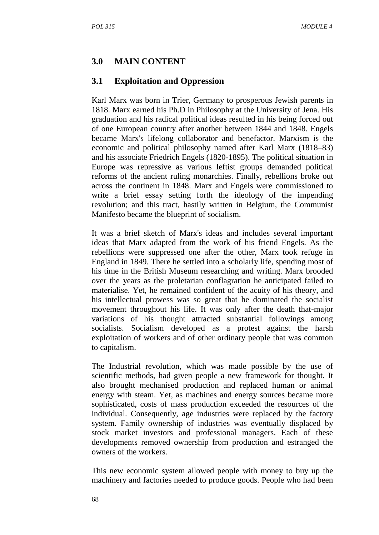# **3.0 MAIN CONTENT**

## **3.1 Exploitation and Oppression**

Karl Marx was born in Trier, Germany to prosperous Jewish parents in 1818. Marx earned his Ph.D in Philosophy at the University of Jena. His graduation and his radical political ideas resulted in his being forced out of one European country after another between 1844 and 1848. Engels became Marx's lifelong collaborator and benefactor. Marxism is the economic and political philosophy named after Karl Marx (1818–83) and his associate Friedrich Engels (1820-1895). The political situation in Europe was repressive as various leftist groups demanded political reforms of the ancient ruling monarchies. Finally, rebellions broke out across the continent in 1848. Marx and Engels were commissioned to write a brief essay setting forth the ideology of the impending revolution; and this tract, hastily written in Belgium, the Communist Manifesto became the blueprint of socialism.

It was a brief sketch of Marx's ideas and includes several important ideas that Marx adapted from the work of his friend Engels. As the rebellions were suppressed one after the other, Marx took refuge in England in 1849. There he settled into a scholarly life, spending most of his time in the British Museum researching and writing. Marx brooded over the years as the proletarian conflagration he anticipated failed to materialise. Yet, he remained confident of the acuity of his theory, and his intellectual prowess was so great that he dominated the socialist movement throughout his life. It was only after the death that-major variations of his thought attracted substantial followings among socialists. Socialism developed as a protest against the harsh exploitation of workers and of other ordinary people that was common to capitalism.

The Industrial revolution, which was made possible by the use of scientific methods, had given people a new framework for thought. It also brought mechanised production and replaced human or animal energy with steam. Yet, as machines and energy sources became more sophisticated, costs of mass production exceeded the resources of the individual. Consequently, age industries were replaced by the factory system. Family ownership of industries was eventually displaced by stock market investors and professional managers. Each of these developments removed ownership from production and estranged the owners of the workers.

This new economic system allowed people with money to buy up the machinery and factories needed to produce goods. People who had been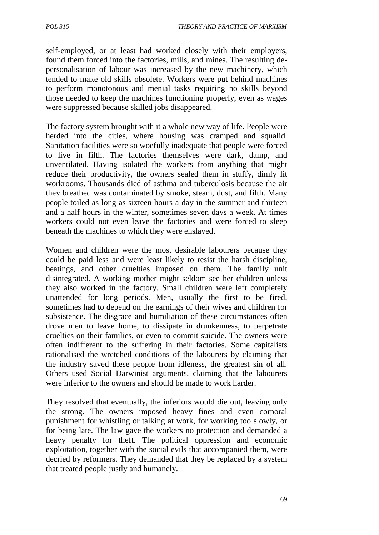self-employed, or at least had worked closely with their employers, found them forced into the factories, mills, and mines. The resulting de personalisation of labour was increased by the new machinery, which tended to make old skills obsolete. Workers were put behind machines to perform monotonous and menial tasks requiring no skills beyond those needed to keep the machines functioning properly, even as wages were suppressed because skilled jobs disappeared.

The factory system brought with it a whole new way of life. People were herded into the cities, where housing was cramped and squalid. Sanitation facilities were so woefully inadequate that people were forced to live in filth. The factories themselves were dark, damp, and unventilated. Having isolated the workers from anything that might reduce their productivity, the owners sealed them in stuffy, dimly lit workrooms. Thousands died of asthma and tuberculosis because the air they breathed was contaminated by smoke, steam, dust, and filth. Many people toiled as long as sixteen hours a day in the summer and thirteen and a half hours in the winter, sometimes seven days a week. At times workers could not even leave the factories and were forced to sleep beneath the machines to which they were enslaved.

Women and children were the most desirable labourers because they could be paid less and were least likely to resist the harsh discipline, beatings, and other cruelties imposed on them. The family unit disintegrated. A working mother might seldom see her children unless they also worked in the factory. Small children were left completely unattended for long periods. Men, usually the first to be fired, sometimes had to depend on the earnings of their wives and children for subsistence. The disgrace and humiliation of these circumstances often drove men to leave home, to dissipate in drunkenness, to perpetrate cruelties on their families, or even to commit suicide. The owners were often indifferent to the suffering in their factories. Some capitalists rationalised the wretched conditions of the labourers by claiming that the industry saved these people from idleness, the greatest sin of all. Others used Social Darwinist arguments, claiming that the labourers were inferior to the owners and should be made to work harder.

They resolved that eventually, the inferiors would die out, leaving only the strong. The owners imposed heavy fines and even corporal punishment for whistling or talking at work, for working too slowly, or for being late. The law gave the workers no protection and demanded a heavy penalty for theft. The political oppression and economic exploitation, together with the social evils that accompanied them, were decried by reformers. They demanded that they be replaced by a system that treated people justly and humanely.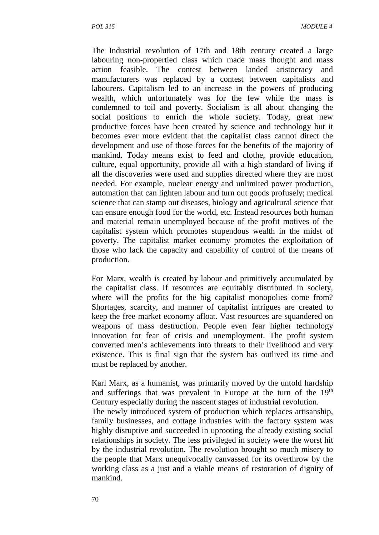The Industrial revolution of 17th and 18th century created a large labouring non-propertied class which made mass thought and mass action feasible. The contest between landed aristocracy and manufacturers was replaced by a contest between capitalists and labourers. Capitalism led to an increase in the powers of producing wealth, which unfortunately was for the few while the mass is condemned to toil and poverty. Socialism is all about changing the social positions to enrich the whole society. Today, great new productive forces have been created by science and technology but it becomes ever more evident that the capitalist class cannot direct the development and use of those forces for the benefits of the majority of mankind. Today means exist to feed and clothe, provide education, culture, equal opportunity, provide all with a high standard of living if all the discoveries were used and supplies directed where they are most needed. For example, nuclear energy and unlimited power production, automation that can lighten labour and turn out goods profusely; medical science that can stamp out diseases, biology and agricultural science that can ensure enough food for the world, etc. Instead resources both human and material remain unemployed because of the profit motives of the capitalist system which promotes stupendous wealth in the midst of poverty. The capitalist market economy promotes the exploitation of those who lack the capacity and capability of control of the means of production.

For Marx, wealth is created by labour and primitively accumulated by the capitalist class. If resources are equitably distributed in society, where will the profits for the big capitalist monopolies come from? Shortages, scarcity, and manner of capitalist intrigues are created to keep the free market economy afloat. Vast resources are squandered on weapons of mass destruction. People even fear higher technology innovation for fear of crisis and unemployment. The profit system converted men's achievements into threats to their livelihood and very existence. This is final sign that the system has outlived its time and must be replaced by another.

Karl Marx, as a humanist, was primarily moved by the untold hardship and sufferings that was prevalent in Europe at the turn of the 19<sup>th</sup> Century especially during the nascent stages of industrial revolution.

The newly introduced system of production which replaces artisanship, family businesses, and cottage industries with the factory system was highly disruptive and succeeded in uprooting the already existing social relationships in society. The less privileged in society were the worst hit by the industrial revolution. The revolution brought so much misery to the people that Marx unequivocally canvassed for its overthrow by the working class as a just and a viable means of restoration of dignity of mankind.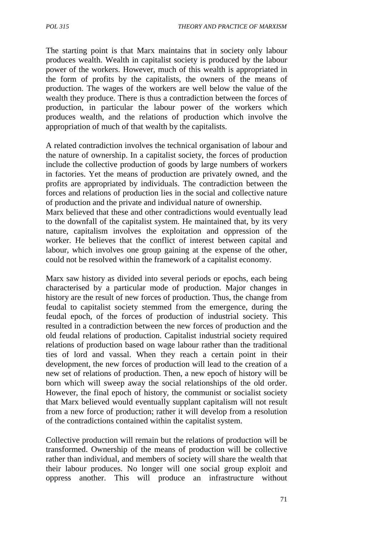The starting point is that Marx maintains that in society only labour produces wealth. Wealth in capitalist society is produced by the labour power of the workers. However, much of this wealth is appropriated in the form of profits by the capitalists, the owners of the means of production. The wages of the workers are well below the value of the wealth they produce. There is thus a contradiction between the forces of production, in particular the labour power of the workers which produces wealth, and the relations of production which involve the appropriation of much of that wealth by the capitalists.

A related contradiction involves the technical organisation of labour and the nature of ownership. In a capitalist society, the forces of production include the collective production of goods by large numbers of workers in factories. Yet the means of production are privately owned, and the profits are appropriated by individuals. The contradiction between the forces and relations of production lies in the social and collective nature of production and the private and individual nature of ownership.

Marx believed that these and other contradictions would eventually lead to the downfall of the capitalist system. He maintained that, by its very nature, capitalism involves the exploitation and oppression of the worker. He believes that the conflict of interest between capital and labour, which involves one group gaining at the expense of the other, could not be resolved within the framework of a capitalist economy.

Marx saw history as divided into several periods or epochs, each being characterised by a particular mode of production. Major changes in history are the result of new forces of production. Thus, the change from feudal to capitalist society stemmed from the emergence, during the feudal epoch, of the forces of production of industrial society. This resulted in a contradiction between the new forces of production and the old feudal relations of production. Capitalist industrial society required relations of production based on wage labour rather than the traditional ties of lord and vassal. When they reach a certain point in their development, the new forces of production will lead to the creation of a new set of relations of production. Then, a new epoch of history will be born which will sweep away the social relationships of the old order. However, the final epoch of history, the communist or socialist society that Marx believed would eventually supplant capitalism will not result from a new force of production; rather it will develop from a resolution of the contradictions contained within the capitalist system.

Collective production will remain but the relations of production will be transformed. Ownership of the means of production will be collective rather than individual, and members of society will share the wealth that their labour produces. No longer will one social group exploit and oppress another. This will produce an infrastructure without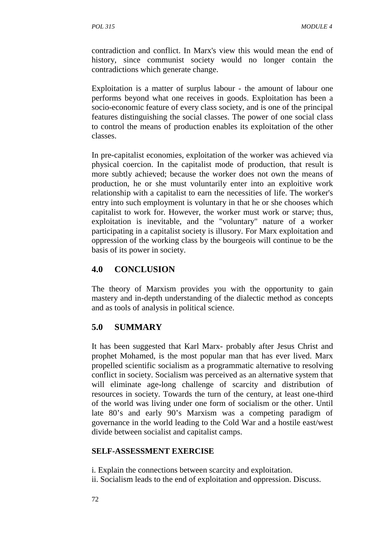contradiction and conflict. In Marx's view this would mean the end of history, since communist society would no longer contain the contradictions which generate change.

Exploitation is a matter of surplus labour - the amount of labour one performs beyond what one receives in goods. Exploitation has been a socio-economic feature of every class society, and is one of the principal features distinguishing the social classes. The power of one social class to control the means of production enables its exploitation of the other classes.

In pre-capitalist economies, exploitation of the worker was achieved via physical coercion. In the capitalist mode of production, that result is more subtly achieved; because the worker does not own the means of production, he or she must voluntarily enter into an exploitive work relationship with a capitalist to earn the necessities of life. The worker's entry into such employment is voluntary in that he or she chooses which capitalist to work for. However, the worker must work or starve; thus, exploitation is inevitable, and the "voluntary" nature of a worker participating in a capitalist society is illusory. For Marx exploitation and oppression of the working class by the bourgeois will continue to be the basis of its power in society.

## **4.0 CONCLUSION**

The theory of Marxism provides you with the opportunity to gain mastery and in-depth understanding of the dialectic method as concepts and as tools of analysis in political science.

# **5.0 SUMMARY**

It has been suggested that Karl Marx- probably after Jesus Christ and prophet Mohamed, is the most popular man that has ever lived. Marx propelled scientific socialism as a programmatic alternative to resolving conflict in society. Socialism was perceived as an alternative system that will eliminate age-long challenge of scarcity and distribution of resources in society. Towards the turn of the century, at least one-third of the world was living under one form of socialism or the other. Until late 80's and early 90's Marxism was a competing paradigm of governance in the world leading to the Cold War and a hostile east/west divide between socialist and capitalist camps.

### **SELF-ASSESSMENT EXERCISE**

i. Explain the connections between scarcity and exploitation.

ii. Socialism leads to the end of exploitation and oppression. Discuss.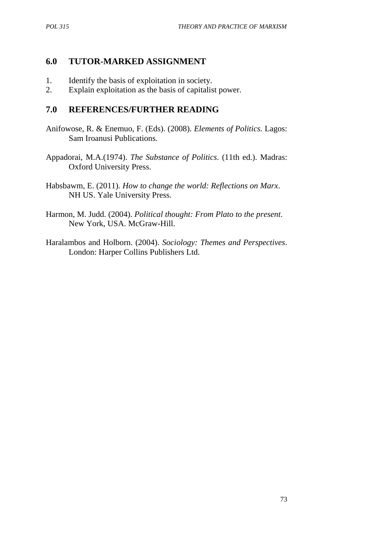# **6.0 TUTOR-MARKED ASSIGNMENT**

- 1. Identify the basis of exploitation in society.
- 2. Explain exploitation as the basis of capitalist power.

# **7.0 REFERENCES/FURTHER READING**

- Anifowose, R. & Enemuo, F. (Eds). (2008). *Elements of Politics.* Lagos: Sam Iroanusi Publications.
- Appadorai, M.A.(1974). *The Substance of Politics*. (11th ed.). Madras: Oxford University Press.
- Habsbawm, E. (2011)*. How to change the world: Reflections on Marx*. NH US. Yale University Press.
- Harmon, M. Judd. (2004). *Political thought: From Plato to the present*. New York, USA. McGraw-Hill.
- Haralambos and Holborn. (2004). *Sociology: Themes and Perspectives*. London: Harper Collins Publishers Ltd.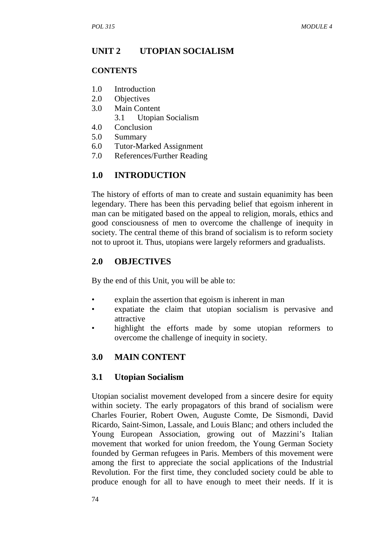# **UNIT 2 UTOPIAN SOCIALISM**

### **CONTENTS**

- 1.0 Introduction
- 2.0 Objectives
- 3.0 Main Content
	- 3.1 Utopian Socialism
- 4.0 Conclusion
- 5.0 Summary
- 6.0 Tutor-Marked Assignment
- 7.0 References/Further Reading

# **1.0 INTRODUCTION**

The history of efforts of man to create and sustain equanimity has been legendary. There has been this pervading belief that egoism inherent in man can be mitigated based on the appeal to religion, morals, ethics and good consciousness of men to overcome the challenge of inequity in society. The central theme of this brand of socialism is to reform society not to uproot it. Thus, utopians were largely reformers and gradualists.

# **2.0 OBJECTIVES**

By the end of this Unit, you will be able to:

- explain the assertion that egoism is inherent in man
- expatiate the claim that utopian socialism is pervasive and attractive
- highlight the efforts made by some utopian reformers to overcome the challenge of inequity in society.

# **3.0 MAIN CONTENT**

## **3.1 Utopian Socialism**

Utopian socialist movement developed from a sincere desire for equity within society. The early propagators of this brand of socialism were Charles Fourier, Robert Owen, Auguste Comte, De Sismondi, David Ricardo, Saint-Simon, Lassale, and Louis Blanc; and others included the Young European Association, growing out of Mazzini's Italian movement that worked for union freedom, the Young German Society founded by German refugees in Paris. Members of this movement were among the first to appreciate the social applications of the Industrial Revolution. For the first time, they concluded society could be able to produce enough for all to have enough to meet their needs. If it is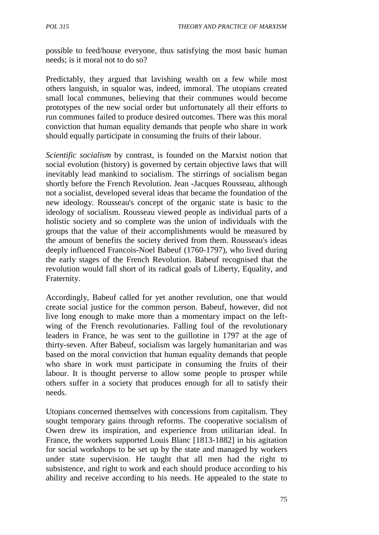possible to feed/house everyone, thus satisfying the most basic human needs; is it moral not to do so?

Predictably, they argued that lavishing wealth on a few while most others languish, in squalor was, indeed, immoral. The utopians created small local communes, believing that their communes would become prototypes of the new social order but unfortunately all their efforts to run communes failed to produce desired outcomes. There was this moral conviction that human equality demands that people who share in work should equally participate in consuming the fruits of their labour.

*Scientific socialism* by contrast, is founded on the Marxist notion that social evolution (history) is governed by certain objective laws that will inevitably lead mankind to socialism. The stirrings of socialism began shortly before the French Revolution. Jean -Jacques Rousseau, although not a socialist, developed several ideas that became the foundation of the new ideology. Rousseau's concept of the organic state is basic to the ideology of socialism. Rousseau viewed people as individual parts of a holistic society and so complete was the union of individuals with the groups that the value of their accomplishments would be measured by the amount of benefits the society derived from them. Rousseau's ideas deeply influenced Francois-Noel Babeuf (1760-1797), who lived during the early stages of the French Revolution. Babeuf recognised that the revolution would fall short of its radical goals of Liberty, Equality, and Fraternity.

Accordingly, Babeuf called for yet another revolution, one that would create social justice for the common person. Babeuf, however, did not live long enough to make more than a momentary impact on the left wing of the French revolutionaries. Falling foul of the revolutionary leaders in France, he was sent to the guillotine in 1797 at the age of thirty-seven. After Babeuf, socialism was largely humanitarian and was based on the moral conviction that human equality demands that people who share in work must participate in consuming the fruits of their labour. It is thought perverse to allow some people to prosper while others suffer in a society that produces enough for all to satisfy their needs.

Utopians concerned themselves with concessions from capitalism. They sought temporary gains through reforms. The cooperative socialism of Owen drew its inspiration, and experience from utilitarian ideal. In France, the workers supported Louis Blanc [1813-1882] in his agitation for social workshops to be set up by the state and managed by workers under state supervision. He taught that all men had the right to subsistence, and right to work and each should produce according to his ability and receive according to his needs. He appealed to the state to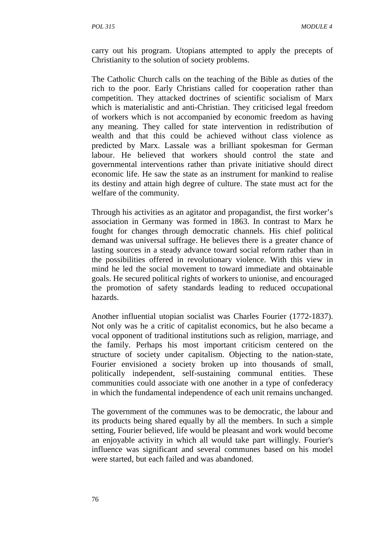carry out his program. Utopians attempted to apply the precepts of Christianity to the solution of society problems.

The Catholic Church calls on the teaching of the Bible as duties of the rich to the poor. Early Christians called for cooperation rather than competition. They attacked doctrines of scientific socialism of Marx which is materialistic and anti-Christian. They criticised legal freedom of workers which is not accompanied by economic freedom as having any meaning. They called for state intervention in redistribution of wealth and that this could be achieved without class violence as predicted by Marx. Lassale was a brilliant spokesman for German labour. He believed that workers should control the state and governmental interventions rather than private initiative should direct economic life. He saw the state as an instrument for mankind to realise its destiny and attain high degree of culture. The state must act for the welfare of the community.

Through his activities as an agitator and propagandist, the first worker's association in Germany was formed in 1863. In contrast to Marx he fought for changes through democratic channels. His chief political demand was universal suffrage. He believes there is a greater chance of lasting sources in a steady advance toward social reform rather than in the possibilities offered in revolutionary violence. With this view in mind he led the social movement to toward immediate and obtainable goals. He secured political rights of workers to unionise, and encouraged the promotion of safety standards leading to reduced occupational hazards.

Another influential utopian socialist was Charles Fourier (1772-1837). Not only was he a critic of capitalist economics, but he also became a vocal opponent of traditional institutions such as religion, marriage, and the family. Perhaps his most important criticism centered on the structure of society under capitalism. Objecting to the nation-state, Fourier envisioned a society broken up into thousands of small, politically independent, self-sustaining communal entities. These communities could associate with one another in a type of confederacy in which the fundamental independence of each unit remains unchanged.

The government of the communes was to be democratic, the labour and its products being shared equally by all the members. In such a simple setting, Fourier believed, life would be pleasant and work would become an enjoyable activity in which all would take part willingly. Fourier's influence was significant and several communes based on his model were started, but each failed and was abandoned.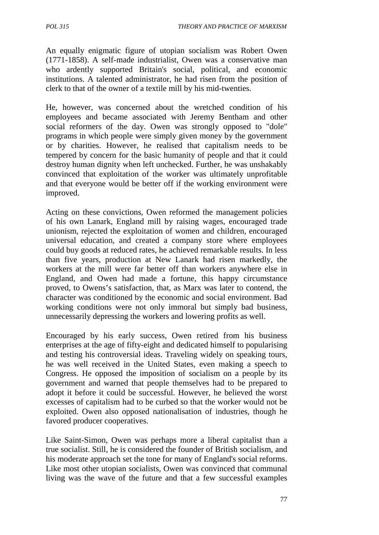An equally enigmatic figure of utopian socialism was Robert Owen (1771-1858). A self-made industrialist, Owen was a conservative man who ardently supported Britain's social, political, and economic institutions. A talented administrator, he had risen from the position of clerk to that of the owner of a textile mill by his mid-twenties.

He, however, was concerned about the wretched condition of his employees and became associated with Jeremy Bentham and other social reformers of the day. Owen was strongly opposed to "dole" programs in which people were simply given money by the government or by charities. However, he realised that capitalism needs to be tempered by concern for the basic humanity of people and that it could destroy human dignity when left unchecked. Further, he was unshakably convinced that exploitation of the worker was ultimately unprofitable and that everyone would be better off if the working environment were improved.

Acting on these convictions, Owen reformed the management policies of his own Lanark, England mill by raising wages, encouraged trade unionism, rejected the exploitation of women and children, encouraged universal education, and created a company store where employees could buy goods at reduced rates, he achieved remarkable results. In less than five years, production at New Lanark had risen markedly, the workers at the mill were far better off than workers anywhere else in England, and Owen had made a fortune, this happy circumstance proved, to Owens's satisfaction, that, as Marx was later to contend, the character was conditioned by the economic and social environment. Bad working conditions were not only immoral but simply bad business, unnecessarily depressing the workers and lowering profits as well.

Encouraged by his early success, Owen retired from his business enterprises at the age of fifty-eight and dedicated himself to popularising and testing his controversial ideas. Traveling widely on speaking tours, he was well received in the United States, even making a speech to Congress. He opposed the imposition of socialism on a people by its government and warned that people themselves had to be prepared to adopt it before it could be successful. However, he believed the worst excesses of capitalism had to be curbed so that the worker would not be exploited. Owen also opposed nationalisation of industries, though he favored producer cooperatives.

Like Saint-Simon, Owen was perhaps more a liberal capitalist than a true socialist. Still, he is considered the founder of British socialism, and his moderate approach set the tone for many of England's social reforms. Like most other utopian socialists, Owen was convinced that communal living was the wave of the future and that a few successful examples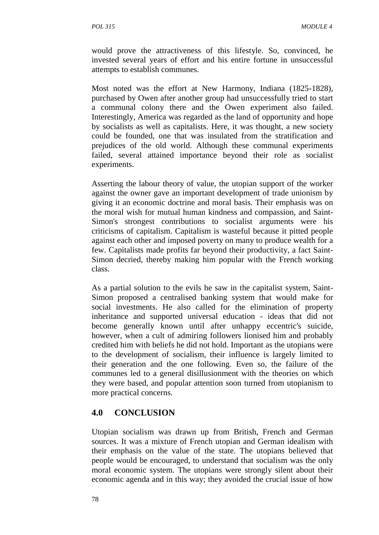would prove the attractiveness of this lifestyle. So, convinced, he invested several years of effort and his entire fortune in unsuccessful attempts to establish communes.

Most noted was the effort at New Harmony, Indiana (1825-1828), purchased by Owen after another group had unsuccessfully tried to start a communal colony there and the Owen experiment also failed. Interestingly, America was regarded as the land of opportunity and hope by socialists as well as capitalists. Here, it was thought, a new society could be founded, one that was insulated from the stratification and prejudices of the old world. Although these communal experiments failed, several attained importance beyond their role as socialist experiments.

Asserting the labour theory of value, the utopian support of the worker against the owner gave an important development of trade unionism by giving it an economic doctrine and moral basis. Their emphasis was on the moral wish for mutual human kindness and compassion, and Saint- Simon's strongest contributions to socialist arguments were his criticisms of capitalism. Capitalism is wasteful because it pitted people against each other and imposed poverty on many to produce wealth for a few. Capitalists made profits far beyond their productivity, a fact Saint- Simon decried, thereby making him popular with the French working class.

As a partial solution to the evils he saw in the capitalist system, Saint- Simon proposed a centralised banking system that would make for social investments. He also called for the elimination of property inheritance and supported universal education - ideas that did not become generally known until after unhappy eccentric's suicide, however, when a cult of admiring followers lionised him and probably credited him with beliefs he did not hold. Important as the utopians were to the development of socialism, their influence is largely limited to their generation and the one following. Even so, the failure of the communes led to a general disillusionment with the theories on which they were based, and popular attention soon turned from utopianism to more practical concerns.

### **4.0 CONCLUSION**

Utopian socialism was drawn up from British, French and German sources. It was a mixture of French utopian and German idealism with their emphasis on the value of the state. The utopians believed that people would be encouraged, to understand that socialism was the only moral economic system. The utopians were strongly silent about their economic agenda and in this way; they avoided the crucial issue of how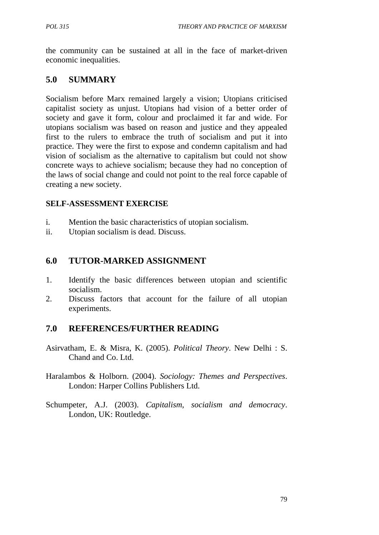the community can be sustained at all in the face of market-driven economic inequalities.

# **5.0 SUMMARY**

Socialism before Marx remained largely a vision; Utopians criticised capitalist society as unjust. Utopians had vision of a better order of society and gave it form, colour and proclaimed it far and wide. For utopians socialism was based on reason and justice and they appealed first to the rulers to embrace the truth of socialism and put it into practice. They were the first to expose and condemn capitalism and had vision of socialism as the alternative to capitalism but could not show concrete ways to achieve socialism; because they had no conception of the laws of social change and could not point to the real force capable of creating a new society.

### **SELF-ASSESSMENT EXERCISE**

- i. Mention the basic characteristics of utopian socialism.
- ii. Utopian socialism is dead. Discuss.

## **6.0 TUTOR-MARKED ASSIGNMENT**

- 1. Identify the basic differences between utopian and scientific socialism.
- 2. Discuss factors that account for the failure of all utopian experiments.

## **7.0 REFERENCES/FURTHER READING**

- Asirvatham, E. & Misra, K. (2005). *Political Theory*. New Delhi : S. Chand and Co. Ltd.
- Haralambos & Holborn. (2004). *Sociology: Themes and Perspectives*. London: Harper Collins Publishers Ltd.
- Schumpeter, A.J. (2003). *Capitalism, socialism and democracy*. London, UK: Routledge.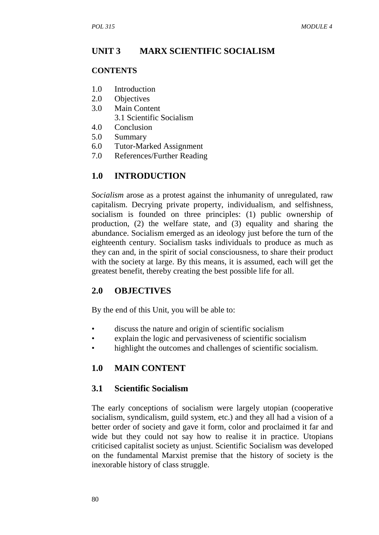## **UNIT 3 MARX SCIENTIFIC SOCIALISM**

### **CONTENTS**

- 1.0 Introduction
- 2.0 Objectives
- 3.0 Main Content
	- 3.1 Scientific Socialism
- 4.0 Conclusion
- 5.0 Summary
- 6.0 Tutor-Marked Assignment
- 7.0 References/Further Reading

# **1.0 INTRODUCTION**

*Socialism* arose as a protest against the inhumanity of unregulated, raw capitalism. Decrying private property, individualism, and selfishness, socialism is founded on three principles: (1) public ownership of production, (2) the welfare state, and (3) equality and sharing the abundance. Socialism emerged as an ideology just before the turn of the eighteenth century. Socialism tasks individuals to produce as much as they can and, in the spirit of social consciousness, to share their product with the society at large. By this means, it is assumed, each will get the greatest benefit, thereby creating the best possible life for all.

## **2.0 OBJECTIVES**

By the end of this Unit, you will be able to:

- discuss the nature and origin of scientific socialism
- explain the logic and pervasiveness of scientific socialism
- highlight the outcomes and challenges of scientific socialism.

## **1.0 MAIN CONTENT**

### **3.1 Scientific Socialism**

The early conceptions of socialism were largely utopian (cooperative socialism, syndicalism, guild system, etc.) and they all had a vision of a better order of society and gave it form, color and proclaimed it far and wide but they could not say how to realise it in practice. Utopians criticised capitalist society as unjust. Scientific Socialism was developed on the fundamental Marxist premise that the history of society is the inexorable history of class struggle.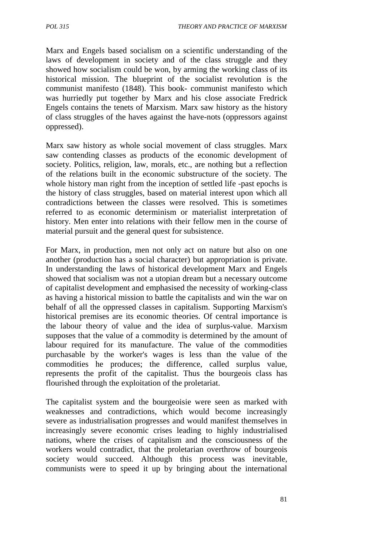Marx and Engels based socialism on a scientific understanding of the laws of development in society and of the class struggle and they showed how socialism could be won, by arming the working class of its historical mission. The blueprint of the socialist revolution is the communist manifesto (1848). This book- communist manifesto which was hurriedly put together by Marx and his close associate Fredrick Engels contains the tenets of Marxism. Marx saw history as the history of class struggles of the haves against the have-nots (oppressors against oppressed).

Marx saw history as whole social movement of class struggles. Marx saw contending classes as products of the economic development of society. Politics, religion, law, morals, etc., are nothing but a reflection of the relations built in the economic substructure of the society. The whole history man right from the inception of settled life -past epochs is the history of class struggles, based on material interest upon which all contradictions between the classes were resolved. This is sometimes referred to as economic determinism or materialist interpretation of history. Men enter into relations with their fellow men in the course of material pursuit and the general quest for subsistence.

For Marx, in production, men not only act on nature but also on one another (production has a social character) but appropriation is private. In understanding the laws of historical development Marx and Engels showed that socialism was not a utopian dream but a necessary outcome of capitalist development and emphasised the necessity of working-class as having a historical mission to battle the capitalists and win the war on behalf of all the oppressed classes in capitalism. Supporting Marxism's historical premises are its economic theories. Of central importance is the labour theory of value and the idea of surplus-value. Marxism supposes that the value of a commodity is determined by the amount of labour required for its manufacture. The value of the commodities purchasable by the worker's wages is less than the value of the commodities he produces; the difference, called surplus value, represents the profit of the capitalist. Thus the bourgeois class has flourished through the exploitation of the proletariat.

The capitalist system and the bourgeoisie were seen as marked with weaknesses and contradictions, which would become increasingly severe as industrialisation progresses and would manifest themselves in increasingly severe economic crises leading to highly industrialised nations, where the crises of capitalism and the consciousness of the workers would contradict, that the proletarian overthrow of bourgeois society would succeed. Although this process was inevitable, communists were to speed it up by bringing about the international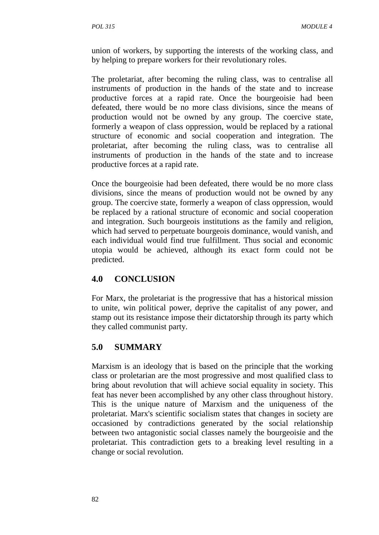union of workers, by supporting the interests of the working class, and by helping to prepare workers for their revolutionary roles.

The proletariat, after becoming the ruling class, was to centralise all instruments of production in the hands of the state and to increase productive forces at a rapid rate. Once the bourgeoisie had been defeated, there would be no more class divisions, since the means of production would not be owned by any group. The coercive state, formerly a weapon of class oppression, would be replaced by a rational structure of economic and social cooperation and integration. The proletariat, after becoming the ruling class, was to centralise all instruments of production in the hands of the state and to increase productive forces at a rapid rate.

Once the bourgeoisie had been defeated, there would be no more class divisions, since the means of production would not be owned by any group. The coercive state, formerly a weapon of class oppression, would be replaced by a rational structure of economic and social cooperation and integration. Such bourgeois institutions as the family and religion, which had served to perpetuate bourgeois dominance, would vanish, and each individual would find true fulfillment. Thus social and economic utopia would be achieved, although its exact form could not be predicted.

# **4.0 CONCLUSION**

For Marx, the proletariat is the progressive that has a historical mission to unite, win political power, deprive the capitalist of any power, and stamp out its resistance impose their dictatorship through its party which they called communist party.

# **5.0 SUMMARY**

Marxism is an ideology that is based on the principle that the working class or proletarian are the most progressive and most qualified class to bring about revolution that will achieve social equality in society. This feat has never been accomplished by any other class throughout history. This is the unique nature of Marxism and the uniqueness of the proletariat. Marx's scientific socialism states that changes in society are occasioned by contradictions generated by the social relationship between two antagonistic social classes namely the bourgeoisie and the proletariat. This contradiction gets to a breaking level resulting in a change or social revolution.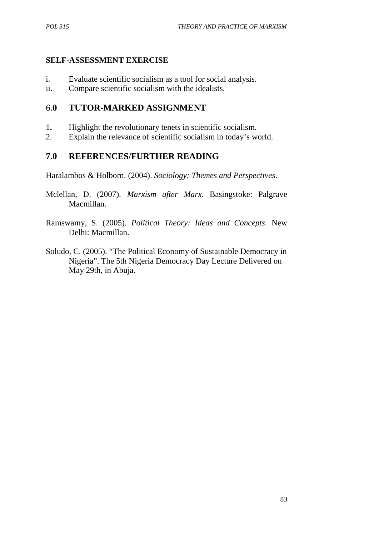### **SELF-ASSESSMENT EXERCISE**

- i. Evaluate scientific socialism as a tool for social analysis.
- ii. Compare scientific socialism with the idealists.

### 6.**0 TUTOR-MARKED ASSIGNMENT**

- 1**.** Highlight the revolutionary tenets in scientific socialism.
- 2. Explain the relevance of scientific socialism in today's world.

## **7.0 REFERENCES/FURTHER READING**

Haralambos & Holborn. (2004). *Sociology: Themes and Perspectives*.

- Mclellan, D. (2007). *Marxism after Marx*. Basingstoke: Palgrave Macmillan.
- Ramswamy, S. (2005). *Political Theory: Ideas and Concepts*. New Delhi: Macmillan.
- Soludo, C. (2005). "The Political Economy of Sustainable Democracy in Nigeria". The 5th Nigeria Democracy Day Lecture Delivered on May 29th, in Abuja.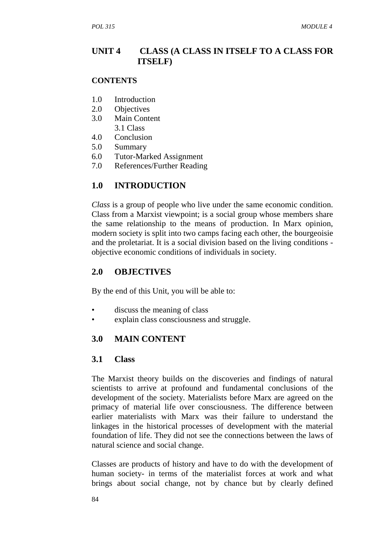## **UNIT 4 CLASS (A CLASS IN ITSELF TO A CLASS FOR ITSELF)**

### **CONTENTS**

- 1.0 Introduction
- 2.0 Objectives
- 3.0 Main Content 3.1 Class
- 4.0 Conclusion
- 5.0 Summary
- 6.0 Tutor-Marked Assignment
- 7.0 References/Further Reading

## **1.0 INTRODUCTION**

*Class* is a group of people who live under the same economic condition. Class from a Marxist viewpoint; is a social group whose members share the same relationship to the means of production. In Marx opinion, modern society is split into two camps facing each other, the bourgeoisie and the proletariat. It is a social division based on the living conditions objective economic conditions of individuals in society.

### **2.0 OBJECTIVES**

By the end of this Unit, you will be able to:

- discuss the meaning of class
- explain class consciousness and struggle.

## **3.0 MAIN CONTENT**

### **3.1 Class**

The Marxist theory builds on the discoveries and findings of natural scientists to arrive at profound and fundamental conclusions of the development of the society. Materialists before Marx are agreed on the primacy of material life over consciousness. The difference between earlier materialists with Marx was their failure to understand the linkages in the historical processes of development with the material foundation of life. They did not see the connections between the laws of natural science and social change.

Classes are products of history and have to do with the development of human society- in terms of the materialist forces at work and what brings about social change, not by chance but by clearly defined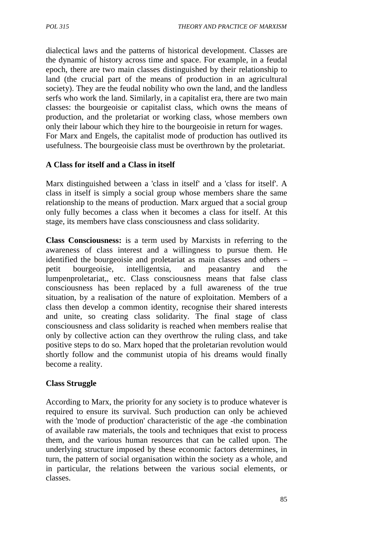dialectical laws and the patterns of historical development. Classes are the dynamic of history across time and space. For example, in a feudal epoch, there are two main classes distinguished by their relationship to land (the crucial part of the means of production in an agricultural society). They are the feudal nobility who own the land, and the landless serfs who work the land. Similarly, in a capitalist era, there are two main classes: the bourgeoisie or capitalist class, which owns the means of production, and the proletariat or working class, whose members own only their labour which they hire to the bourgeoisie in return for wages. For Marx and Engels, the capitalist mode of production has outlived its usefulness. The bourgeoisie class must be overthrown by the proletariat.

### **A Class for itself and a Class in itself**

Marx distinguished between a 'class in itself' and a 'class for itself'. A class in itself is simply a social group whose members share the same relationship to the means of production. Marx argued that a social group only fully becomes a class when it becomes a class for itself. At this stage, its members have class consciousness and class solidarity.

**Class Consciousness:** is a term used by Marxists in referring to the awareness of class interest and a willingness to pursue them. He identified the bourgeoisie and proletariat as main classes and others – petit bourgeoisie, intelligentsia, and peasantry and the lumpenproletariat,, etc. Class consciousness means that false class consciousness has been replaced by a full awareness of the true situation, by a realisation of the nature of exploitation. Members of a class then develop a common identity, recognise their shared interests and unite, so creating class solidarity. The final stage of class consciousness and class solidarity is reached when members realise that only by collective action can they overthrow the ruling class, and take positive steps to do so. Marx hoped that the proletarian revolution would shortly follow and the communist utopia of his dreams would finally become a reality.

### **Class Struggle**

According to Marx, the priority for any society is to produce whatever is required to ensure its survival. Such production can only be achieved with the 'mode of production' characteristic of the age -the combination of available raw materials, the tools and techniques that exist to process them, and the various human resources that can be called upon. The underlying structure imposed by these economic factors determines, in turn, the pattern of social organisation within the society as a whole, and in particular, the relations between the various social elements, or classes.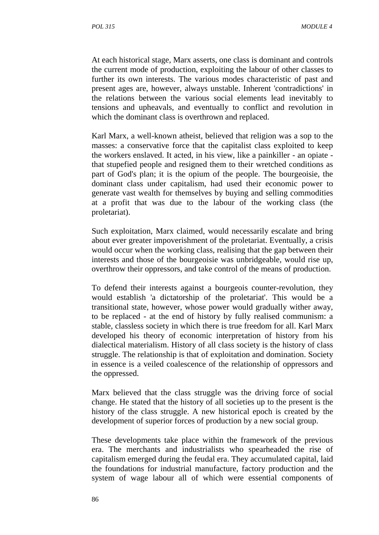At each historical stage, Marx asserts, one class is dominant and controls the current mode of production, exploiting the labour of other classes to further its own interests. The various modes characteristic of past and present ages are, however, always unstable. Inherent 'contradictions' in the relations between the various social elements lead inevitably to tensions and upheavals, and eventually to conflict and revolution in which the dominant class is overthrown and replaced.

Karl Marx, a well-known atheist, believed that religion was a sop to the masses: a conservative force that the capitalist class exploited to keep the workers enslaved. It acted, in his view, like a painkiller - an opiate that stupefied people and resigned them to their wretched conditions as part of God's plan; it is the opium of the people. The bourgeoisie, the dominant class under capitalism, had used their economic power to generate vast wealth for themselves by buying and selling commodities at a profit that was due to the labour of the working class (the proletariat).

Such exploitation, Marx claimed, would necessarily escalate and bring about ever greater impoverishment of the proletariat. Eventually, a crisis would occur when the working class, realising that the gap between their interests and those of the bourgeoisie was unbridgeable, would rise up, overthrow their oppressors, and take control of the means of production.

To defend their interests against a bourgeois counter-revolution, they would establish 'a dictatorship of the proletariat'. This would be a transitional state, however, whose power would gradually wither away, to be replaced - at the end of history by fully realised communism: a stable, classless society in which there is true freedom for all. Karl Marx developed his theory of economic interpretation of history from his dialectical materialism. History of all class society is the history of class struggle. The relationship is that of exploitation and domination. Society in essence is a veiled coalescence of the relationship of oppressors and the oppressed.

Marx believed that the class struggle was the driving force of social change. He stated that the history of all societies up to the present is the history of the class struggle. A new historical epoch is created by the development of superior forces of production by a new social group.

These developments take place within the framework of the previous era. The merchants and industrialists who spearheaded the rise of capitalism emerged during the feudal era. They accumulated capital, laid the foundations for industrial manufacture, factory production and the system of wage labour all of which were essential components of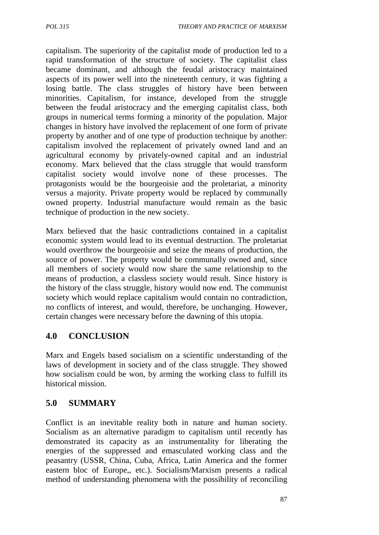capitalism. The superiority of the capitalist mode of production led to a rapid transformation of the structure of society. The capitalist class became dominant, and although the feudal aristocracy maintained aspects of its power well into the nineteenth century, it was fighting a losing battle. The class struggles of history have been between minorities. Capitalism, for instance, developed from the struggle between the feudal aristocracy and the emerging capitalist class, both groups in numerical terms forming a minority of the population. Major changes in history have involved the replacement of one form of private property by another and of one type of production technique by another: capitalism involved the replacement of privately owned land and an agricultural economy by privately-owned capital and an industrial economy. Marx believed that the class struggle that would transform capitalist society would involve none of these processes. The protagonists would be the bourgeoisie and the proletariat, a minority versus a majority. Private property would be replaced by communally owned property. Industrial manufacture would remain as the basic technique of production in the new society.

Marx believed that the basic contradictions contained in a capitalist economic system would lead to its eventual destruction. The proletariat would overthrow the bourgeoisie and seize the means of production, the source of power. The property would be communally owned and, since all members of society would now share the same relationship to the means of production, a classless society would result. Since history is the history of the class struggle, history would now end. The communist society which would replace capitalism would contain no contradiction, no conflicts of interest, and would, therefore, be unchanging. However, certain changes were necessary before the dawning of this utopia.

## **4.0 CONCLUSION**

Marx and Engels based socialism on a scientific understanding of the laws of development in society and of the class struggle. They showed how socialism could be won, by arming the working class to fulfill its historical mission.

## **5.0 SUMMARY**

Conflict is an inevitable reality both in nature and human society. Socialism as an alternative paradigm to capitalism until recently has demonstrated its capacity as an instrumentality for liberating the energies of the suppressed and emasculated working class and the peasantry (USSR, China, Cuba, Africa, Latin America and the former eastern bloc of Europe,, etc.). Socialism/Marxism presents a radical method of understanding phenomena with the possibility of reconciling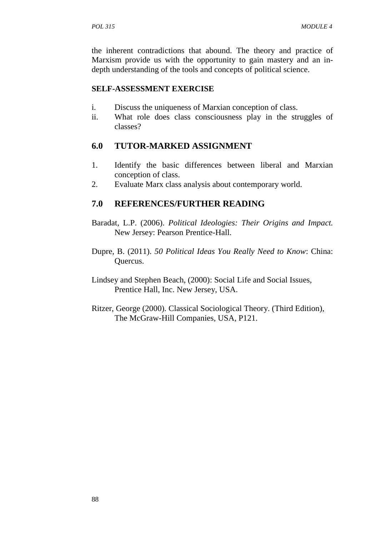the inherent contradictions that abound. The theory and practice of Marxism provide us with the opportunity to gain mastery and an in depth understanding of the tools and concepts of political science.

### **SELF-ASSESSMENT EXERCISE**

- i. Discuss the uniqueness of Marxian conception of class.
- ii. What role does class consciousness play in the struggles of classes?

# **6.0 TUTOR-MARKED ASSIGNMENT**

- 1. Identify the basic differences between liberal and Marxian conception of class.
- 2. Evaluate Marx class analysis about contemporary world.

# **7.0 REFERENCES/FURTHER READING**

- Baradat, L.P. (2006). *Political Ideologies: Their Origins and Impact.* New Jersey: Pearson Prentice-Hall.
- Dupre, B. (2011). *50 Political Ideas You Really Need to Know*: China: Quercus.
- Lindsey and Stephen Beach, (2000): Social Life and Social Issues, Prentice Hall, Inc. New Jersey, USA.
- Ritzer, George (2000). Classical Sociological Theory. (Third Edition), The McGraw-Hill Companies, USA, P121.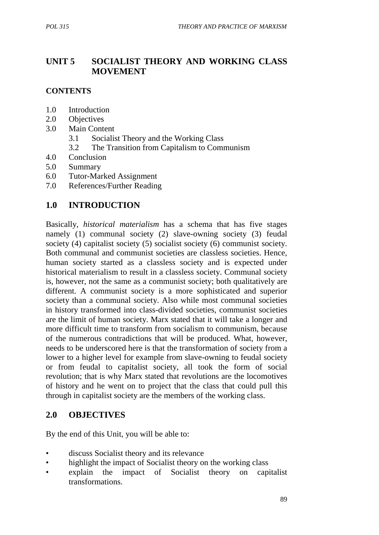# **UNIT 5 SOCIALIST THEORY AND WORKING CLASS MOVEMENT**

## **CONTENTS**

- 1.0 Introduction
- 2.0 Objectives
- 3.0 Main Content
	- 3.1 Socialist Theory and the Working Class
	- 3.2 The Transition from Capitalism to Communism
- 4.0 Conclusion
- 5.0 Summary
- 6.0 Tutor-Marked Assignment
- 7.0 References/Further Reading

## **1.0 INTRODUCTION**

Basically, *historical materialism* has a schema that has five stages namely (1) communal society (2) slave-owning society (3) feudal society (4) capitalist society (5) socialist society (6) communist society. Both communal and communist societies are classless societies. Hence, human society started as a classless society and is expected under historical materialism to result in a classless society. Communal society is, however, not the same as a communist society; both qualitatively are different. A communist society is a more sophisticated and superior society than a communal society. Also while most communal societies in history transformed into class-divided societies, communist societies are the limit of human society. Marx stated that it will take a longer and more difficult time to transform from socialism to communism, because of the numerous contradictions that will be produced. What, however, needs to be underscored here is that the transformation of society from a lower to a higher level for example from slave-owning to feudal society or from feudal to capitalist society, all took the form of social revolution; that is why Marx stated that revolutions are the locomotives of history and he went on to project that the class that could pull this through in capitalist society are the members of the working class.

### **2.0 OBJECTIVES**

By the end of this Unit, you will be able to:

- discuss Socialist theory and its relevance
- highlight the impact of Socialist theory on the working class
- explain the impact of Socialist theory on capitalist transformations.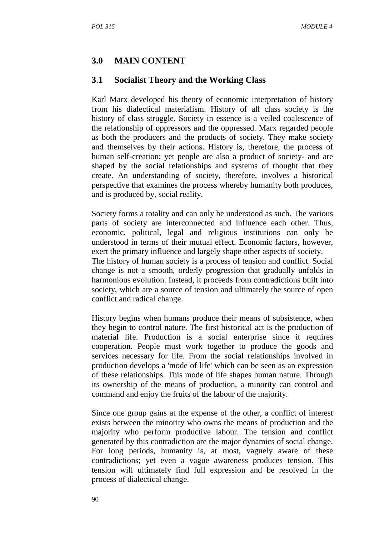## **3.0 MAIN CONTENT**

### **3**.**1 Socialist Theory and the Working Class**

Karl Marx developed his theory of economic interpretation of history from his dialectical materialism. History of all class society is the history of class struggle. Society in essence is a veiled coalescence of the relationship of oppressors and the oppressed. Marx regarded people as both the producers and the products of society. They make society and themselves by their actions. History is, therefore, the process of human self-creation; yet people are also a product of society- and are shaped by the social relationships and systems of thought that they create. An understanding of society, therefore, involves a historical perspective that examines the process whereby humanity both produces, and is produced by, social reality.

Society forms a totality and can only be understood as such. The various parts of society are interconnected and influence each other. Thus, economic, political, legal and religious institutions can only be understood in terms of their mutual effect. Economic factors, however, exert the primary influence and largely shape other aspects of society.

The history of human society is a process of tension and conflict. Social change is not a smooth, orderly progression that gradually unfolds in harmonious evolution. Instead, it proceeds from contradictions built into society, which are a source of tension and ultimately the source of open conflict and radical change.

History begins when humans produce their means of subsistence, when they begin to control nature. The first historical act is the production of material life. Production is a social enterprise since it requires cooperation. People must work together to produce the goods and services necessary for life. From the social relationships involved in production develops a 'mode of life' which can be seen as an expression of these relationships. This mode of life shapes human nature. Through its ownership of the means of production, a minority can control and command and enjoy the fruits of the labour of the majority.

Since one group gains at the expense of the other, a conflict of interest exists between the minority who owns the means of production and the majority who perform productive labour. The tension and conflict generated by this contradiction are the major dynamics of social change. For long periods, humanity is, at most, vaguely aware of these contradictions; yet even a vague awareness produces tension. This tension will ultimately find full expression and be resolved in the process of dialectical change.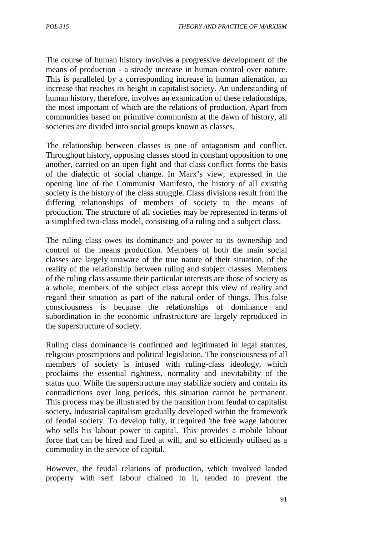The course of human history involves a progressive development of the means of production - a steady increase in human control over nature. This is paralleled by a corresponding increase in human alienation, an increase that reaches its height in capitalist society. An understanding of human history, therefore, involves an examination of these relationships, the most important of which are the relations of production. Apart from communities based on primitive communism at the dawn of history, all societies are divided into social groups known as classes.

The relationship between classes is one of antagonism and conflict. Throughout history, opposing classes stood in constant opposition to one another, carried on an open fight and that class conflict forms the basis of the dialectic of social change. In Marx's view, expressed in the opening line of the Communist Manifesto, the history of all existing society is the history of the class struggle. Class divisions result from the differing relationships of members of society to the means of production. The structure of all societies may be represented in terms of a simplified two-class model, consisting of a ruling and a subject class.

The ruling class owes its dominance and power to its ownership and control of the means production. Members of both the main social classes are largely unaware of the true nature of their situation, of the reality of the relationship between ruling and subject classes. Members of the ruling class assume their particular interests are those of society as a whole; members of the subject class accept this view of reality and regard their situation as part of the natural order of things. This false consciousness is because the relationships of dominance and subordination in the economic infrastructure are largely reproduced in the superstructure of society.

Ruling class dominance is confirmed and legitimated in legal statutes, religious proscriptions and political legislation. The consciousness of all members of society is infused with ruling-class ideology, which proclaims the essential rightness, normality and inevitability of the status quo. While the superstructure may stabilize society and contain its contradictions over long periods, this situation cannot be permanent. This process may be illustrated by the transition from feudal to capitalist society**.** Industrial capitalism gradually developed within the framework of feudal society. To develop fully, it required 'the free wage labourer who sells his labour power to capital. This provides a mobile labour force that can be hired and fired at will, and so efficiently utilised as a commodity in the service of capital.

However, the feudal relations of production, which involved landed property with serf labour chained to it, tended to prevent the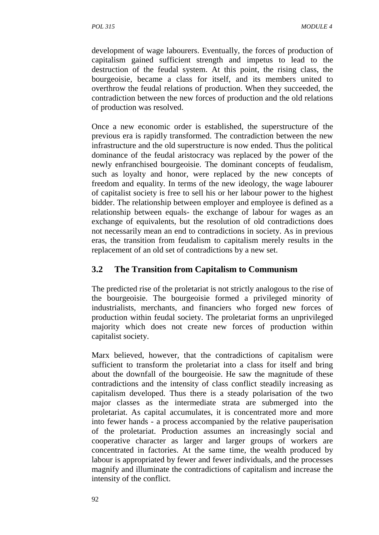development of wage labourers. Eventually, the forces of production of capitalism gained sufficient strength and impetus to lead to the destruction of the feudal system. At this point, the rising class, the bourgeoisie, became a class for itself, and its members united to overthrow the feudal relations of production. When they succeeded, the contradiction between the new forces of production and the old relations of production was resolved.

Once a new economic order is established, the superstructure of the previous era is rapidly transformed. The contradiction between the new infrastructure and the old superstructure is now ended. Thus the political dominance of the feudal aristocracy was replaced by the power of the newly enfranchised bourgeoisie. The dominant concepts of feudalism, such as loyalty and honor, were replaced by the new concepts of freedom and equality. In terms of the new ideology, the wage labourer of capitalist society is free to sell his or her labour power to the highest bidder. The relationship between employer and employee is defined as a relationship between equals- the exchange of labour for wages as an exchange of equivalents, but the resolution of old contradictions does not necessarily mean an end to contradictions in society. As in previous eras, the transition from feudalism to capitalism merely results in the replacement of an old set of contradictions by a new set.

#### **3.2 The Transition from Capitalism to Communism**

The predicted rise of the proletariat is not strictly analogous to the rise of the bourgeoisie. The bourgeoisie formed a privileged minority of industrialists, merchants, and financiers who forged new forces of production within feudal society. The proletariat forms an unprivileged majority which does not create new forces of production within capitalist society.

Marx believed, however, that the contradictions of capitalism were sufficient to transform the proletariat into a class for itself and bring about the downfall of the bourgeoisie. He saw the magnitude of these contradictions and the intensity of class conflict steadily increasing as capitalism developed. Thus there is a steady polarisation of the two major classes as the intermediate strata are submerged into the proletariat. As capital accumulates, it is concentrated more and more into fewer hands - a process accompanied by the relative pauperisation of the proletariat. Production assumes an increasingly social and cooperative character as larger and larger groups of workers are concentrated in factories. At the same time, the wealth produced by labour is appropriated by fewer and fewer individuals, and the processes magnify and illuminate the contradictions of capitalism and increase the intensity of the conflict.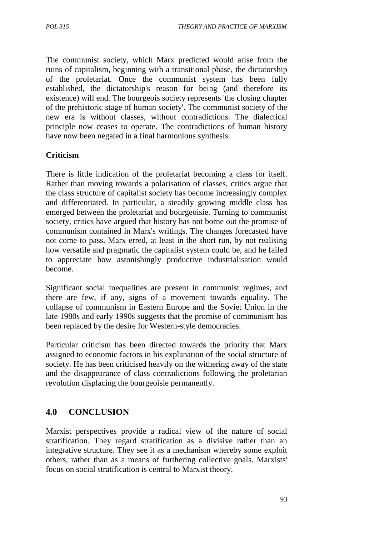The communist society, which Marx predicted would arise from the ruins of capitalism, beginning with a transitional phase, the dictatorship of the proletariat. Once the communist system has been fully established, the dictatorship's reason for being (and therefore its existence) will end. The bourgeois society represents 'the closing chapter of the prehistoric stage of human society'. The communist society of the new era is without classes, without contradictions. The dialectical principle now ceases to operate. The contradictions of human history have now been negated in a final harmonious synthesis.

#### **Criticism**

There is little indication of the proletariat becoming a class for itself. Rather than moving towards a polarisation of classes, critics argue that the class structure of capitalist society has become increasingly complex and differentiated. In particular, a steadily growing middle class has emerged between the proletariat and bourgeoisie. Turning to communist society, critics have argued that history has not borne out the promise of communism contained in Marx's writings. The changes forecasted have not come to pass. Marx erred, at least in the short run, by not realising how versatile and pragmatic the capitalist system could be, and he failed to appreciate how astonishingly productive industrialisation would become.

Significant social inequalities are present in communist regimes, and there are few, if any, signs of a movement towards equality. The collapse of communism in Eastern Europe and the Soviet Union in the late 1980s and early 1990s suggests that the promise of communism has been replaced by the desire for Western-style democracies.

Particular criticism has been directed towards the priority that Marx assigned to economic factors in his explanation of the social structure of society. He has been criticised heavily on the withering away of the state and the disappearance of class contradictions following the proletarian revolution displacing the bourgeoisie permanently.

#### **4.0 CONCLUSION**

Marxist perspectives provide a radical view of the nature of social stratification. They regard stratification as a divisive rather than an integrative structure. They see it as a mechanism whereby some exploit others, rather than as a means of furthering collective goals. Marxists' focus on social stratification is central to Marxist theory.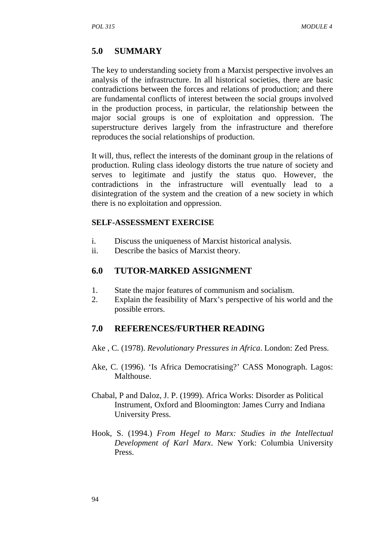## **5.0 SUMMARY**

The key to understanding society from a Marxist perspective involves an analysis of the infrastructure. In all historical societies, there are basic contradictions between the forces and relations of production; and there are fundamental conflicts of interest between the social groups involved in the production process, in particular, the relationship between the major social groups is one of exploitation and oppression. The superstructure derives largely from the infrastructure and therefore reproduces the social relationships of production.

It will, thus, reflect the interests of the dominant group in the relations of production. Ruling class ideology distorts the true nature of society and serves to legitimate and justify the status quo. However, the contradictions in the infrastructure will eventually lead to a disintegration of the system and the creation of a new society in which there is no exploitation and oppression.

#### **SELF-ASSESSMENT EXERCISE**

- i. Discuss the uniqueness of Marxist historical analysis.
- ii. Describe the basics of Marxist theory.

## **6.0 TUTOR-MARKED ASSIGNMENT**

- 1. State the major features of communism and socialism.
- 2. Explain the feasibility of Marx's perspective of his world and the possible errors.

## **7.0 REFERENCES/FURTHER READING**

- Ake , C. (1978). *Revolutionary Pressures in Africa*. London: Zed Press.
- Ake, C. (1996). 'Is Africa Democratising?' CASS Monograph. Lagos: Malthouse.
- Chabal, P and Daloz, J. P. (1999). Africa Works: Disorder as Political Instrument, Oxford and Bloomington: James Curry and Indiana University Press.
- Hook, S. (1994.) *From Hegel to Marx: Studies in the Intellectual Development of Karl Marx*. New York: Columbia University Press.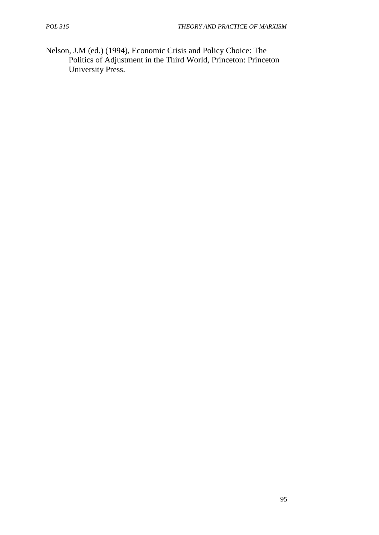Nelson, J.M (ed.) (1994), Economic Crisis and Policy Choice: The Politics of Adjustment in the Third World, Princeton: Princeton University Press.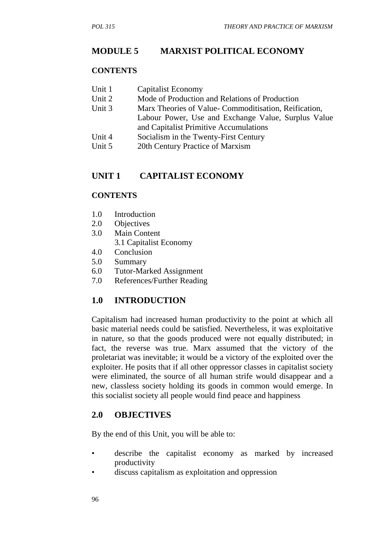## **MODULE 5 MARXIST POLITICAL ECONOMY**

#### **CONTENTS**

- Unit 2 Mode of Production and Relations of Production
- Unit 3 Marx Theories of Value- Commoditisation, Reification, Labour Power, Use and Exchange Value, Surplus Value and Capitalist Primitive Accumulations
- Unit 4 Socialism in the Twenty-First Century
- Unit 5 20th Century Practice of Marxism

# **UNIT 1 CAPITALIST ECONOMY**

#### **CONTENTS**

- 1.0 Introduction
- 2.0 Objectives
- 3.0 Main Content 3.1 Capitalist Economy
- 4.0 Conclusion
- 5.0 Summary
- 6.0 Tutor-Marked Assignment
- 7.0 References/Further Reading

## **1.0 INTRODUCTION**

Capitalism had increased human productivity to the point at which all basic material needs could be satisfied. Nevertheless, it was exploitative in nature, so that the goods produced were not equally distributed; in fact, the reverse was true. Marx assumed that the victory of the proletariat was inevitable; it would be a victory of the exploited over the exploiter. He posits that if all other oppressor classes in capitalist society were eliminated, the source of all human strife would disappear and a new, classless society holding its goods in common would emerge. In this socialist society all people would find peace and happiness

#### **2.0 OBJECTIVES**

By the end of this Unit, you will be able to:

- describe the capitalist economy as marked by increased productivity
- discuss capitalism as exploitation and oppression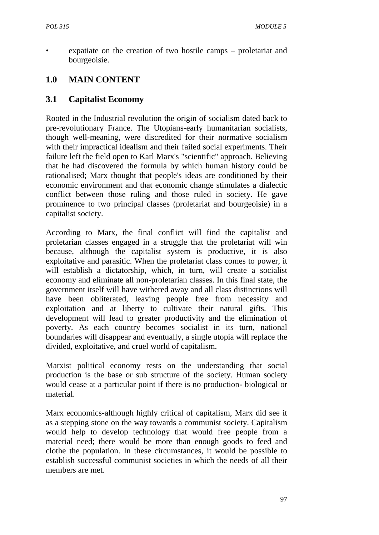expatiate on the creation of two hostile camps – proletariat and bourgeoisie.

# **1.0 MAIN CONTENT**

## **3.1 Capitalist Economy**

Rooted in the Industrial revolution the origin of socialism dated back to pre-revolutionary France. The Utopians-early humanitarian socialists, though well-meaning, were discredited for their normative socialism with their impractical idealism and their failed social experiments. Their failure left the field open to Karl Marx's "scientific" approach. Believing that he had discovered the formula by which human history could be rationalised; Marx thought that people's ideas are conditioned by their economic environment and that economic change stimulates a dialectic conflict between those ruling and those ruled in society. He gave prominence to two principal classes (proletariat and bourgeoisie) in a capitalist society.

According to Marx, the final conflict will find the capitalist and proletarian classes engaged in a struggle that the proletariat will win because, although the capitalist system is productive, it is also exploitative and parasitic. When the proletariat class comes to power, it will establish a dictatorship, which, in turn, will create a socialist economy and eliminate all non-proletarian classes. In this final state, the government itself will have withered away and all class distinctions will have been obliterated, leaving people free from necessity and exploitation and at liberty to cultivate their natural gifts. This development will lead to greater productivity and the elimination of poverty. As each country becomes socialist in its turn, national boundaries will disappear and eventually, a single utopia will replace the divided, exploitative, and cruel world of capitalism.

Marxist political economy rests on the understanding that social production is the base or sub structure of the society. Human society would cease at a particular point if there is no production- biological or material.

Marx economics-although highly critical of capitalism, Marx did see it as a stepping stone on the way towards a communist society. Capitalism would help to develop technology that would free people from a material need; there would be more than enough goods to feed and clothe the population. In these circumstances, it would be possible to establish successful communist societies in which the needs of all their members are met.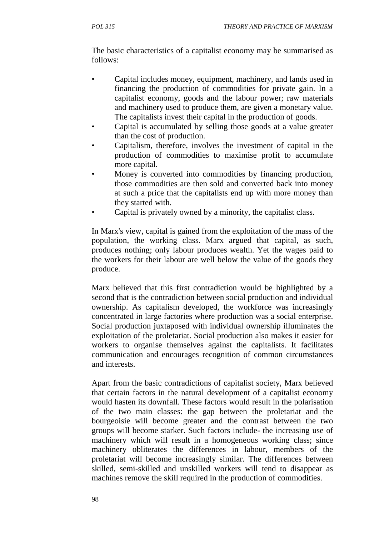The basic characteristics of a capitalist economy may be summarised as follows:

- Capital includes money, equipment, machinery, and lands used in financing the production of commodities for private gain. In a capitalist economy, goods and the labour power; raw materials and machinery used to produce them, are given a monetary value. The capitalists invest their capital in the production of goods.
- Capital is accumulated by selling those goods at a value greater than the cost of production.
- Capitalism, therefore, involves the investment of capital in the production of commodities to maximise profit to accumulate more capital.
- Money is converted into commodities by financing production, those commodities are then sold and converted back into money at such a price that the capitalists end up with more money than they started with.
- Capital is privately owned by a minority, the capitalist class.

In Marx's view, capital is gained from the exploitation of the mass of the population, the working class. Marx argued that capital, as such, produces nothing; only labour produces wealth. Yet the wages paid to the workers for their labour are well below the value of the goods they produce.

Marx believed that this first contradiction would be highlighted by a second that is the contradiction between social production and individual ownership. As capitalism developed, the workforce was increasingly concentrated in large factories where production was a social enterprise. Social production juxtaposed with individual ownership illuminates the exploitation of the proletariat. Social production also makes it easier for workers to organise themselves against the capitalists. It facilitates communication and encourages recognition of common circumstances and interests.

Apart from the basic contradictions of capitalist society, Marx believed that certain factors in the natural development of a capitalist economy would hasten its downfall. These factors would result in the polarisation of the two main classes: the gap between the proletariat and the bourgeoisie will become greater and the contrast between the two groups will become starker. Such factors include- the increasing use of machinery which will result in a homogeneous working class; since machinery obliterates the differences in labour, members of the proletariat will become increasingly similar. The differences between skilled, semi-skilled and unskilled workers will tend to disappear as machines remove the skill required in the production of commodities.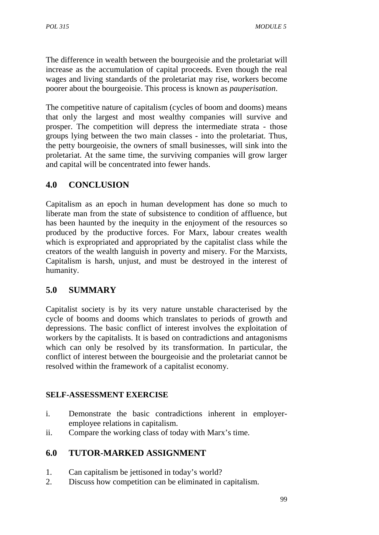The difference in wealth between the bourgeoisie and the proletariat will increase as the accumulation of capital proceeds. Even though the real wages and living standards of the proletariat may rise, workers become poorer about the bourgeoisie. This process is known as *pauperisation*.

The competitive nature of capitalism (cycles of boom and dooms) means that only the largest and most wealthy companies will survive and prosper. The competition will depress the intermediate strata - those groups lying between the two main classes - into the proletariat. Thus, the petty bourgeoisie, the owners of small businesses, will sink into the proletariat. At the same time, the surviving companies will grow larger and capital will be concentrated into fewer hands.

# **4.0 CONCLUSION**

Capitalism as an epoch in human development has done so much to liberate man from the state of subsistence to condition of affluence, but has been haunted by the inequity in the enjoyment of the resources so produced by the productive forces. For Marx, labour creates wealth which is expropriated and appropriated by the capitalist class while the creators of the wealth languish in poverty and misery. For the Marxists, Capitalism is harsh, unjust, and must be destroyed in the interest of humanity.

# **5.0 SUMMARY**

Capitalist society is by its very nature unstable characterised by the cycle of booms and dooms which translates to periods of growth and depressions. The basic conflict of interest involves the exploitation of workers by the capitalists. It is based on contradictions and antagonisms which can only be resolved by its transformation. In particular, the conflict of interest between the bourgeoisie and the proletariat cannot be resolved within the framework of a capitalist economy.

## **SELF-ASSESSMENT EXERCISE**

- i. Demonstrate the basic contradictions inherent in employer employee relations in capitalism.
- ii. Compare the working class of today with Marx's time.

# **6.0 TUTOR-MARKED ASSIGNMENT**

- 1. Can capitalism be jettisoned in today's world?
- 2. Discuss how competition can be eliminated in capitalism.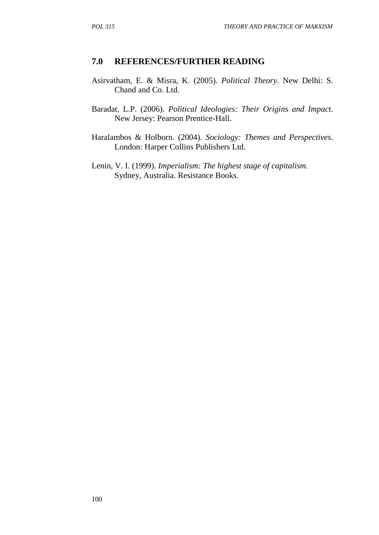#### **7.0 REFERENCES/FURTHER READING**

- Asirvatham, E. & Misra, K. (2005). *Political Theory*. New Delhi: S. Chand and Co. Ltd.
- Baradat, L.P. (2006). *Political Ideologies: Their Origins and Impact*. New Jersey: Pearson Prentice-Hall.
- Haralambos & Holborn. (2004). *Sociology: Themes and Perspectives*. London: Harper Collins Publishers Ltd.
- Lenin, V. I. (1999). *Imperialism: The highest stage of capitalism*. Sydney, Australia. Resistance Books.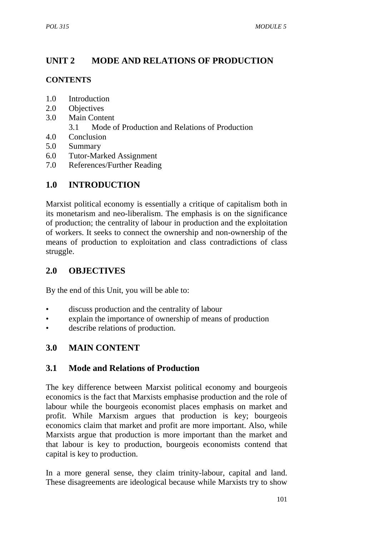# **UNIT 2 MODE AND RELATIONS OF PRODUCTION**

## **CONTENTS**

- 1.0 Introduction
- 2.0 Objectives
- 3.0 Main Content
	- 3.1 Mode of Production and Relations of Production
- 4.0 Conclusion
- 5.0 Summary
- 6.0 Tutor-Marked Assignment
- 7.0 References/Further Reading

# **1.0 INTRODUCTION**

Marxist political economy is essentially a critique of capitalism both in its monetarism and neo-liberalism. The emphasis is on the significance of production; the centrality of labour in production and the exploitation of workers. It seeks to connect the ownership and non-ownership of the means of production to exploitation and class contradictions of class struggle.

# **2.0 OBJECTIVES**

By the end of this Unit, you will be able to:

- discuss production and the centrality of labour
- explain the importance of ownership of means of production
- describe relations of production.

## **3.0 MAIN CONTENT**

## **3.1 Mode and Relations of Production**

The key difference between Marxist political economy and bourgeois economics is the fact that Marxists emphasise production and the role of labour while the bourgeois economist places emphasis on market and profit. While Marxism argues that production is key; bourgeois economics claim that market and profit are more important. Also, while Marxists argue that production is more important than the market and that labour is key to production, bourgeois economists contend that capital is key to production.

In a more general sense, they claim trinity-labour, capital and land. These disagreements are ideological because while Marxists try to show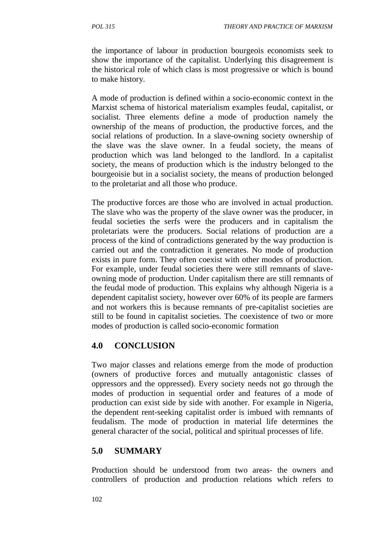the importance of labour in production bourgeois economists seek to show the importance of the capitalist. Underlying this disagreement is the historical role of which class is most progressive or which is bound to make history.

A mode of production is defined within a socio-economic context in the Marxist schema of historical materialism examples feudal, capitalist, or socialist. Three elements define a mode of production namely the ownership of the means of production, the productive forces, and the social relations of production. In a slave-owning society ownership of the slave was the slave owner. In a feudal society, the means of production which was land belonged to the landlord. In a capitalist society, the means of production which is the industry belonged to the bourgeoisie but in a socialist society, the means of production belonged to the proletariat and all those who produce.

The productive forces are those who are involved in actual production. The slave who was the property of the slave owner was the producer, in feudal societies the serfs were the producers and in capitalism the proletariats were the producers. Social relations of production are a process of the kind of contradictions generated by the way production is carried out and the contradiction it generates. No mode of production exists in pure form. They often coexist with other modes of production. For example, under feudal societies there were still remnants of slave owning mode of production. Under capitalism there are still remnants of the feudal mode of production. This explains why although Nigeria is a dependent capitalist society, however over 60% of its people are farmers and not workers this is because remnants of pre-capitalist societies are still to be found in capitalist societies. The coexistence of two or more modes of production is called socio-economic formation

# **4.0 CONCLUSION**

Two major classes and relations emerge from the mode of production (owners of productive forces and mutually antagonistic classes of oppressors and the oppressed). Every society needs not go through the modes of production in sequential order and features of a mode of production can exist side by side with another. For example in Nigeria, the dependent rent-seeking capitalist order is imbued with remnants of feudalism. The mode of production in material life determines the general character of the social, political and spiritual processes of life.

# **5.0 SUMMARY**

Production should be understood from two areas- the owners and controllers of production and production relations which refers to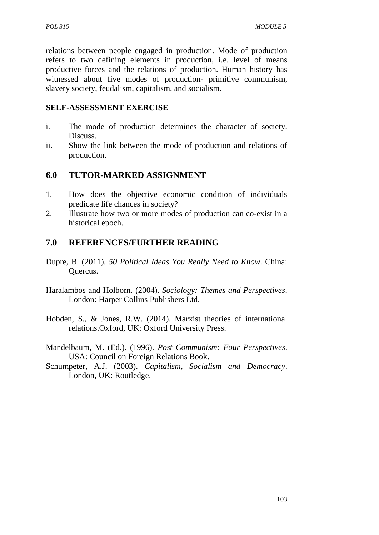relations between people engaged in production. Mode of production refers to two defining elements in production, i.e. level of means productive forces and the relations of production. Human history has witnessed about five modes of production- primitive communism, slavery society, feudalism, capitalism, and socialism.

### **SELF-ASSESSMENT EXERCISE**

- i. The mode of production determines the character of society. Discuss.
- ii. Show the link between the mode of production and relations of production.

# **6.0 TUTOR-MARKED ASSIGNMENT**

- 1. How does the objective economic condition of individuals predicate life chances in society?
- 2. Illustrate how two or more modes of production can co-exist in a historical epoch.

# **7.0 REFERENCES/FURTHER READING**

- Dupre, B. (2011). *50 Political Ideas You Really Need to Know*. China: Quercus.
- Haralambos and Holborn. (2004). *Sociology: Themes and Perspectives*. London: Harper Collins Publishers Ltd.
- Hobden, S., & Jones, R.W. (2014). Marxist theories of international relations.Oxford, UK: Oxford University Press.
- Mandelbaum, M. (Ed.). (1996). *Post Communism: Four Perspectives*. USA: Council on Foreign Relations Book.
- Schumpeter, A.J. (2003). *Capitalism, Socialism and Democracy*. London, UK: Routledge.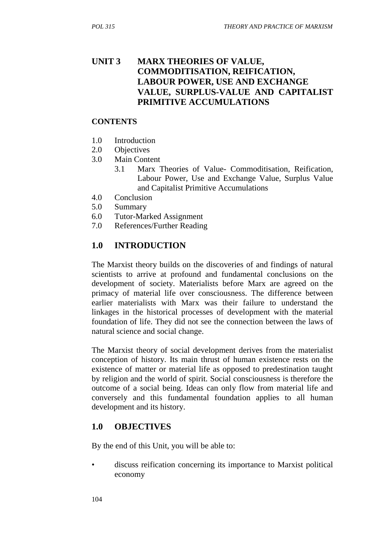# **UNIT 3 MARX THEORIES OF VALUE, COMMODITISATION, REIFICATION, LABOUR POWER, USE AND EXCHANGE VALUE, SURPLUS-VALUE AND CAPITALIST PRIMITIVE ACCUMULATIONS**

#### **CONTENTS**

- 1.0 Introduction
- 2.0 Objectives
- 3.0 Main Content
	- 3.1 Marx Theories of Value- Commoditisation, Reification, Labour Power, Use and Exchange Value, Surplus Value and Capitalist Primitive Accumulations
- 4.0 Conclusion
- 5.0 Summary
- 6.0 Tutor-Marked Assignment
- 7.0 References/Further Reading

## **1.0 INTRODUCTION**

The Marxist theory builds on the discoveries of and findings of natural scientists to arrive at profound and fundamental conclusions on the development of society. Materialists before Marx are agreed on the primacy of material life over consciousness. The difference between earlier materialists with Marx was their failure to understand the linkages in the historical processes of development with the material foundation of life. They did not see the connection between the laws of natural science and social change.

The Marxist theory of social development derives from the materialist conception of history. Its main thrust of human existence rests on the existence of matter or material life as opposed to predestination taught by religion and the world of spirit. Social consciousness is therefore the outcome of a social being. Ideas can only flow from material life and conversely and this fundamental foundation applies to all human development and its history.

#### **1.0 OBJECTIVES**

By the end of this Unit, you will be able to:

• discuss reification concerning its importance to Marxist political economy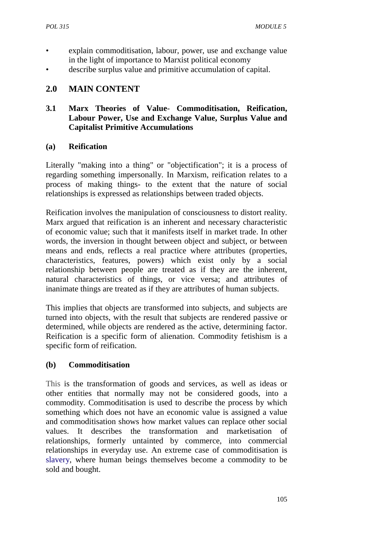- explain commoditisation, labour, power, use and exchange value in the light of importance to Marxist political economy
- describe surplus value and primitive accumulation of capital.

## **2.0 MAIN CONTENT**

#### **3.1 Marx Theories of Value**- **Commoditisation, Reification, Labour Power, Use and Exchange Value, Surplus Value and Capitalist Primitive Accumulations**

#### **(a) Reification**

Literally "making into a thing" or "objectification"; it is a process of regarding something impersonally. In Marxism, reification relates to a process of making things- to the extent that the nature of social relationships is expressed as relationships between traded objects.

Reification involves the manipulation of consciousness to distort reality. Marx argued that reification is an inherent and necessary characteristic of economic value; such that it manifests itself in market trade. In other words, the inversion in thought between object and subject, or between means and ends, reflects a real practice where attributes (properties, characteristics, features, powers) which exist only by a social relationship between people are treated as if they are the inherent, natural characteristics of things, or vice versa; and attributes of inanimate things are treated as if they are attributes of human subjects.

This implies that objects are transformed into subjects, and subjects are turned into objects, with the result that subjects are rendered passive or determined, while objects are rendered as the active, determining factor. Reification is a specific form of alienation. Commodity fetishism is a specific form of reification.

#### **(b) Commoditisation**

This is the transformation of goods and services, as well as ideas or other entities that normally may not be considered goods, into a commodity. Commoditisation is used to describe the process by which something which does not have an economic value is assigned a value and commoditisation shows how market values can replace other social values. It describes the transformation and marketisation of relationships, formerly untainted by commerce, into commercial relationships in everyday use. An extreme case of commoditisation is slavery, where human beings themselves become a commodity to be sold and bought.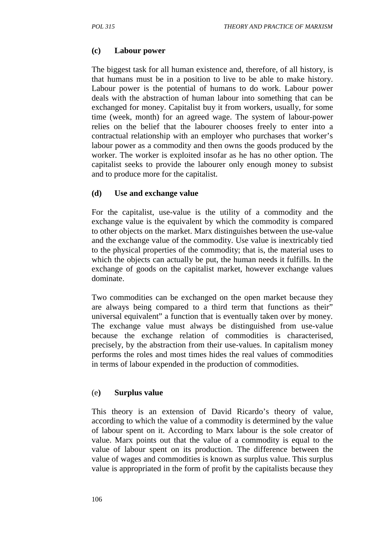#### **(c) Labour power**

The biggest task for all human existence and, therefore, of all history, is that humans must be in a position to live to be able to make history. Labour power is the potential of humans to do work. Labour power deals with the abstraction of human labour into something that can be exchanged for money. Capitalist buy it from workers, usually, for some time (week, month) for an agreed wage. The system of labour-power relies on the belief that the labourer chooses freely to enter into a contractual relationship with an employer who purchases that worker's labour power as a commodity and then owns the goods produced by the worker. The worker is exploited insofar as he has no other option. The capitalist seeks to provide the labourer only enough money to subsist and to produce more for the capitalist.

#### **(d) Use and exchange value**

For the capitalist, use-value is the utility of a commodity and the exchange value is the equivalent by which the commodity is compared to other objects on the market. Marx distinguishes between the use-value and the exchange value of the commodity. Use value is inextricably tied to the physical properties of the commodity; that is, the material uses to which the objects can actually be put, the human needs it fulfills. In the exchange of goods on the capitalist market, however exchange values dominate.

Two commodities can be exchanged on the open market because they are always being compared to a third term that functions as their" universal equivalent" a function that is eventually taken over by money. The exchange value must always be distinguished from use-value because the exchange relation of commodities is characterised, precisely, by the abstraction from their use-values. In capitalism money performs the roles and most times hides the real values of commodities in terms of labour expended in the production of commodities.

#### (e**) Surplus value**

This theory is an extension of David Ricardo's theory of value, according to which the value of a commodity is determined by the value of labour spent on it. According to Marx labour is the sole creator of value. Marx points out that the value of a commodity is equal to the value of labour spent on its production. The difference between the value of wages and commodities is known as surplus value. This surplus value is appropriated in the form of profit by the capitalists because they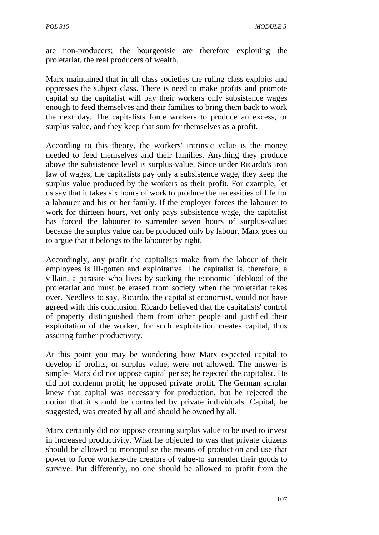are non-producers; the bourgeoisie are therefore exploiting the proletariat, the real producers of wealth.

Marx maintained that in all class societies the ruling class exploits and oppresses the subject class. There is need to make profits and promote capital so the capitalist will pay their workers only subsistence wages enough to feed themselves and their families to bring them back to work the next day. The capitalists force workers to produce an excess, or surplus value, and they keep that sum for themselves as a profit.

According to this theory, the workers' intrinsic value is the money needed to feed themselves and their families. Anything they produce above the subsistence level is surplus-value. Since under Ricardo's iron law of wages, the capitalists pay only a subsistence wage, they keep the surplus value produced by the workers as their profit. For example, let us say that it takes six hours of work to produce the necessities of life for a labourer and his or her family. If the employer forces the labourer to work for thirteen hours, yet only pays subsistence wage, the capitalist has forced the labourer to surrender seven hours of surplus-value; because the surplus value can be produced only by labour, Marx goes on to argue that it belongs to the labourer by right.

Accordingly, any profit the capitalists make from the labour of their employees is ill-gotten and exploitative. The capitalist is, therefore, a villain, a parasite who lives by sucking the economic lifeblood of the proletariat and must be erased from society when the proletariat takes over. Needless to say, Ricardo, the capitalist economist, would not have agreed with this conclusion. Ricardo believed that the capitalists' control of property distinguished them from other people and justified their exploitation of the worker, for such exploitation creates capital, thus assuring further productivity.

At this point you may be wondering how Marx expected capital to develop if profits, or surplus value, were not allowed. The answer is simple- Marx did not oppose capital per se; he rejected the capitalist. He did not condemn profit; he opposed private profit. The German scholar knew that capital was necessary for production, but he rejected the notion that it should be controlled by private individuals. Capital, he suggested, was created by all and should be owned by all.

Marx certainly did not oppose creating surplus value to be used to invest in increased productivity. What he objected to was that private citizens should be allowed to monopolise the means of production and use that power to force workers-the creators of value-to surrender their goods to survive. Put differently, no one should be allowed to profit from the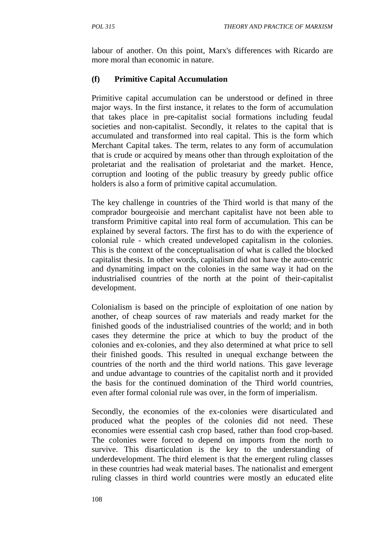labour of another. On this point, Marx's differences with Ricardo are more moral than economic in nature.

# **(f) Primitive Capital Accumulation**

Primitive capital accumulation can be understood or defined in three major ways. In the first instance, it relates to the form of accumulation that takes place in pre-capitalist social formations including feudal societies and non-capitalist. Secondly, it relates to the capital that is accumulated and transformed into real capital. This is the form which Merchant Capital takes. The term, relates to any form of accumulation that is crude or acquired by means other than through exploitation of the proletariat and the realisation of proletariat and the market. Hence, corruption and looting of the public treasury by greedy public office holders is also a form of primitive capital accumulation.

The key challenge in countries of the Third world is that many of the comprador bourgeoisie and merchant capitalist have not been able to transform Primitive capital into real form of accumulation. This can be explained by several factors. The first has to do with the experience of colonial rule - which created undeveloped capitalism in the colonies. This is the context of the conceptualisation of what is called the blocked capitalist thesis. In other words, capitalism did not have the auto-centric and dynamiting impact on the colonies in the same way it had on the industrialised countries of the north at the point of their-capitalist development.

Colonialism is based on the principle of exploitation of one nation by another, of cheap sources of raw materials and ready market for the finished goods of the industrialised countries of the world; and in both cases they determine the price at which to buy the product of the colonies and ex-colonies, and they also determined at what price to sell their finished goods. This resulted in unequal exchange between the countries of the north and the third world nations. This gave leverage and undue advantage to countries of the capitalist north and it provided the basis for the continued domination of the Third world countries, even after formal colonial rule was over, in the form of imperialism.

Secondly, the economies of the ex-colonies were disarticulated and produced what the peoples of the colonies did not need. These economies were essential cash crop based, rather than food crop-based. The colonies were forced to depend on imports from the north to survive. This disarticulation is the key to the understanding of underdevelopment. The third element is that the emergent ruling classes in these countries had weak material bases. The nationalist and emergent ruling classes in third world countries were mostly an educated elite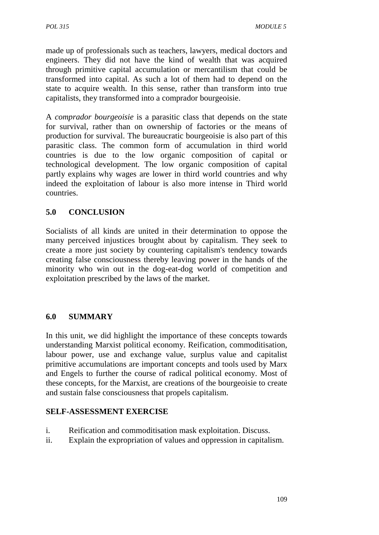made up of professionals such as teachers, lawyers, medical doctors and engineers. They did not have the kind of wealth that was acquired through primitive capital accumulation or mercantilism that could be transformed into capital. As such a lot of them had to depend on the state to acquire wealth. In this sense, rather than transform into true capitalists, they transformed into a comprador bourgeoisie.

A *comprador bourgeoisie* is a parasitic class that depends on the state for survival, rather than on ownership of factories or the means of production for survival. The bureaucratic bourgeoisie is also part of this parasitic class. The common form of accumulation in third world countries is due to the low organic composition of capital or technological development. The low organic composition of capital partly explains why wages are lower in third world countries and why indeed the exploitation of labour is also more intense in Third world countries.

### **5.0 CONCLUSION**

Socialists of all kinds are united in their determination to oppose the many perceived injustices brought about by capitalism. They seek to create a more just society by countering capitalism's tendency towards creating false consciousness thereby leaving power in the hands of the minority who win out in the dog-eat-dog world of competition and exploitation prescribed by the laws of the market.

#### **6.0 SUMMARY**

In this unit, we did highlight the importance of these concepts towards understanding Marxist political economy. Reification, commoditisation, labour power, use and exchange value, surplus value and capitalist primitive accumulations are important concepts and tools used by Marx and Engels to further the course of radical political economy. Most of these concepts, for the Marxist, are creations of the bourgeoisie to create and sustain false consciousness that propels capitalism.

#### **SELF-ASSESSMENT EXERCISE**

- i. Reification and commoditisation mask exploitation. Discuss.
- ii. Explain the expropriation of values and oppression in capitalism.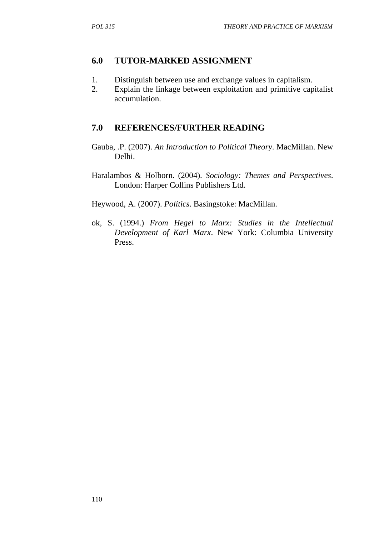## **6.0 TUTOR-MARKED ASSIGNMENT**

- 1. Distinguish between use and exchange values in capitalism.
- 2. Explain the linkage between exploitation and primitive capitalist accumulation.

# **7.0 REFERENCES/FURTHER READING**

- Gauba, .P. (2007). *An Introduction to Political Theory*. MacMillan. New Delhi.
- Haralambos & Holborn. (2004). *Sociology: Themes and Perspectives*. London: Harper Collins Publishers Ltd.

Heywood, A. (2007). *Politics*. Basingstoke: MacMillan.

ok, S. (1994.) *From Hegel to Marx: Studies in the Intellectual Development of Karl Marx*. New York: Columbia University Press.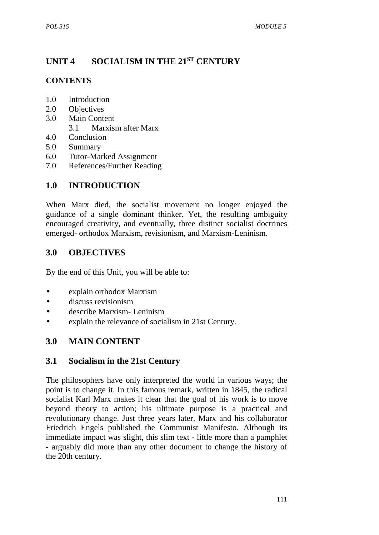# **UNIT 4 SOCIALISM IN THE 21ST CENTURY**

## **CONTENTS**

- 1.0 Introduction
- 2.0 Objectives
- 3.0 Main Content
	- 3.1 Marxism after Marx
- 4.0 Conclusion
- 5.0 Summary
- 6.0 Tutor-Marked Assignment
- 7.0 References/Further Reading

# **1.0 INTRODUCTION**

When Marx died, the socialist movement no longer enjoyed the guidance of a single dominant thinker. Yet, the resulting ambiguity encouraged creativity, and eventually, three distinct socialist doctrines emerged- orthodox Marxism, revisionism, and Marxism-Leninism.

# **3.0 OBJECTIVES**

By the end of this Unit, you will be able to:

- explain orthodox Marxism
- discuss revisionism
- describe Marxism- Leninism
- explain the relevance of socialism in 21st Century.

# **3.0 MAIN CONTENT**

# **3.1 Socialism in the 21st Century**

The philosophers have only interpreted the world in various ways; the point is to change it. In this famous remark, written in 1845, the radical socialist Karl Marx makes it clear that the goal of his work is to move beyond theory to action; his ultimate purpose is a practical and revolutionary change. Just three years later, Marx and his collaborator Friedrich Engels published the Communist Manifesto. Although its immediate impact was slight, this slim text - little more than a pamphlet - arguably did more than any other document to change the history of the 20th century.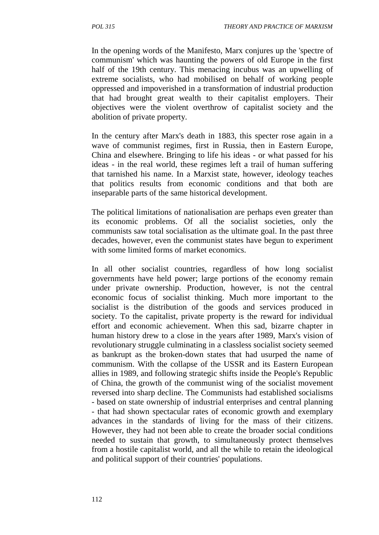In the opening words of the Manifesto, Marx conjures up the 'spectre of communism' which was haunting the powers of old Europe in the first half of the 19th century. This menacing incubus was an upwelling of extreme socialists, who had mobilised on behalf of working people oppressed and impoverished in a transformation of industrial production that had brought great wealth to their capitalist employers. Their objectives were the violent overthrow of capitalist society and the abolition of private property.

In the century after Marx's death in 1883, this specter rose again in a wave of communist regimes, first in Russia, then in Eastern Europe, China and elsewhere. Bringing to life his ideas - or what passed for his ideas - in the real world, these regimes left a trail of human suffering that tarnished his name. In a Marxist state, however, ideology teaches that politics results from economic conditions and that both are inseparable parts of the same historical development.

The political limitations of nationalisation are perhaps even greater than its economic problems. Of all the socialist societies, only the communists saw total socialisation as the ultimate goal. In the past three decades, however, even the communist states have begun to experiment with some limited forms of market economics.

In all other socialist countries, regardless of how long socialist governments have held power; large portions of the economy remain under private ownership. Production, however, is not the central economic focus of socialist thinking. Much more important to the socialist is the distribution of the goods and services produced in society. To the capitalist, private property is the reward for individual effort and economic achievement. When this sad, bizarre chapter in human history drew to a close in the years after 1989, Marx's vision of revolutionary struggle culminating in a classless socialist society seemed as bankrupt as the broken-down states that had usurped the name of communism. With the collapse of the USSR and its Eastern European allies in 1989, and following strategic shifts inside the People's Republic of China, the growth of the communist wing of the socialist movement reversed into sharp decline. The Communists had established socialisms - based on state ownership of industrial enterprises and central planning - that had shown spectacular rates of economic growth and exemplary advances in the standards of living for the mass of their citizens. However, they had not been able to create the broader social conditions needed to sustain that growth, to simultaneously protect themselves from a hostile capitalist world, and all the while to retain the ideological and political support of their countries' populations.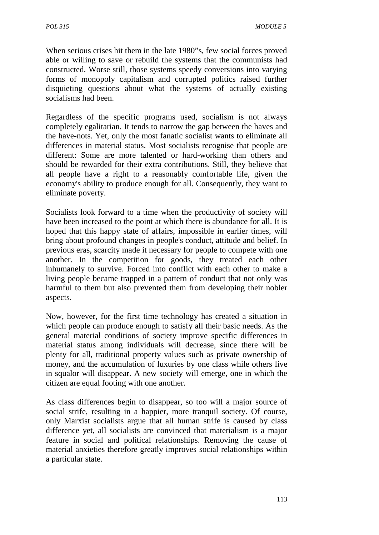When serious crises hit them in the late 1980"s, few social forces proved able or willing to save or rebuild the systems that the communists had constructed. Worse still, those systems speedy conversions into varying forms of monopoly capitalism and corrupted politics raised further disquieting questions about what the systems of actually existing socialisms had been.

Regardless of the specific programs used, socialism is not always completely egalitarian. It tends to narrow the gap between the haves and the have-nots. Yet, only the most fanatic socialist wants to eliminate all differences in material status. Most socialists recognise that people are different: Some are more talented or hard-working than others and should be rewarded for their extra contributions. Still, they believe that all people have a right to a reasonably comfortable life, given the economy's ability to produce enough for all. Consequently, they want to eliminate poverty.

Socialists look forward to a time when the productivity of society will have been increased to the point at which there is abundance for all. It is hoped that this happy state of affairs, impossible in earlier times, will bring about profound changes in people's conduct, attitude and belief. In previous eras, scarcity made it necessary for people to compete with one another. In the competition for goods, they treated each other inhumanely to survive. Forced into conflict with each other to make a living people became trapped in a pattern of conduct that not only was harmful to them but also prevented them from developing their nobler aspects.

Now, however, for the first time technology has created a situation in which people can produce enough to satisfy all their basic needs. As the general material conditions of society improve specific differences in material status among individuals will decrease, since there will be plenty for all, traditional property values such as private ownership of money, and the accumulation of luxuries by one class while others live in squalor will disappear. A new society will emerge, one in which the citizen are equal footing with one another.

As class differences begin to disappear, so too will a major source of social strife, resulting in a happier, more tranquil society. Of course, only Marxist socialists argue that all human strife is caused by class difference yet, all socialists are convinced that materialism is a major feature in social and political relationships. Removing the cause of material anxieties therefore greatly improves social relationships within a particular state.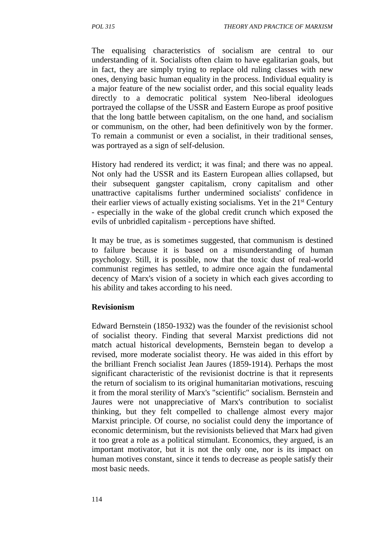The equalising characteristics of socialism are central to our understanding of it. Socialists often claim to have egalitarian goals, but in fact, they are simply trying to replace old ruling classes with new ones, denying basic human equality in the process. Individual equality is a major feature of the new socialist order, and this social equality leads directly to a democratic political system Neo-liberal ideologues portrayed the collapse of the USSR and Eastern Europe as proof positive that the long battle between capitalism, on the one hand, and socialism or communism, on the other, had been definitively won by the former. To remain a communist or even a socialist, in their traditional senses, was portrayed as a sign of self-delusion.

History had rendered its verdict; it was final; and there was no appeal. Not only had the USSR and its Eastern European allies collapsed, but their subsequent gangster capitalism, crony capitalism and other unattractive capitalisms further undermined socialists' confidence in their earlier views of actually existing socialisms. Yet in the  $21<sup>st</sup>$  Century - especially in the wake of the global credit crunch which exposed the evils of unbridled capitalism - perceptions have shifted.

It may be true, as is sometimes suggested, that communism is destined to failure because it is based on a misunderstanding of human psychology. Still, it is possible, now that the toxic dust of real-world communist regimes has settled, to admire once again the fundamental decency of Marx's vision of a society in which each gives according to his ability and takes according to his need.

#### **Revisionism**

Edward Bernstein (1850-1932) was the founder of the revisionist school of socialist theory. Finding that several Marxist predictions did not match actual historical developments, Bernstein began to develop a revised, more moderate socialist theory. He was aided in this effort by the brilliant French socialist Jean Jaures (1859-1914). Perhaps the most significant characteristic of the revisionist doctrine is that it represents the return of socialism to its original humanitarian motivations, rescuing it from the moral sterility of Marx's "scientific" socialism. Bernstein and Jaures were not unappreciative of Marx's contribution to socialist thinking, but they felt compelled to challenge almost every major Marxist principle. Of course, no socialist could deny the importance of economic determinism, but the revisionists believed that Marx had given it too great a role as a political stimulant. Economics, they argued, is an important motivator, but it is not the only one, nor is its impact on human motives constant, since it tends to decrease as people satisfy their most basic needs.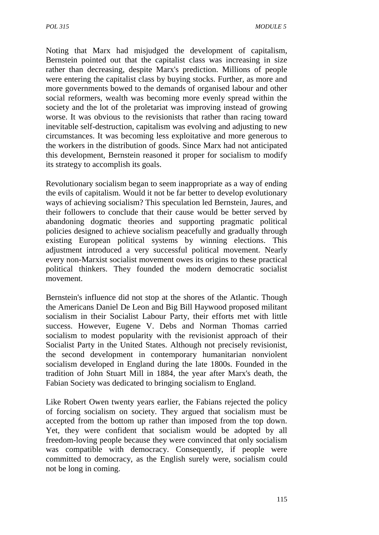Noting that Marx had misjudged the development of capitalism, Bernstein pointed out that the capitalist class was increasing in size rather than decreasing, despite Marx's prediction. Millions of people were entering the capitalist class by buying stocks. Further, as more and more governments bowed to the demands of organised labour and other social reformers, wealth was becoming more evenly spread within the society and the lot of the proletariat was improving instead of growing worse. It was obvious to the revisionists that rather than racing toward inevitable self-destruction, capitalism was evolving and adjusting to new circumstances. It was becoming less exploitative and more generous to the workers in the distribution of goods. Since Marx had not anticipated this development, Bernstein reasoned it proper for socialism to modify its strategy to accomplish its goals.

Revolutionary socialism began to seem inappropriate as a way of ending the evils of capitalism. Would it not be far better to develop evolutionary ways of achieving socialism? This speculation led Bernstein, Jaures, and their followers to conclude that their cause would be better served by abandoning dogmatic theories and supporting pragmatic political policies designed to achieve socialism peacefully and gradually through existing European political systems by winning elections. This adjustment introduced a very successful political movement. Nearly every non-Marxist socialist movement owes its origins to these practical political thinkers. They founded the modern democratic socialist movement.

Bernstein's influence did not stop at the shores of the Atlantic. Though the Americans Daniel De Leon and Big Bill Haywood proposed militant socialism in their Socialist Labour Party, their efforts met with little success. However, Eugene V. Debs and Norman Thomas carried socialism to modest popularity with the revisionist approach of their Socialist Party in the United States. Although not precisely revisionist, the second development in contemporary humanitarian nonviolent socialism developed in England during the late 1800s. Founded in the tradition of John Stuart Mill in 1884, the year after Marx's death, the Fabian Society was dedicated to bringing socialism to England.

Like Robert Owen twenty years earlier, the Fabians rejected the policy of forcing socialism on society. They argued that socialism must be accepted from the bottom up rather than imposed from the top down. Yet, they were confident that socialism would be adopted by all freedom-loving people because they were convinced that only socialism was compatible with democracy. Consequently, if people were committed to democracy, as the English surely were, socialism could not be long in coming.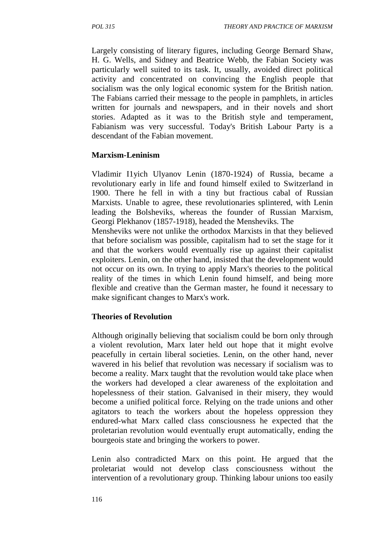Largely consisting of literary figures, including George Bernard Shaw, H. G. Wells, and Sidney and Beatrice Webb, the Fabian Society was particularly well suited to its task. It, usually, avoided direct political activity and concentrated on convincing the English people that socialism was the only logical economic system for the British nation. The Fabians carried their message to the people in pamphlets, in articles written for journals and newspapers, and in their novels and short stories. Adapted as it was to the British style and temperament, Fabianism was very successful. Today's British Labour Party is a descendant of the Fabian movement.

#### **Marxism-Leninism**

Vladimir I1yich Ulyanov Lenin (1870-1924) of Russia, became a revolutionary early in life and found himself exiled to Switzerland in 1900. There he fell in with a tiny but fractious cabal of Russian Marxists. Unable to agree, these revolutionaries splintered, with Lenin leading the Bolsheviks, whereas the founder of Russian Marxism, Georgi Plekhanov (1857-1918), headed the Mensheviks. The

Mensheviks were not unlike the orthodox Marxists in that they believed that before socialism was possible, capitalism had to set the stage for it and that the workers would eventually rise up against their capitalist exploiters. Lenin, on the other hand, insisted that the development would not occur on its own. In trying to apply Marx's theories to the political reality of the times in which Lenin found himself, and being more flexible and creative than the German master, he found it necessary to make significant changes to Marx's work.

#### **Theories of Revolution**

Although originally believing that socialism could be born only through a violent revolution, Marx later held out hope that it might evolve peacefully in certain liberal societies. Lenin, on the other hand, never wavered in his belief that revolution was necessary if socialism was to become a reality. Marx taught that the revolution would take place when the workers had developed a clear awareness of the exploitation and hopelessness of their station. Galvanised in their misery, they would become a unified political force. Relying on the trade unions and other agitators to teach the workers about the hopeless oppression they endured-what Marx called class consciousness he expected that the proletarian revolution would eventually erupt automatically, ending the bourgeois state and bringing the workers to power.

Lenin also contradicted Marx on this point. He argued that the proletariat would not develop class consciousness without the intervention of a revolutionary group. Thinking labour unions too easily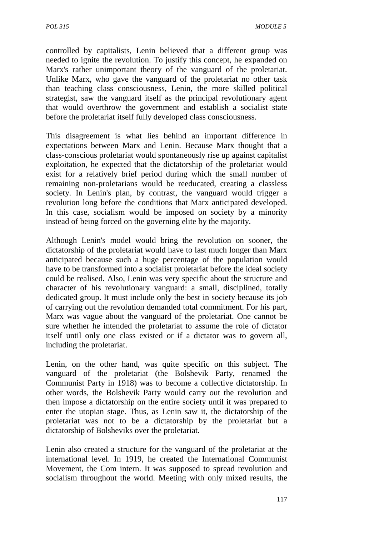controlled by capitalists, Lenin believed that a different group was needed to ignite the revolution. To justify this concept, he expanded on Marx's rather unimportant theory of the vanguard of the proletariat. Unlike Marx, who gave the vanguard of the proletariat no other task than teaching class consciousness, Lenin, the more skilled political strategist, saw the vanguard itself as the principal revolutionary agent that would overthrow the government and establish a socialist state before the proletariat itself fully developed class consciousness.

This disagreement is what lies behind an important difference in expectations between Marx and Lenin. Because Marx thought that a class-conscious proletariat would spontaneously rise up against capitalist exploitation, he expected that the dictatorship of the proletariat would exist for a relatively brief period during which the small number of remaining non-proletarians would be reeducated, creating a classless society. In Lenin's plan, by contrast, the vanguard would trigger a revolution long before the conditions that Marx anticipated developed. In this case, socialism would be imposed on society by a minority instead of being forced on the governing elite by the majority.

Although Lenin's model would bring the revolution on sooner, the dictatorship of the proletariat would have to last much longer than Marx anticipated because such a huge percentage of the population would have to be transformed into a socialist proletariat before the ideal society could be realised. Also, Lenin was very specific about the structure and character of his revolutionary vanguard: a small, disciplined, totally dedicated group. It must include only the best in society because its job of carrying out the revolution demanded total commitment. For his part, Marx was vague about the vanguard of the proletariat. One cannot be sure whether he intended the proletariat to assume the role of dictator itself until only one class existed or if a dictator was to govern all, including the proletariat.

Lenin, on the other hand, was quite specific on this subject. The vanguard of the proletariat (the Bolshevik Party, renamed the Communist Party in 1918) was to become a collective dictatorship. In other words, the Bolshevik Party would carry out the revolution and then impose a dictatorship on the entire society until it was prepared to enter the utopian stage. Thus, as Lenin saw it, the dictatorship of the proletariat was not to be a dictatorship by the proletariat but a dictatorship of Bolsheviks over the proletariat.

Lenin also created a structure for the vanguard of the proletariat at the international level. In 1919, he created the International Communist Movement, the Com intern. It was supposed to spread revolution and socialism throughout the world. Meeting with only mixed results, the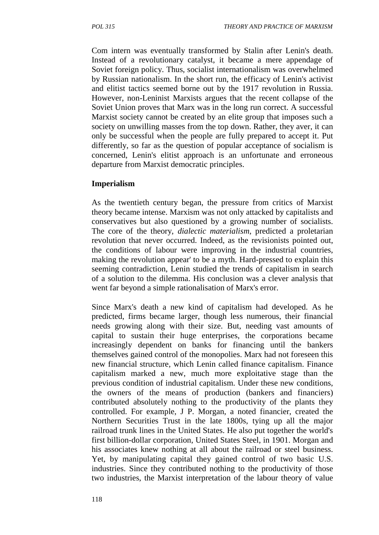Com intern was eventually transformed by Stalin after Lenin's death. Instead of a revolutionary catalyst, it became a mere appendage of Soviet foreign policy. Thus, socialist internationalism was overwhelmed by Russian nationalism. In the short run, the efficacy of Lenin's activist and elitist tactics seemed borne out by the 1917 revolution in Russia. However, non-Leninist Marxists argues that the recent collapse of the Soviet Union proves that Marx was in the long run correct. A successful Marxist society cannot be created by an elite group that imposes such a society on unwilling masses from the top down. Rather, they aver, it can only be successful when the people are fully prepared to accept it. Put differently, so far as the question of popular acceptance of socialism is concerned, Lenin's elitist approach is an unfortunate and erroneous departure from Marxist democratic principles.

#### **Imperialism**

As the twentieth century began, the pressure from critics of Marxist theory became intense. Marxism was not only attacked by capitalists and conservatives but also questioned by a growing number of socialists. The core of the theory, *dialectic materialism*, predicted a proletarian revolution that never occurred. Indeed, as the revisionists pointed out, the conditions of labour were improving in the industrial countries, making the revolution appear' to be a myth. Hard-pressed to explain this seeming contradiction, Lenin studied the trends of capitalism in search of a solution to the dilemma. His conclusion was a clever analysis that went far beyond a simple rationalisation of Marx's error.

Since Marx's death a new kind of capitalism had developed. As he predicted, firms became larger, though less numerous, their financial needs growing along with their size. But, needing vast amounts of capital to sustain their huge enterprises, the corporations became increasingly dependent on banks for financing until the bankers themselves gained control of the monopolies. Marx had not foreseen this new financial structure, which Lenin called finance capitalism. Finance capitalism marked a new, much more exploitative stage than the previous condition of industrial capitalism. Under these new conditions, the owners of the means of production (bankers and financiers) contributed absolutely nothing to the productivity of the plants they controlled. For example, J P. Morgan, a noted financier, created the Northern Securities Trust in the late 1800s, tying up all the major railroad trunk lines in the United States. He also put together the world's first billion-dollar corporation, United States Steel, in 1901. Morgan and his associates knew nothing at all about the railroad or steel business. Yet, by manipulating capital they gained control of two basic U.S. industries. Since they contributed nothing to the productivity of those two industries, the Marxist interpretation of the labour theory of value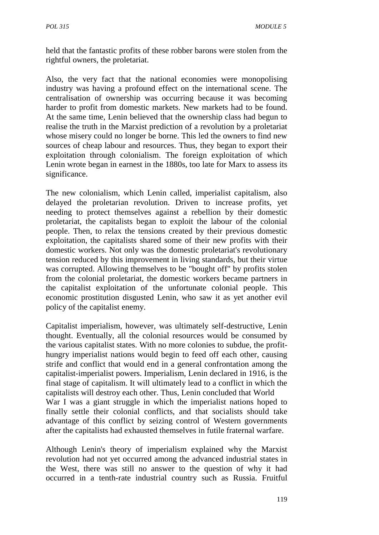held that the fantastic profits of these robber barons were stolen from the rightful owners, the proletariat.

Also, the very fact that the national economies were monopolising industry was having a profound effect on the international scene. The centralisation of ownership was occurring because it was becoming harder to profit from domestic markets. New markets had to be found. At the same time, Lenin believed that the ownership class had begun to realise the truth in the Marxist prediction of a revolution by a proletariat whose misery could no longer be borne. This led the owners to find new sources of cheap labour and resources. Thus, they began to export their exploitation through colonialism. The foreign exploitation of which Lenin wrote began in earnest in the 1880s, too late for Marx to assess its significance.

The new colonialism, which Lenin called, imperialist capitalism, also delayed the proletarian revolution. Driven to increase profits, yet needing to protect themselves against a rebellion by their domestic proletariat, the capitalists began to exploit the labour of the colonial people. Then, to relax the tensions created by their previous domestic exploitation, the capitalists shared some of their new profits with their domestic workers. Not only was the domestic proletariat's revolutionary tension reduced by this improvement in living standards, but their virtue was corrupted. Allowing themselves to be "bought off" by profits stolen from the colonial proletariat, the domestic workers became partners in the capitalist exploitation of the unfortunate colonial people. This economic prostitution disgusted Lenin, who saw it as yet another evil policy of the capitalist enemy.

Capitalist imperialism, however, was ultimately self-destructive, Lenin thought. Eventually, all the colonial resources would be consumed by the various capitalist states. With no more colonies to subdue, the profit hungry imperialist nations would begin to feed off each other, causing strife and conflict that would end in a general confrontation among the capitalist-imperialist powers. Imperialism, Lenin declared in 1916, is the final stage of capitalism. It will ultimately lead to a conflict in which the capitalists will destroy each other. Thus, Lenin concluded that World War I was a giant struggle in which the imperialist nations hoped to finally settle their colonial conflicts, and that socialists should take advantage of this conflict by seizing control of Western governments after the capitalists had exhausted themselves in futile fraternal warfare.

Although Lenin's theory of imperialism explained why the Marxist revolution had not yet occurred among the advanced industrial states in the West, there was still no answer to the question of why it had occurred in a tenth-rate industrial country such as Russia. Fruitful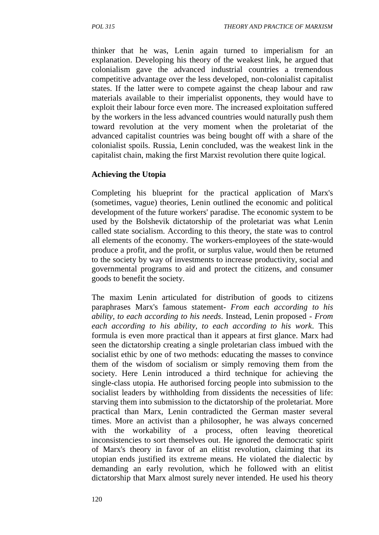thinker that he was, Lenin again turned to imperialism for an explanation. Developing his theory of the weakest link, he argued that colonialism gave the advanced industrial countries a tremendous competitive advantage over the less developed, non-colonialist capitalist states. If the latter were to compete against the cheap labour and raw materials available to their imperialist opponents, they would have to exploit their labour force even more. The increased exploitation suffered by the workers in the less advanced countries would naturally push them toward revolution at the very moment when the proletariat of the advanced capitalist countries was being bought off with a share of the colonialist spoils. Russia, Lenin concluded, was the weakest link in the capitalist chain, making the first Marxist revolution there quite logical.

#### **Achieving the Utopia**

Completing his blueprint for the practical application of Marx's (sometimes, vague) theories, Lenin outlined the economic and political development of the future workers' paradise. The economic system to be used by the Bolshevik dictatorship of the proletariat was what Lenin called state socialism. According to this theory, the state was to control all elements of the economy. The workers-employees of the state-would produce a profit, and the profit, or surplus value, would then be returned to the society by way of investments to increase productivity, social and governmental programs to aid and protect the citizens, and consumer goods to benefit the society.

The maxim Lenin articulated for distribution of goods to citizens paraphrases Marx's famous statement- *From each according to his ability, to each according to his needs*. Instead, Lenin proposed - *From each according to his ability, to each according to his work*. This formula is even more practical than it appears at first glance. Marx had seen the dictatorship creating a single proletarian class imbued with the socialist ethic by one of two methods: educating the masses to convince them of the wisdom of socialism or simply removing them from the society. Here Lenin introduced a third technique for achieving the single-class utopia. He authorised forcing people into submission to the socialist leaders by withholding from dissidents the necessities of life: starving them into submission to the dictatorship of the proletariat. More practical than Marx, Lenin contradicted the German master several times. More an activist than a philosopher, he was always concerned with the workability of a process, often leaving theoretical inconsistencies to sort themselves out. He ignored the democratic spirit of Marx's theory in favor of an elitist revolution, claiming that its utopian ends justified its extreme means. He violated the dialectic by demanding an early revolution, which he followed with an elitist dictatorship that Marx almost surely never intended. He used his theory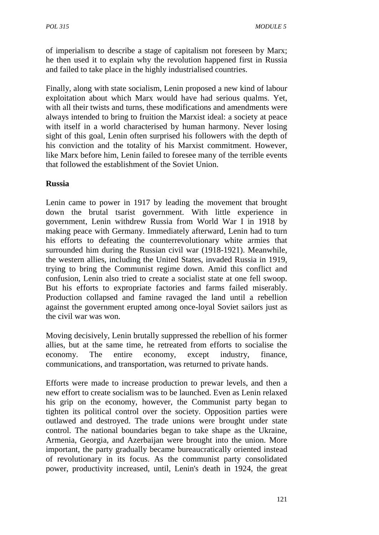of imperialism to describe a stage of capitalism not foreseen by Marx; he then used it to explain why the revolution happened first in Russia and failed to take place in the highly industrialised countries.

Finally, along with state socialism, Lenin proposed a new kind of labour exploitation about which Marx would have had serious qualms. Yet, with all their twists and turns, these modifications and amendments were always intended to bring to fruition the Marxist ideal: a society at peace with itself in a world characterised by human harmony. Never losing sight of this goal, Lenin often surprised his followers with the depth of his conviction and the totality of his Marxist commitment. However, like Marx before him, Lenin failed to foresee many of the terrible events that followed the establishment of the Soviet Union.

### **Russia**

Lenin came to power in 1917 by leading the movement that brought down the brutal tsarist government. With little experience in government, Lenin withdrew Russia from World War I in 1918 by making peace with Germany. Immediately afterward, Lenin had to turn his efforts to defeating the counterrevolutionary white armies that surrounded him during the Russian civil war (1918-1921). Meanwhile, the western allies, including the United States, invaded Russia in 1919, trying to bring the Communist regime down. Amid this conflict and confusion, Lenin also tried to create a socialist state at one fell swoop. But his efforts to expropriate factories and farms failed miserably. Production collapsed and famine ravaged the land until a rebellion against the government erupted among once-loyal Soviet sailors just as the civil war was won.

Moving decisively, Lenin brutally suppressed the rebellion of his former allies, but at the same time, he retreated from efforts to socialise the economy. The entire economy, except industry, finance, communications, and transportation, was returned to private hands.

Efforts were made to increase production to prewar levels, and then a new effort to create socialism was to be launched. Even as Lenin relaxed his grip on the economy, however, the Communist party began to tighten its political control over the society. Opposition parties were outlawed and destroyed. The trade unions were brought under state control. The national boundaries began to take shape as the Ukraine, Armenia, Georgia, and Azerbaijan were brought into the union. More important, the party gradually became bureaucratically oriented instead of revolutionary in its focus. As the communist party consolidated power, productivity increased, until, Lenin's death in 1924, the great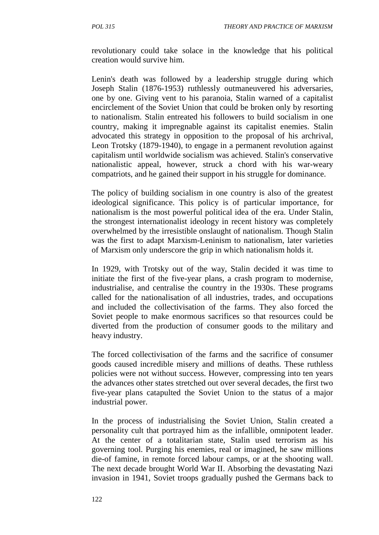revolutionary could take solace in the knowledge that his political creation would survive him.

Lenin's death was followed by a leadership struggle during which Joseph Stalin (1876-1953) ruthlessly outmaneuvered his adversaries, one by one. Giving vent to his paranoia, Stalin warned of a capitalist encirclement of the Soviet Union that could be broken only by resorting to nationalism. Stalin entreated his followers to build socialism in one country, making it impregnable against its capitalist enemies. Stalin advocated this strategy in opposition to the proposal of his archrival, Leon Trotsky (1879-1940), to engage in a permanent revolution against capitalism until worldwide socialism was achieved. Stalin's conservative nationalistic appeal, however, struck a chord with his war-weary compatriots, and he gained their support in his struggle for dominance.

The policy of building socialism in one country is also of the greatest ideological significance. This policy is of particular importance, for nationalism is the most powerful political idea of the era. Under Stalin, the strongest internationalist ideology in recent history was completely overwhelmed by the irresistible onslaught of nationalism. Though Stalin was the first to adapt Marxism-Leninism to nationalism, later varieties of Marxism only underscore the grip in which nationalism holds it.

In 1929, with Trotsky out of the way, Stalin decided it was time to initiate the first of the five-year plans, a crash program to modernise, industrialise, and centralise the country in the 1930s. These programs called for the nationalisation of all industries, trades, and occupations and included the collectivisation of the farms. They also forced the Soviet people to make enormous sacrifices so that resources could be diverted from the production of consumer goods to the military and heavy industry.

The forced collectivisation of the farms and the sacrifice of consumer goods caused incredible misery and millions of deaths. These ruthless policies were not without success. However, compressing into ten years the advances other states stretched out over several decades, the first two five-year plans catapulted the Soviet Union to the status of a major industrial power.

In the process of industrialising the Soviet Union, Stalin created a personality cult that portrayed him as the infallible, omnipotent leader. At the center of a totalitarian state, Stalin used terrorism as his governing tool. Purging his enemies, real or imagined, he saw millions die-of famine, in remote forced labour camps, or at the shooting wall. The next decade brought World War II. Absorbing the devastating Nazi invasion in 1941, Soviet troops gradually pushed the Germans back to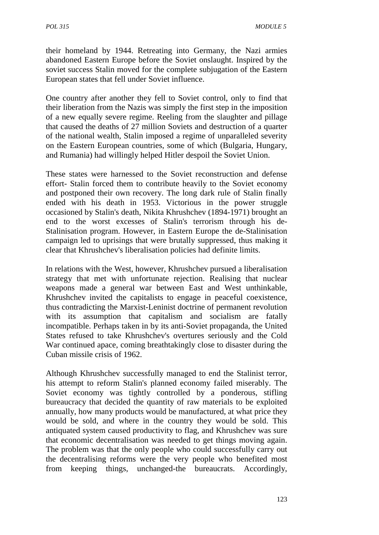their homeland by 1944. Retreating into Germany, the Nazi armies abandoned Eastern Europe before the Soviet onslaught. Inspired by the soviet success Stalin moved for the complete subjugation of the Eastern European states that fell under Soviet influence.

One country after another they fell to Soviet control, only to find that their liberation from the Nazis was simply the first step in the imposition of a new equally severe regime. Reeling from the slaughter and pillage that caused the deaths of 27 million Soviets and destruction of a quarter of the national wealth, Stalin imposed a regime of unparalleled severity on the Eastern European countries, some of which (Bulgaria, Hungary, and Rumania) had willingly helped Hitler despoil the Soviet Union.

These states were harnessed to the Soviet reconstruction and defense effort- Stalin forced them to contribute heavily to the Soviet economy and postponed their own recovery. The long dark rule of Stalin finally ended with his death in 1953. Victorious in the power struggle occasioned by Stalin's death, Nikita Khrushchev (1894-1971) brought an end to the worst excesses of Stalin's terrorism through his de- Stalinisation program. However, in Eastern Europe the de-Stalinisation campaign led to uprisings that were brutally suppressed, thus making it clear that Khrushchev's liberalisation policies had definite limits.

In relations with the West, however, Khrushchev pursued a liberalisation strategy that met with unfortunate rejection. Realising that nuclear weapons made a general war between East and West unthinkable, Khrushchev invited the capitalists to engage in peaceful coexistence, thus contradicting the Marxist-Leninist doctrine of permanent revolution with its assumption that capitalism and socialism are fatally incompatible. Perhaps taken in by its anti-Soviet propaganda, the United States refused to take Khrushchev's overtures seriously and the Cold War continued apace, coming breathtakingly close to disaster during the Cuban missile crisis of 1962.

Although Khrushchev successfully managed to end the Stalinist terror, his attempt to reform Stalin's planned economy failed miserably. The Soviet economy was tightly controlled by a ponderous, stifling bureaucracy that decided the quantity of raw materials to be exploited annually, how many products would be manufactured, at what price they would be sold, and where in the country they would be sold. This antiquated system caused productivity to flag, and Khrushchev was sure that economic decentralisation was needed to get things moving again. The problem was that the only people who could successfully carry out the decentralising reforms were the very people who benefited most from keeping things, unchanged-the bureaucrats. Accordingly,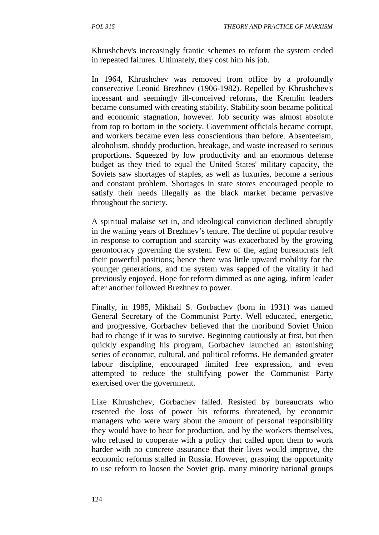Khrushchev's increasingly frantic schemes to reform the system ended in repeated failures. Ultimately, they cost him his job.

In 1964, Khrushchev was removed from office by a profoundly conservative Leonid Brezhnev (1906-1982). Repelled by Khrushchev's incessant and seemingly ill-conceived reforms, the Kremlin leaders became consumed with creating stability. Stability soon became political and economic stagnation, however. Job security was almost absolute from top to bottom in the society. Government officials became corrupt, and workers became even less conscientious than before. Absenteeism, alcoholism, shoddy production, breakage, and waste increased to serious proportions. Squeezed by low productivity and an enormous defense budget as they tried to equal the United States' military capacity, the Soviets saw shortages of staples, as well as luxuries, become a serious and constant problem. Shortages in state stores encouraged people to satisfy their needs illegally as the black market became pervasive throughout the society.

A spiritual malaise set in, and ideological conviction declined abruptly in the waning years of Brezhnev's tenure. The decline of popular resolve in response to corruption and scarcity was exacerbated by the growing gerontocracy governing the system. Few of the, aging bureaucrats left their powerful positions; hence there was little upward mobility for the younger generations, and the system was sapped of the vitality it had previously enjoyed. Hope for reform dimmed as one aging, infirm leader after another followed Brezhnev to power.

Finally, in 1985, Mikhail S. Gorbachev (born in 1931) was named General Secretary of the Communist Party. Well educated, energetic, and progressive, Gorbachev believed that the moribund Soviet Union had to change if it was to survive. Beginning cautiously at first, but then quickly expanding his program, Gorbachev launched an astonishing series of economic, cultural, and political reforms. He demanded greater labour discipline, encouraged limited free expression, and even attempted to reduce the stultifying power the Communist Party exercised over the government.

Like Khrushchev, Gorbachev failed. Resisted by bureaucrats who resented the loss of power his reforms threatened, by economic managers who were wary about the amount of personal responsibility they would have to bear for production, and by the workers themselves, who refused to cooperate with a policy that called upon them to work harder with no concrete assurance that their lives would improve, the economic reforms stalled in Russia. However, grasping the opportunity to use reform to loosen the Soviet grip, many minority national groups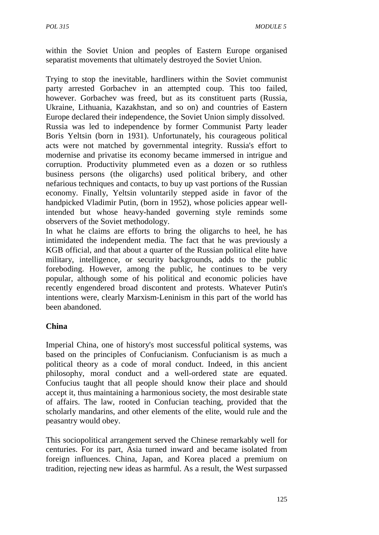within the Soviet Union and peoples of Eastern Europe organised separatist movements that ultimately destroyed the Soviet Union.

Trying to stop the inevitable, hardliners within the Soviet communist party arrested Gorbachev in an attempted coup. This too failed, however. Gorbachev was freed, but as its constituent parts (Russia, Ukraine, Lithuania, Kazakhstan, and so on) and countries of Eastern Europe declared their independence, the Soviet Union simply dissolved. Russia was led to independence by former Communist Party leader Boris Yeltsin (born in 1931). Unfortunately, his courageous political acts were not matched by governmental integrity. Russia's effort to modernise and privatise its economy became immersed in intrigue and corruption. Productivity plummeted even as a dozen or so ruthless business persons (the oligarchs) used political bribery, and other nefarious techniques and contacts, to buy up vast portions of the Russian economy. Finally, Yeltsin voluntarily stepped aside in favor of the handpicked Vladimir Putin, (born in 1952), whose policies appear wellintended but whose heavy-handed governing style reminds some observers of the Soviet methodology.

In what he claims are efforts to bring the oligarchs to heel, he has intimidated the independent media. The fact that he was previously a KGB official, and that about a quarter of the Russian political elite have military, intelligence, or security backgrounds, adds to the public foreboding. However, among the public, he continues to be very popular, although some of his political and economic policies have recently engendered broad discontent and protests. Whatever Putin's intentions were, clearly Marxism-Leninism in this part of the world has been abandoned.

## **China**

Imperial China, one of history's most successful political systems, was based on the principles of Confucianism. Confucianism is as much a political theory as a code of moral conduct. Indeed, in this ancient philosophy, moral conduct and a well-ordered state are equated. Confucius taught that all people should know their place and should accept it, thus maintaining a harmonious society, the most desirable state of affairs. The law, rooted in Confucian teaching, provided that the scholarly mandarins, and other elements of the elite, would rule and the peasantry would obey.

This sociopolitical arrangement served the Chinese remarkably well for centuries. For its part, Asia turned inward and became isolated from foreign influences. China, Japan, and Korea placed a premium on tradition, rejecting new ideas as harmful. As a result, the West surpassed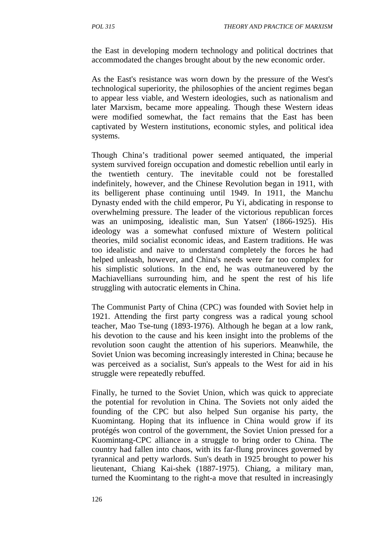the East in developing modern technology and political doctrines that accommodated the changes brought about by the new economic order.

As the East's resistance was worn down by the pressure of the West's technological superiority, the philosophies of the ancient regimes began to appear less viable, and Western ideologies, such as nationalism and later Marxism, became more appealing. Though these Western ideas were modified somewhat, the fact remains that the East has been captivated by Western institutions, economic styles, and political idea systems.

Though China's traditional power seemed antiquated, the imperial system survived foreign occupation and domestic rebellion until early in the twentieth century. The inevitable could not be forestalled indefinitely, however, and the Chinese Revolution began in 1911, with its belligerent phase continuing until 1949. In 1911, the Manchu Dynasty ended with the child emperor, Pu Yi, abdicating in response to overwhelming pressure. The leader of the victorious republican forces was an unimposing, idealistic man, Sun Yatsen' (1866-1925). His ideology was a somewhat confused mixture of Western political theories, mild socialist economic ideas, and Eastern traditions. He was too idealistic and naive to understand completely the forces he had helped unleash, however, and China's needs were far too complex for his simplistic solutions. In the end, he was outmaneuvered by the Machiavellians surrounding him, and he spent the rest of his life struggling with autocratic elements in China.

The Communist Party of China (CPC) was founded with Soviet help in 1921. Attending the first party congress was a radical young school teacher, Mao Tse-tung (1893-1976). Although he began at a low rank, his devotion to the cause and his keen insight into the problems of the revolution soon caught the attention of his superiors. Meanwhile, the Soviet Union was becoming increasingly interested in China; because he was perceived as a socialist, Sun's appeals to the West for aid in his struggle were repeatedly rebuffed.

Finally, he turned to the Soviet Union, which was quick to appreciate the potential for revolution in China. The Soviets not only aided the founding of the CPC but also helped Sun organise his party, the Kuomintang. Hoping that its influence in China would grow if its protégés won control of the government, the Soviet Union pressed for a Kuomintang-CPC alliance in a struggle to bring order to China. The country had fallen into chaos, with its far-flung provinces governed by tyrannical and petty warlords. Sun's death in 1925 brought to power his lieutenant, Chiang Kai-shek (1887-1975). Chiang, a military man, turned the Kuomintang to the right-a move that resulted in increasingly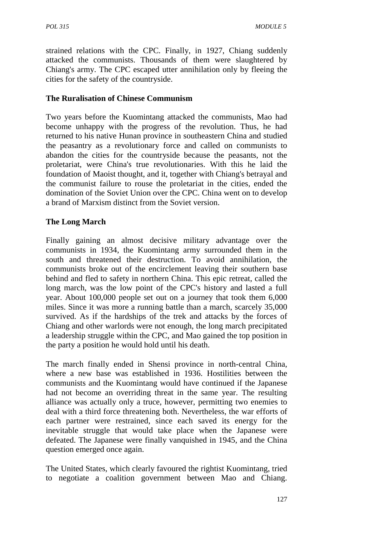strained relations with the CPC. Finally, in 1927, Chiang suddenly attacked the communists. Thousands of them were slaughtered by Chiang's army. The CPC escaped utter annihilation only by fleeing the cities for the safety of the countryside.

### **The Ruralisation of Chinese Communism**

Two years before the Kuomintang attacked the communists, Mao had become unhappy with the progress of the revolution. Thus, he had returned to his native Hunan province in southeastern China and studied the peasantry as a revolutionary force and called on communists to abandon the cities for the countryside because the peasants, not the proletariat, were China's true revolutionaries. With this he laid the foundation of Maoist thought, and it, together with Chiang's betrayal and the communist failure to rouse the proletariat in the cities, ended the domination of the Soviet Union over the CPC. China went on to develop a brand of Marxism distinct from the Soviet version.

## **The Long March**

Finally gaining an almost decisive military advantage over the communists in 1934, the Kuomintang army surrounded them in the south and threatened their destruction. To avoid annihilation, the communists broke out of the encirclement leaving their southern base behind and fled to safety in northern China. This epic retreat, called the long march, was the low point of the CPC's history and lasted a full year. About 100,000 people set out on a journey that took them 6,000 miles. Since it was more a running battle than a march, scarcely 35,000 survived. As if the hardships of the trek and attacks by the forces of Chiang and other warlords were not enough, the long march precipitated a leadership struggle within the CPC, and Mao gained the top position in the party a position he would hold until his death.

The march finally ended in Shensi province in north-central China, where a new base was established in 1936. Hostilities between the communists and the Kuomintang would have continued if the Japanese had not become an overriding threat in the same year. The resulting alliance was actually only a truce, however, permitting two enemies to deal with a third force threatening both. Nevertheless, the war efforts of each partner were restrained, since each saved its energy for the inevitable struggle that would take place when the Japanese were defeated. The Japanese were finally vanquished in 1945, and the China question emerged once again.

The United States, which clearly favoured the rightist Kuomintang, tried to negotiate a coalition government between Mao and Chiang.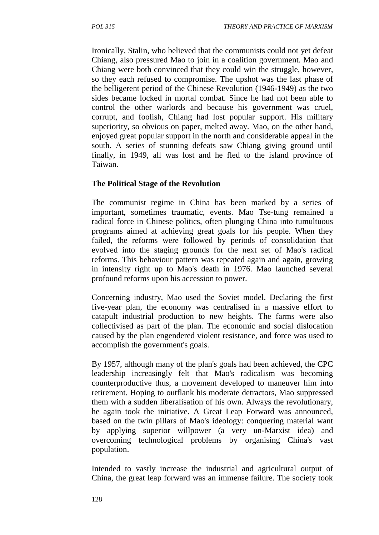Ironically, Stalin, who believed that the communists could not yet defeat Chiang, also pressured Mao to join in a coalition government. Mao and Chiang were both convinced that they could win the struggle, however, so they each refused to compromise. The upshot was the last phase of the belligerent period of the Chinese Revolution (1946-1949) as the two sides became locked in mortal combat. Since he had not been able to control the other warlords and because his government was cruel, corrupt, and foolish, Chiang had lost popular support. His military superiority, so obvious on paper, melted away. Mao, on the other hand, enjoyed great popular support in the north and considerable appeal in the south. A series of stunning defeats saw Chiang giving ground until finally, in 1949, all was lost and he fled to the island province of Taiwan.

### **The Political Stage of the Revolution**

The communist regime in China has been marked by a series of important, sometimes traumatic, events. Mao Tse-tung remained a radical force in Chinese politics, often plunging China into tumultuous programs aimed at achieving great goals for his people. When they failed, the reforms were followed by periods of consolidation that evolved into the staging grounds for the next set of Mao's radical reforms. This behaviour pattern was repeated again and again, growing in intensity right up to Mao's death in 1976. Mao launched several profound reforms upon his accession to power.

Concerning industry, Mao used the Soviet model. Declaring the first five-year plan, the economy was centralised in a massive effort to catapult industrial production to new heights. The farms were also collectivised as part of the plan. The economic and social dislocation caused by the plan engendered violent resistance, and force was used to accomplish the government's goals.

By 1957, although many of the plan's goals had been achieved, the CPC leadership increasingly felt that Mao's radicalism was becoming counterproductive thus, a movement developed to maneuver him into retirement. Hoping to outflank his moderate detractors, Mao suppressed them with a sudden liberalisation of his own. Always the revolutionary, he again took the initiative. A Great Leap Forward was announced, based on the twin pillars of Mao's ideology: conquering material want by applying superior willpower (a very un-Marxist idea) and overcoming technological problems by organising China's vast population.

Intended to vastly increase the industrial and agricultural output of China, the great leap forward was an immense failure. The society took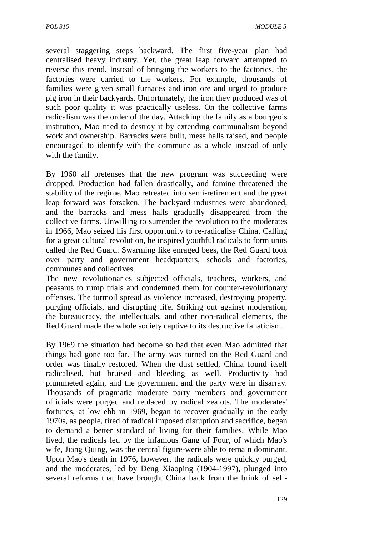several staggering steps backward. The first five-year plan had centralised heavy industry. Yet, the great leap forward attempted to reverse this trend. Instead of bringing the workers to the factories, the factories were carried to the workers. For example, thousands of families were given small furnaces and iron ore and urged to produce pig iron in their backyards. Unfortunately, the iron they produced was of such poor quality it was practically useless. On the collective farms radicalism was the order of the day. Attacking the family as a bourgeois institution, Mao tried to destroy it by extending communalism beyond work and ownership. Barracks were built, mess halls raised, and people encouraged to identify with the commune as a whole instead of only with the family.

By 1960 all pretenses that the new program was succeeding were dropped. Production had fallen drastically, and famine threatened the stability of the regime. Mao retreated into semi-retirement and the great leap forward was forsaken. The backyard industries were abandoned, and the barracks and mess halls gradually disappeared from the collective farms. Unwilling to surrender the revolution to the moderates in 1966, Mao seized his first opportunity to re-radicalise China. Calling for a great cultural revolution, he inspired youthful radicals to form units called the Red Guard. Swarming like enraged bees, the Red Guard took over party and government headquarters, schools and factories, communes and collectives.

The new revolutionaries subjected officials, teachers, workers, and peasants to rump trials and condemned them for counter-revolutionary offenses. The turmoil spread as violence increased, destroying property, purging officials, and disrupting life. Striking out against moderation, the bureaucracy, the intellectuals, and other non-radical elements, the Red Guard made the whole society captive to its destructive fanaticism.

By 1969 the situation had become so bad that even Mao admitted that things had gone too far. The army was turned on the Red Guard and order was finally restored. When the dust settled, China found itself radicalised, but bruised and bleeding as well. Productivity had plummeted again, and the government and the party were in disarray. Thousands of pragmatic moderate party members and government officials were purged and replaced by radical zealots. The moderates' fortunes, at low ebb in 1969, began to recover gradually in the early 1970s, as people, tired of radical imposed disruption and sacrifice, began to demand a better standard of living for their families. While Mao lived, the radicals led by the infamous Gang of Four, of which Mao's wife, Jiang Quing, was the central figure-were able to remain dominant. Upon Mao's death in 1976, however, the radicals were quickly purged, and the moderates, led by Deng Xiaoping (1904-1997), plunged into several reforms that have brought China back from the brink of self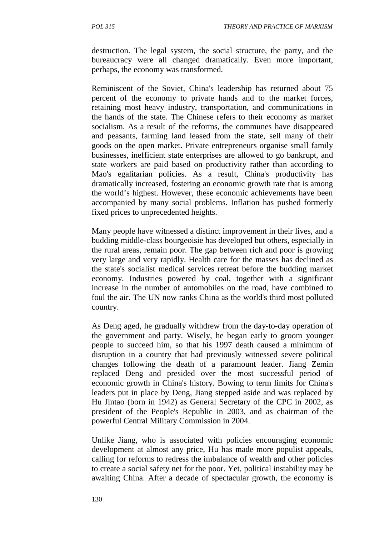destruction. The legal system, the social structure, the party, and the bureaucracy were all changed dramatically. Even more important, perhaps, the economy was transformed.

Reminiscent of the Soviet, China's leadership has returned about 75 percent of the economy to private hands and to the market forces, retaining most heavy industry, transportation, and communications in the hands of the state. The Chinese refers to their economy as market socialism. As a result of the reforms, the communes have disappeared and peasants, farming land leased from the state, sell many of their goods on the open market. Private entrepreneurs organise small family businesses, inefficient state enterprises are allowed to go bankrupt, and state workers are paid based on productivity rather than according to Mao's egalitarian policies. As a result, China's productivity has dramatically increased, fostering an economic growth rate that is among the world's highest. However, these economic achievements have been accompanied by many social problems. Inflation has pushed formerly fixed prices to unprecedented heights.

Many people have witnessed a distinct improvement in their lives, and a budding middle-class bourgeoisie has developed but others, especially in the rural areas, remain poor. The gap between rich and poor is growing very large and very rapidly. Health care for the masses has declined as the state's socialist medical services retreat before the budding market economy. Industries powered by coal, together with a significant increase in the number of automobiles on the road, have combined to foul the air. The UN now ranks China as the world's third most polluted country.

As Deng aged, he gradually withdrew from the day-to-day operation of the government and party. Wisely, he began early to groom younger people to succeed him, so that his 1997 death caused a minimum of disruption in a country that had previously witnessed severe political changes following the death of a paramount leader. Jiang Zemin replaced Deng and presided over the most successful period of economic growth in China's history. Bowing to term limits for China's leaders put in place by Deng, Jiang stepped aside and was replaced by Hu Jintao (born in 1942) as General Secretary of the CPC in 2002, as president of the People's Republic in 2003, and as chairman of the powerful Central Military Commission in 2004.

Unlike Jiang, who is associated with policies encouraging economic development at almost any price, Hu has made more populist appeals, calling for reforms to redress the imbalance of wealth and other policies to create a social safety net for the poor. Yet, political instability may be awaiting China. After a decade of spectacular growth, the economy is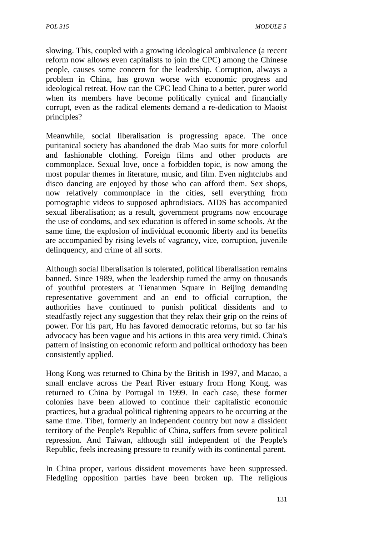slowing. This, coupled with a growing ideological ambivalence (a recent reform now allows even capitalists to join the CPC) among the Chinese people, causes some concern for the leadership. Corruption, always a problem in China, has grown worse with economic progress and ideological retreat. How can the CPC lead China to a better, purer world when its members have become politically cynical and financially corrupt, even as the radical elements demand a re-dedication to Maoist principles?

Meanwhile, social liberalisation is progressing apace. The once puritanical society has abandoned the drab Mao suits for more colorful and fashionable clothing. Foreign films and other products are commonplace. Sexual love, once a forbidden topic, is now among the most popular themes in literature, music, and film. Even nightclubs and disco dancing are enjoyed by those who can afford them. Sex shops, now relatively commonplace in the cities, sell everything from pornographic videos to supposed aphrodisiacs. AIDS has accompanied sexual liberalisation; as a result, government programs now encourage the use of condoms, and sex education is offered in some schools. At the same time, the explosion of individual economic liberty and its benefits are accompanied by rising levels of vagrancy, vice, corruption, juvenile delinquency, and crime of all sorts.

Although social liberalisation is tolerated, political liberalisation remains banned. Since 1989, when the leadership turned the army on thousands of youthful protesters at Tienanmen Square in Beijing demanding representative government and an end to official corruption, the authorities have continued to punish political dissidents and to steadfastly reject any suggestion that they relax their grip on the reins of power. For his part, Hu has favored democratic reforms, but so far his advocacy has been vague and his actions in this area very timid. China's pattern of insisting on economic reform and political orthodoxy has been consistently applied.

Hong Kong was returned to China by the British in 1997, and Macao, a small enclave across the Pearl River estuary from Hong Kong, was returned to China by Portugal in 1999. In each case, these former colonies have been allowed to continue their capitalistic economic practices, but a gradual political tightening appears to be occurring at the same time. Tibet, formerly an independent country but now a dissident territory of the People's Republic of China, suffers from severe political repression. And Taiwan, although still independent of the People's Republic, feels increasing pressure to reunify with its continental parent.

In China proper, various dissident movements have been suppressed. Fledgling opposition parties have been broken up. The religious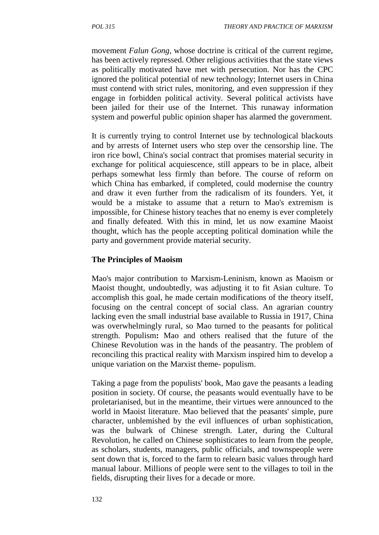movement *Falun Gong*, whose doctrine is critical of the current regime, has been actively repressed. Other religious activities that the state views as politically motivated have met with persecution. Nor has the CPC ignored the political potential of new technology; Internet users in China must contend with strict rules, monitoring, and even suppression if they engage in forbidden political activity. Several political activists have been jailed for their use of the Internet. This runaway information system and powerful public opinion shaper has alarmed the government.

It is currently trying to control Internet use by technological blackouts and by arrests of Internet users who step over the censorship line. The iron rice bowl, China's social contract that promises material security in exchange for political acquiescence, still appears to be in place, albeit perhaps somewhat less firmly than before. The course of reform on which China has embarked, if completed, could modernise the country and draw it even further from the radicalism of its founders. Yet, it would be a mistake to assume that a return to Mao's extremism is impossible, for Chinese history teaches that no enemy is ever completely and finally defeated. With this in mind, let us now examine Maoist thought, which has the people accepting political domination while the party and government provide material security.

### **The Principles of Maoism**

Mao's major contribution to Marxism-Leninism, known as Maoism or Maoist thought, undoubtedly, was adjusting it to fit Asian culture. To accomplish this goal, he made certain modifications of the theory itself, focusing on the central concept of social class. An agrarian country lacking even the small industrial base available to Russia in 1917, China was overwhelmingly rural, so Mao turned to the peasants for political strength. Populism**:** Mao and others realised that the future of the Chinese Revolution was in the hands of the peasantry. The problem of reconciling this practical reality with Marxism inspired him to develop a unique variation on the Marxist theme- populism.

Taking a page from the populists' book, Mao gave the peasants a leading position in society. Of course, the peasants would eventually have to be proletarianised, but in the meantime, their virtues were announced to the world in Maoist literature. Mao believed that the peasants' simple, pure character, unblemished by the evil influences of urban sophistication, was the bulwark of Chinese strength. Later, during the Cultural Revolution, he called on Chinese sophisticates to learn from the people, as scholars, students, managers, public officials, and townspeople were sent down that is, forced to the farm to relearn basic values through hard manual labour. Millions of people were sent to the villages to toil in the fields, disrupting their lives for a decade or more.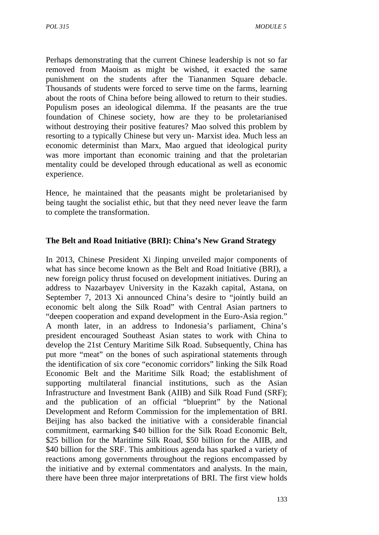Perhaps demonstrating that the current Chinese leadership is not so far removed from Maoism as might be wished, it exacted the same punishment on the students after the Tiananmen Square debacle. Thousands of students were forced to serve time on the farms, learning about the roots of China before being allowed to return to their studies. Populism poses an ideological dilemma. If the peasants are the true foundation of Chinese society, how are they to be proletarianised without destroying their positive features? Mao solved this problem by resorting to a typically Chinese but very un- Marxist idea. Much less an economic determinist than Marx, Mao argued that ideological purity was more important than economic training and that the proletarian mentality could be developed through educational as well as economic experience.

Hence, he maintained that the peasants might be proletarianised by being taught the socialist ethic, but that they need never leave the farm to complete the transformation.

#### **The Belt and Road Initiative (BRI): China's New Grand Strategy**

In 2013, Chinese President Xi Jinping unveiled major components of what has since become known as the Belt and Road Initiative (BRI), a new foreign policy thrust focused on development initiatives. During an address to Nazarbayev University in the Kazakh capital, Astana, on September 7, 2013 Xi announced China's desire to "jointly build an economic belt along the Silk Road" with Central Asian partners to "deepen cooperation and expand development in the Euro-Asia region." A month later, in an address to Indonesia's parliament, China's president encouraged Southeast Asian states to work with China to develop the 21st Century Maritime Silk Road. Subsequently, China has put more "meat" on the bones of such aspirational statements through the identification of six core "economic corridors" linking the Silk Road Economic Belt and the Maritime Silk Road; the establishment of supporting multilateral financial institutions, such as the Asian Infrastructure and Investment Bank (AIIB) and Silk Road Fund (SRF); and the publication of an official "blueprint" by the National Development and Reform Commission for the implementation of BRI. Beijing has also backed the initiative with a considerable financial commitment, earmarking \$40 billion for the Silk Road Economic Belt, \$25 billion for the Maritime Silk Road, \$50 billion for the AIIB, and \$40 billion for the SRF. This ambitious agenda has sparked a variety of reactions among governments throughout the regions encompassed by the initiative and by external commentators and analysts. In the main, there have been three major interpretations of BRI. The first view holds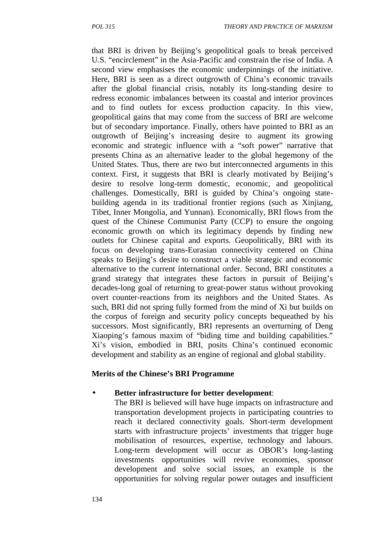that BRI is driven by Beijing's geopolitical goals to break perceived U.S. "encirclement" in the Asia-Pacific and constrain the rise of India. A second view emphasises the economic underpinnings of the initiative. Here, BRI is seen as a direct outgrowth of China's economic travails after the global financial crisis, notably its long-standing desire to redress economic imbalances between its coastal and interior provinces and to find outlets for excess production capacity. In this view, geopolitical gains that may come from the success of BRI are welcome but of secondary importance. Finally, others have pointed to BRI as an outgrowth of Beijing's increasing desire to augment its growing economic and strategic influence with a "soft power" narrative that presents China as an alternative leader to the global hegemony of the United States. Thus, there are two but interconnected arguments in this context. First, it suggests that BRI is clearly motivated by Beijing's desire to resolve long-term domestic, economic, and geopolitical challenges. Domestically, BRI is guided by China's ongoing state building agenda in its traditional frontier regions (such as Xinjiang, Tibet, Inner Mongolia, and Yunnan). Economically, BRI flows from the quest of the Chinese Communist Party (CCP) to ensure the ongoing economic growth on which its legitimacy depends by finding new outlets for Chinese capital and exports. Geopolitically, BRI with its focus on developing trans-Eurasian connectivity centered on China speaks to Beijing's desire to construct a viable strategic and economic alternative to the current international order. Second, BRI constitutes a grand strategy that integrates these factors in pursuit of Beijing's decades-long goal of returning to great-power status without provoking overt counter-reactions from its neighbors and the United States. As such, BRI did not spring fully formed from the mind of Xi but builds on the corpus of foreign and security policy concepts bequeathed by his successors. Most significantly, BRI represents an overturning of Deng Xiaoping's famous maxim of "biding time and building capabilities." Xi's vision, embodied in BRI, posits China's continued economic development and stability as an engine of regional and global stability.

#### **Merits of the Chinese's BRI Programme**

#### **Better infrastructure for better development**:

The BRI is believed will have huge impacts on infrastructure and transportation development projects in participating countries to reach it declared connectivity goals. Short-term development starts with infrastructure projects' investments that trigger huge mobilisation of resources, expertise, technology and labours. Long-term development will occur as OBOR's long-lasting investments opportunities will revive economies, sponsor development and solve social issues, an example is the opportunities for solving regular power outages and insufficient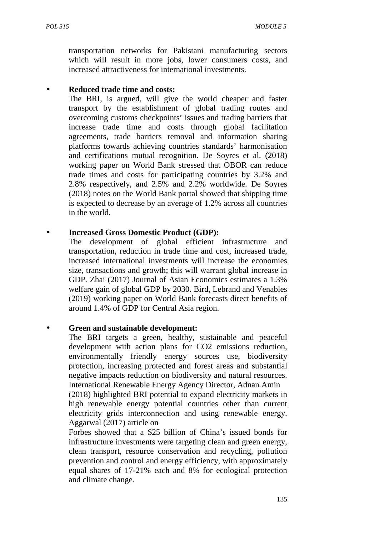transportation networks for Pakistani manufacturing sectors which will result in more jobs, lower consumers costs, and increased attractiveness for international investments.

#### **Reduced trade time and costs:**

The BRI, is argued, will give the world cheaper and faster transport by the establishment of global trading routes and overcoming customs checkpoints' issues and trading barriers that increase trade time and costs through global facilitation agreements, trade barriers removal and information sharing platforms towards achieving countries standards' harmonisation and certifications mutual recognition. De Soyres et al. (2018) working paper on World Bank stressed that OBOR can reduce trade times and costs for participating countries by 3.2% and 2.8% respectively, and 2.5% and 2.2% worldwide. De Soyres (2018) notes on the World Bank portal showed that shipping time is expected to decrease by an average of 1.2% across all countries in the world.

#### **Increased Gross Domestic Product (GDP):**

The development of global efficient infrastructure and transportation, reduction in trade time and cost, increased trade, increased international investments will increase the economies size, transactions and growth; this will warrant global increase in GDP. Zhai (2017) Journal of Asian Economics estimates a 1.3% welfare gain of global GDP by 2030. Bird, Lebrand and Venables (2019) working paper on World Bank forecasts direct benefits of around 1.4% of GDP for Central Asia region.

#### **Green and sustainable development:**

The BRI targets a green, healthy, sustainable and peaceful development with action plans for CO2 emissions reduction, environmentally friendly energy sources use, biodiversity protection, increasing protected and forest areas and substantial negative impacts reduction on biodiversity and natural resources. International Renewable Energy Agency Director, Adnan Amin

(2018) highlighted BRI potential to expand electricity markets in high renewable energy potential countries other than current electricity grids interconnection and using renewable energy. Aggarwal (2017) article on

Forbes showed that a \$25 billion of China's issued bonds for infrastructure investments were targeting clean and green energy, clean transport, resource conservation and recycling, pollution prevention and control and energy efficiency, with approximately equal shares of 17-21% each and 8% for ecological protection and climate change.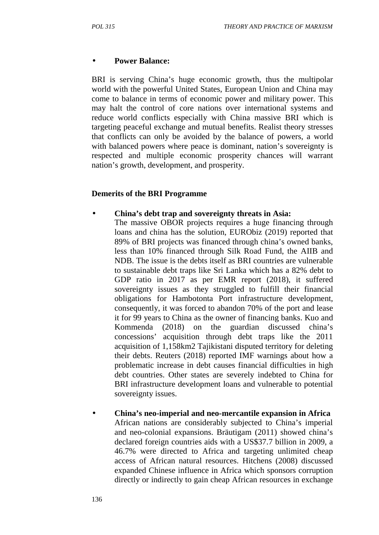#### **Power Balance:**

BRI is serving China's huge economic growth, thus the multipolar world with the powerful United States, European Union and China may come to balance in terms of economic power and military power. This may halt the control of core nations over international systems and reduce world conflicts especially with China massive BRI which is targeting peaceful exchange and mutual benefits. Realist theory stresses that conflicts can only be avoided by the balance of powers, a world with balanced powers where peace is dominant, nation's sovereignty is respected and multiple economic prosperity chances will warrant nation's growth, development, and prosperity.

#### **Demerits of the BRI Programme**

- **China's debt trap and sovereignty threats in Asia:** The massive OBOR projects requires a huge financing through loans and china has the solution, EURObiz (2019) reported that 89% of BRI projects was financed through china's owned banks, less than 10% financed through Silk Road Fund, the AIIB and NDB. The issue is the debts itself as BRI countries are vulnerable to sustainable debt traps like Sri Lanka which has a 82% debt to GDP ratio in 2017 as per EMR report (2018), it suffered sovereignty issues as they struggled to fulfill their financial obligations for Hambotonta Port infrastructure development, consequently, it was forced to abandon 70% of the port and lease it for 99 years to China as the owner of financing banks. Kuo and Kommenda (2018) on the guardian discussed china's concessions' acquisition through debt traps like the 2011 acquisition of 1,158km2 Tajikistani disputed territory for deleting their debts. Reuters (2018) reported IMF warnings about how a problematic increase in debt causes financial difficulties in high debt countries. Other states are severely indebted to China for BRI infrastructure development loans and vulnerable to potential sovereignty issues.
- **China's neo-imperial and neo-mercantile expansion in Africa** African nations are considerably subjected to China's imperial and neo-colonial expansions. Bräutigam (2011) showed china's declared foreign countries aids with a US\$37.7 billion in 2009, a 46.7% were directed to Africa and targeting unlimited cheap access of African natural resources. Hitchens (2008) discussed expanded Chinese influence in Africa which sponsors corruption directly or indirectly to gain cheap African resources in exchange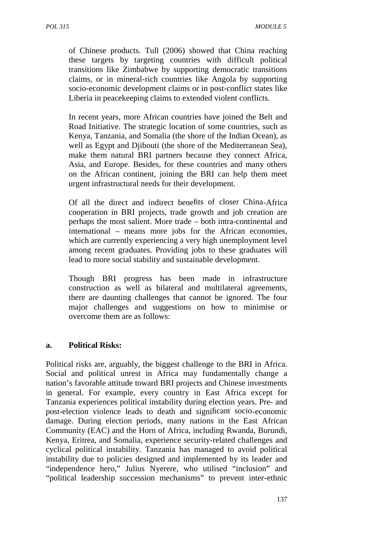of Chinese products. Tull (2006) showed that China reaching these targets by targeting countries with difficult political transitions like Zimbabwe by supporting democratic transitions claims, or in mineral-rich countries like Angola by supporting socio-economic development claims or in post-conflict states like Liberia in peacekeeping claims to extended violent conflicts.

In recent years, more African countries have joined the Belt and Road Initiative. The strategic location of some countries, such as Kenya, Tanzania, and Somalia (the shore of the Indian Ocean), as well as Egypt and Djibouti (the shore of the Mediterranean Sea), make them natural BRI partners because they connect Africa, Asia, and Europe. Besides, for these countries and many others on the African continent, joining the BRI can help them meet urgent infrastructural needs for their development.

Of all the direct and indirect benefits of closer China-Africa cooperation in BRI projects, trade growth and job creation are perhaps the most salient. More trade – both intra-continental and international – means more jobs for the African economies, which are currently experiencing a very high unemployment level among recent graduates. Providing jobs to these graduates will lead to more social stability and sustainable development.

Though BRI progress has been made in infrastructure construction as well as bilateral and multilateral agreements, there are daunting challenges that cannot be ignored. The four major challenges and suggestions on how to minimise or overcome them are as follows:

#### **a. Political Risks:**

Political risks are, arguably, the biggest challenge to the BRI in Africa. Social and political unrest in Africa may fundamentally change a nation's favorable attitude toward BRI projects and Chinese investments in general. For example, every country in East Africa except for Tanzania experiences political instability during election years. Pre- and post-election violence leads to death and significant socio-economic damage. During election periods, many nations in the East African Community (EAC) and the Horn of Africa, including Rwanda, Burundi, Kenya, Eritrea, and Somalia, experience security-related challenges and cyclical political instability. Tanzania has managed to avoid political instability due to policies designed and implemented by its leader and "independence hero," Julius Nyerere, who utilised "inclusion" and "political leadership succession mechanisms" to prevent inter-ethnic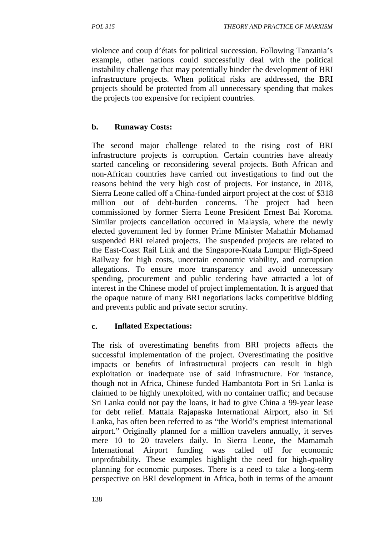violence and coup d'états for political succession. Following Tanzania's example, other nations could successfully deal with the political instability challenge that may potentially hinder the development of BRI infrastructure projects. When political risks are addressed, the BRI projects should be protected from all unnecessary spending that makes the projects too expensive for recipient countries.

# **b. Runaway Costs:**

The second major challenge related to the rising cost of BRI infrastructure projects is corruption. Certain countries have already started canceling or reconsidering several projects. Both African and non-African countries have carried out investigations to find out the reasons behind the very high cost of projects. For instance, in 2018, Sierra Leone called off a China-funded airport project at the cost of \$318 million out of debt-burden concerns. The project had been commissioned by former Sierra Leone President Ernest Bai Koroma. Similar projects cancellation occurred in Malaysia, where the newly elected government led by former Prime Minister Mahathir Mohamad suspended BRI related projects. The suspended projects are related to the East-Coast Rail Link and the Singapore-Kuala Lumpur High-Speed Railway for high costs, uncertain economic viability, and corruption allegations. To ensure more transparency and avoid unnecessary spending, procurement and public tendering have attracted a lot of interest in the Chinese model of project implementation. It is argued that the opaque nature of many BRI negotiations lacks competitive bidding and prevents public and private sector scrutiny.

## **c. Inflated Expectations:**

The risk of overestimating benefits from BRI projects affects the successful implementation of the project. Overestimating the positive impacts or benefits of infrastructural projects can result in high exploitation or inadequate use of said infrastructure. For instance, though not in Africa, Chinese funded Hambantota Port in Sri Lanka is claimed to be highly unexploited, with no container traffic; and because Sri Lanka could not pay the loans, it had to give China a 99-year lease for debt relief. Mattala Rajapaska International Airport, also in Sri Lanka, has often been referred to as "the World's emptiest international airport." Originally planned for a million travelers annually, it serves mere 10 to 20 travelers daily. In Sierra Leone, the Mamamah International Airport funding was called off for economic unprofitability. These examples highlight the need for high-quality planning for economic purposes. There is a need to take a long-term perspective on BRI development in Africa, both in terms of the amount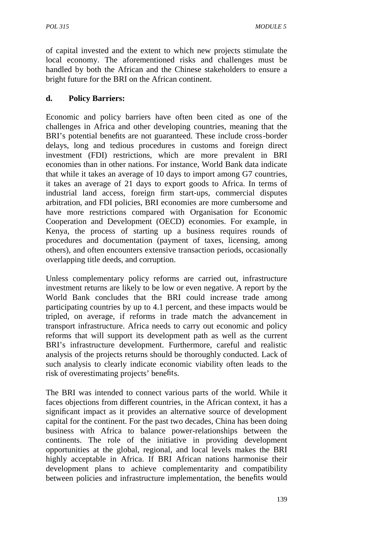of capital invested and the extent to which new projects stimulate the local economy. The aforementioned risks and challenges must be handled by both the African and the Chinese stakeholders to ensure a bright future for the BRI on the African continent.

## **d. Policy Barriers:**

Economic and policy barriers have often been cited as one of the challenges in Africa and other developing countries, meaning that the BRI's potential benefits are not guaranteed. These include cross-border delays, long and tedious procedures in customs and foreign direct investment (FDI) restrictions, which are more prevalent in BRI economies than in other nations. For instance, World Bank data indicate that while it takes an average of 10 days to import among G7 countries, it takes an average of 21 days to export goods to Africa. In terms of industrial land access, foreign firm start-ups, commercial disputes arbitration, and FDI policies, BRI economies are more cumbersome and have more restrictions compared with Organisation for Economic Cooperation and Development (OECD) economies. For example, in Kenya, the process of starting up a business requires rounds of procedures and documentation (payment of taxes, licensing, among others), and often encounters extensive transaction periods, occasionally overlapping title deeds, and corruption.

Unless complementary policy reforms are carried out, infrastructure investment returns are likely to be low or even negative. A report by the World Bank concludes that the BRI could increase trade among participating countries by up to 4.1 percent, and these impacts would be tripled, on average, if reforms in trade match the advancement in transport infrastructure. Africa needs to carry out economic and policy reforms that will support its development path as well as the current BRI's infrastructure development. Furthermore, careful and realistic analysis of the projects returns should be thoroughly conducted. Lack of such analysis to clearly indicate economic viability often leads to the risk of overestimating projects' benefits.

The BRI was intended to connect various parts of the world. While it faces objections from different countries, in the African context, it has a significant impact as it provides an alternative source of development capital for the continent. For the past two decades, China has been doing business with Africa to balance power-relationships between the continents. The role of the initiative in providing development opportunities at the global, regional, and local levels makes the BRI highly acceptable in Africa. If BRI African nations harmonise their development plans to achieve complementarity and compatibility between policies and infrastructure implementation, the benefits would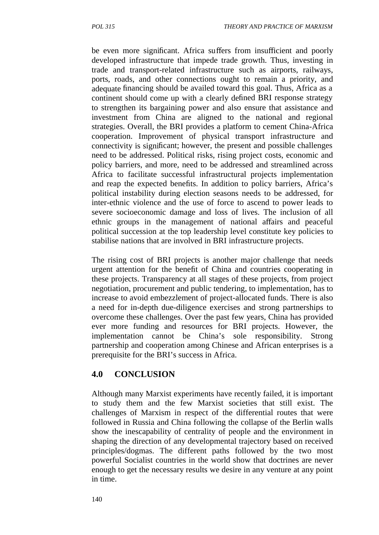be even more significant. Africa suffers from insufficient and poorly developed infrastructure that impede trade growth. Thus, investing in trade and transport-related infrastructure such as airports, railways, ports, roads, and other connections ought to remain a priority, and adequate financing should be availed toward this goal. Thus, Africa as a continent should come up with a clearly defined BRI response strategy to strengthen its bargaining power and also ensure that assistance and investment from China are aligned to the national and regional strategies. Overall, the BRI provides a platform to cement China-Africa cooperation. Improvement of physical transport infrastructure and connectivity is significant; however, the present and possible challenges need to be addressed. Political risks, rising project costs, economic and policy barriers, and more, need to be addressed and streamlined across Africa to facilitate successful infrastructural projects implementation and reap the expected benefits. In addition to policy barriers, Africa's political instability during election seasons needs to be addressed, for inter-ethnic violence and the use of force to ascend to power leads to severe socioeconomic damage and loss of lives. The inclusion of all ethnic groups in the management of national affairs and peaceful political succession at the top leadership level constitute key policies to stabilise nations that are involved in BRI infrastructure projects.

The rising cost of BRI projects is another major challenge that needs urgent attention for the benefit of China and countries cooperating in these projects. Transparency at all stages of these projects, from project negotiation, procurement and public tendering, to implementation, has to increase to avoid embezzlement of project-allocated funds. There is also a need for in-depth due-diligence exercises and strong partnerships to overcome these challenges. Over the past few years, China has provided ever more funding and resources for BRI projects. However, the implementation cannot be China's sole responsibility. Strong partnership and cooperation among Chinese and African enterprises is a prerequisite for the BRI's success in Africa.

### **4.0 CONCLUSION**

Although many Marxist experiments have recently failed, it is important to study them and the few Marxist societies that still exist. The challenges of Marxism in respect of the differential routes that were followed in Russia and China following the collapse of the Berlin walls show the inescapability of centrality of people and the environment in shaping the direction of any developmental trajectory based on received principles/dogmas. The different paths followed by the two most powerful Socialist countries in the world show that doctrines are never enough to get the necessary results we desire in any venture at any point in time.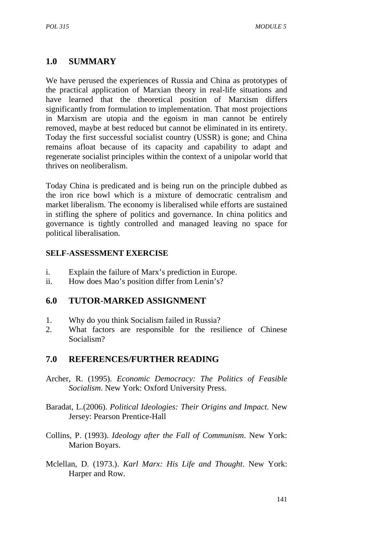## **1.0 SUMMARY**

We have perused the experiences of Russia and China as prototypes of the practical application of Marxian theory in real-life situations and have learned that the theoretical position of Marxism differs significantly from formulation to implementation. That most projections in Marxism are utopia and the egoism in man cannot be entirely removed, maybe at best reduced but cannot be eliminated in its entirety. Today the first successful socialist country (USSR) is gone; and China remains afloat because of its capacity and capability to adapt and regenerate socialist principles within the context of a unipolar world that thrives on neoliberalism.

Today China is predicated and is being run on the principle dubbed as the iron rice bowl which is a mixture of democratic centralism and market liberalism. The economy is liberalised while efforts are sustained in stifling the sphere of politics and governance. In china politics and governance is tightly controlled and managed leaving no space for political liberalisation.

#### **SELF-ASSESSMENT EXERCISE**

- i. Explain the failure of Marx's prediction in Europe.
- ii. How does Mao's position differ from Lenin's?

### **6.0 TUTOR-MARKED ASSIGNMENT**

- 1. Why do you think Socialism failed in Russia?
- 2. What factors are responsible for the resilience of Chinese Socialism?

## **7.0 REFERENCES/FURTHER READING**

- Archer, R. (1995). *Economic Democracy: The Politics of Feasible Socialism*. New York: Oxford University Press.
- Baradat, L.(2006). *Political Ideologies: Their Origins and Impact.* New Jersey: Pearson Prentice-Hall
- Collins, P. (1993). *Ideology after the Fall of Communism*. New York: Marion Boyars.
- Mclellan, D. (1973.). *Karl Marx: His Life and Thought*. New York: Harper and Row.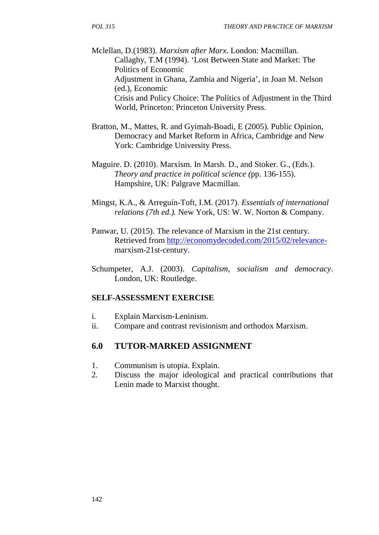Mclellan, D.(1983). *Marxism after Marx*. London: Macmillan. Callaghy, T.M (1994). 'Lost Between State and Market: The Politics of Economic Adjustment in Ghana, Zambia and Nigeria', in Joan M. Nelson (ed.), Economic Crisis and Policy Choice: The Politics of Adjustment in the Third World, Princeton: Princeton University Press.

- Bratton, M., Mattes, R. and Gyimah-Boadi, E (2005). Public Opinion, Democracy and Market Reform in Africa, Cambridge and New York: Cambridge University Press.
- Maguire. D. (2010). Marxism. In Marsh. D., and Stoker. G., (Eds.). *Theory and practice in political science (*pp. 136-155). Hampshire, UK: Palgrave Macmillan.
- Mingst, K.A., & Arreguín-Toft, I.M. (2017). *Essentials of international relations (7th ed.).* New York, US: W. W. Norton & Company.
- Panwar, U. (2015). The relevance of Marxism in the 21st century*.* Retrieved from http://economydecoded.com/2015/02/relevance marxism-21st-century.
- Schumpeter, A.J. (2003). *Capitalism, socialism and democracy*. London, UK: Routledge.

### **SELF-ASSESSMENT EXERCISE**

- i. Explain Marxism-Leninism.
- ii. Compare and contrast revisionism and orthodox Marxism.

### **6.0 TUTOR-MARKED ASSIGNMENT**

- 1. Communism is utopia. Explain.
- 2. Discuss the major ideological and practical contributions that Lenin made to Marxist thought.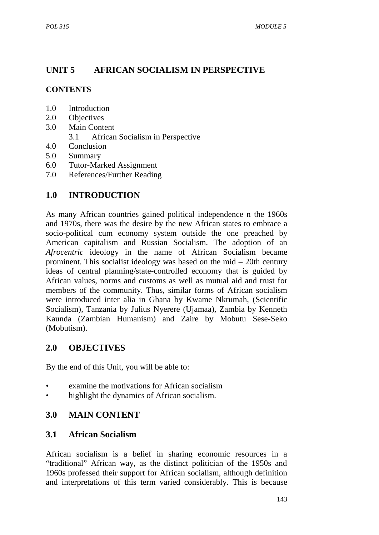# **UNIT 5 AFRICAN SOCIALISM IN PERSPECTIVE**

# **CONTENTS**

- 1.0 Introduction
- 2.0 Objectives
- 3.0 Main Content
	- 3.1 African Socialism in Perspective
- 4.0 Conclusion
- 5.0 Summary
- 6.0 Tutor-Marked Assignment
- 7.0 References/Further Reading

# **1.0 INTRODUCTION**

As many African countries gained political independence n the 1960s and 1970s, there was the desire by the new African states to embrace a socio-political cum economy system outside the one preached by American capitalism and Russian Socialism. The adoption of an *Afrocentric* ideology in the name of African Socialism became prominent. This socialist ideology was based on the mid – 20th century ideas of central planning/state-controlled economy that is guided by African values, norms and customs as well as mutual aid and trust for members of the community. Thus, similar forms of African socialism were introduced inter alia in Ghana by Kwame Nkrumah, (Scientific Socialism), Tanzania by Julius Nyerere (Ujamaa), Zambia by Kenneth Kaunda (Zambian Humanism) and Zaire by Mobutu Sese-Seko (Mobutism).

## **2.0 OBJECTIVES**

By the end of this Unit, you will be able to:

- examine the motivations for African socialism
- highlight the dynamics of African socialism.

# **3.0 MAIN CONTENT**

## **3.1 African Socialism**

African socialism is a belief in sharing economic resources in a "traditional" African way, as the distinct politician of the 1950s and 1960s professed their support for African socialism, although definition and interpretations of this term varied considerably. This is because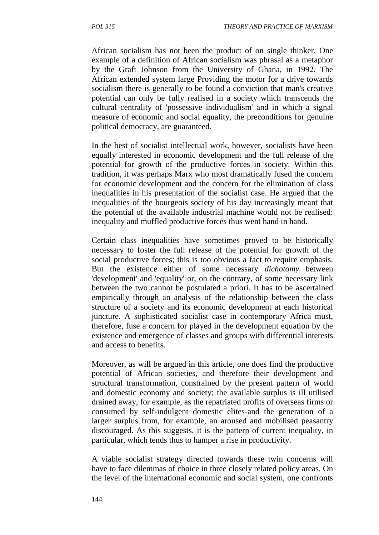African socialism has not been the product of on single thinker. One example of a definition of African socialism was phrasal as a metaphor by the Graft Johnson from the University of Ghana, in 1992. The African extended system large Providing the motor for a drive towards socialism there is generally to be found a conviction that man's creative potential can only be fully realised in a society which transcends the cultural centrality of 'possessive individualism' and in which a signal measure of economic and social equality, the preconditions for genuine political democracy, are guaranteed.

In the best of socialist intellectual work, however, socialists have been equally interested in economic development and the full release of the potential for growth of the productive forces in society. Within this tradition, it was perhaps Marx who most dramatically fused the concern for economic development and the concern for the elimination of class inequalities in his presentation of the socialist case. He argued that the inequalities of the bourgeois society of his day increasingly meant that the potential of the available industrial machine would not be realised: inequality and muffled productive forces thus went hand in hand.

Certain class inequalities have sometimes proved to be historically necessary to foster the full release of the potential for growth of the social productive forces; this is too obvious a fact to require emphasis. But the existence either of some necessary *dichotomy* between 'development' and 'equality' or, on the contrary, of some necessary link between the two cannot be postulated a priori. It has to be ascertained empirically through an analysis of the relationship between the class structure of a society and its economic development at each historical juncture. A sophisticated socialist case in contemporary Africa must, therefore, fuse a concern for played in the development equation by the existence and emergence of classes and groups with differential interests and access to benefits.

Moreover, as will be argued in this article, one does find the productive potential of African societies, and therefore their development and structural transformation, constrained by the present pattern of world and domestic economy and society; the available surplus is ill utilised drained away, for example, as the repatriated profits of overseas firms or consumed by self-indulgent domestic elites-and the generation of a larger surplus from, for example, an aroused and mobilised peasantry discouraged. As this suggests, it is the pattern of current inequality, in particular, which tends thus to hamper a rise in productivity.

A viable socialist strategy directed towards these twin concerns will have to face dilemmas of choice in three closely related policy areas. On the level of the international economic and social system, one confronts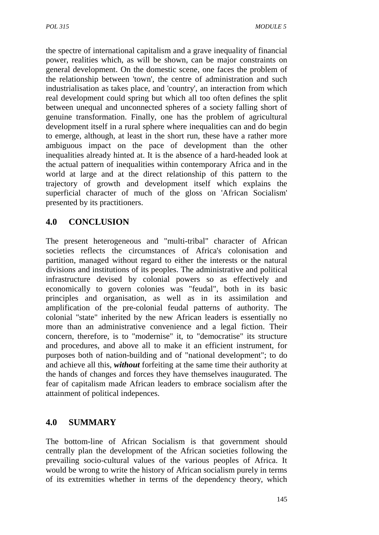the spectre of international capitalism and a grave inequality of financial power, realities which, as will be shown, can be major constraints on general development. On the domestic scene, one faces the problem of the relationship between 'town', the centre of administration and such industrialisation as takes place, and 'country', an interaction from which real development could spring but which all too often defines the split between unequal and unconnected spheres of a society falling short of genuine transformation. Finally, one has the problem of agricultural development itself in a rural sphere where inequalities can and do begin to emerge, although, at least in the short run, these have a rather more ambiguous impact on the pace of development than the other inequalities already hinted at. It is the absence of a hard-headed look at the actual pattern of inequalities within contemporary Africa and in the world at large and at the direct relationship of this pattern to the trajectory of growth and development itself which explains the superficial character of much of the gloss on 'African Socialism' presented by its practitioners.

# **4.0 CONCLUSION**

The present heterogeneous and "multi-tribal" character of African societies reflects the circumstances of Africa's colonisation and partition, managed without regard to either the interests or the natural divisions and institutions of its peoples. The administrative and political infrastructure devised by colonial powers so as effectively and economically to govern colonies was "feudal", both in its basic principles and organisation, as well as in its assimilation and amplification of the pre-colonial feudal patterns of authority. The colonial "state" inherited by the new African leaders is essentially no more than an administrative convenience and a legal fiction. Their concern, therefore, is to "modernise" it, to "democratise" its structure and procedures, and above all to make it an efficient instrument, for purposes both of nation-building and of "national development"; to do and achieve all this, *without* forfeiting at the same time their authority at the hands of changes and forces they have themselves inaugurated. The fear of capitalism made African leaders to embrace socialism after the attainment of political indepences.

# **4.0 SUMMARY**

The bottom-line of African Socialism is that government should centrally plan the development of the African societies following the prevailing socio-cultural values of the various peoples of Africa. It would be wrong to write the history of African socialism purely in terms of its extremities whether in terms of the dependency theory, which